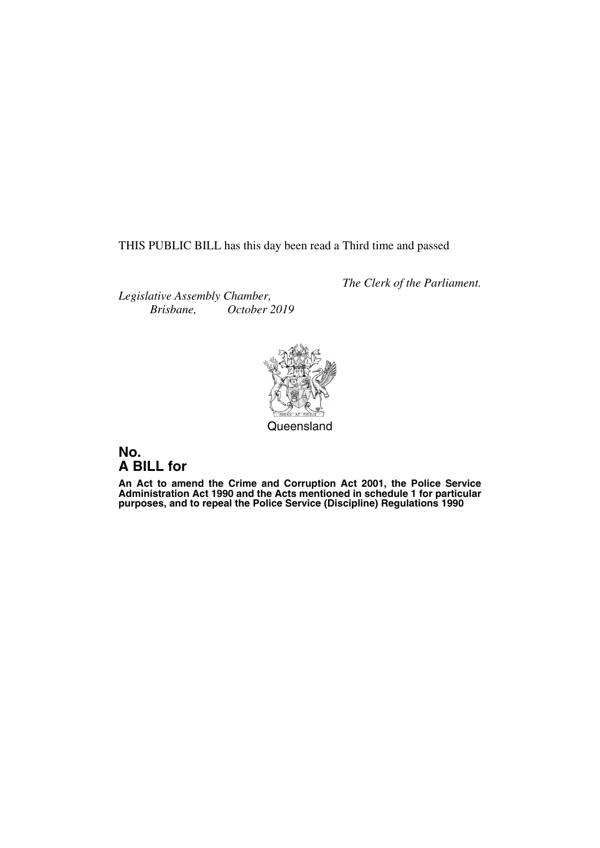THIS PUBLIC BILL has this day been read a Third time and passed

*The Clerk of the Parliament.*

*Legislative Assembly Chamber, Brisbane, October 2019*



**Queensland** 

### **No. A BILL for**

**An Act to amend the Crime and Corruption Act 2001, the Police Service Administration Act 1990 and the Acts mentioned in schedule 1 for particular purposes, and to repeal the Police Service (Discipline) Regulations 1990**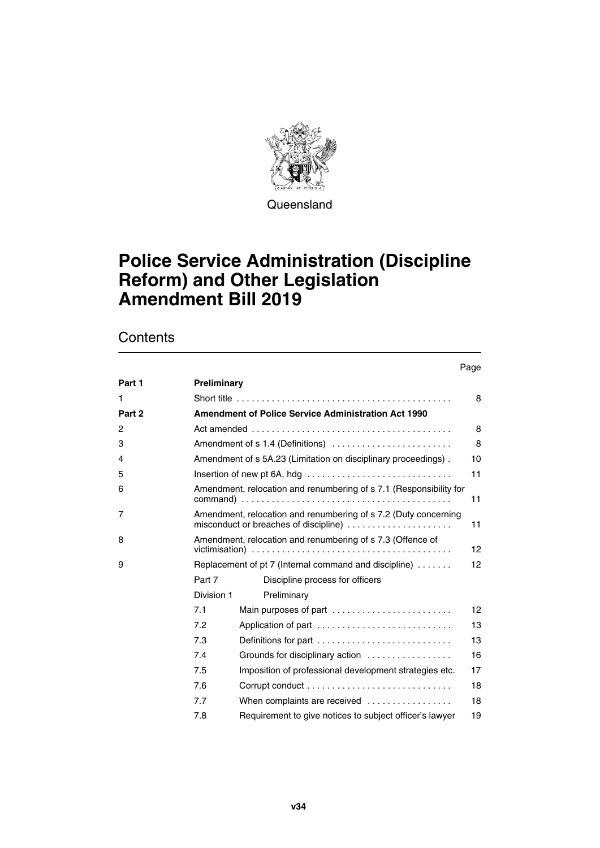

**Queensland** 

## **Police Service Administration (Discipline Reform) and Other Legislation Amendment Bill 2019**

### **Contents**

Page

| Part 1       | Preliminary                                                                                                    |                                                                                              |    |  |  |
|--------------|----------------------------------------------------------------------------------------------------------------|----------------------------------------------------------------------------------------------|----|--|--|
| $\mathbf{1}$ | 8                                                                                                              |                                                                                              |    |  |  |
| Part 2       | <b>Amendment of Police Service Administration Act 1990</b>                                                     |                                                                                              |    |  |  |
| 2            | 8                                                                                                              |                                                                                              |    |  |  |
| 3            |                                                                                                                | Amendment of s 1.4 (Definitions)                                                             | 8  |  |  |
| 4            |                                                                                                                | Amendment of s 5A.23 (Limitation on disciplinary proceedings).                               | 10 |  |  |
| 5            |                                                                                                                | Insertion of new pt 6A, hdg $\ldots \ldots \ldots \ldots \ldots \ldots \ldots \ldots \ldots$ | 11 |  |  |
| 6            | Amendment, relocation and renumbering of s 7.1 (Responsibility for<br>11                                       |                                                                                              |    |  |  |
| 7            | Amendment, relocation and renumbering of s 7.2 (Duty concerning<br>misconduct or breaches of discipline)<br>11 |                                                                                              |    |  |  |
| 8            | Amendment, relocation and renumbering of s 7.3 (Offence of<br>12                                               |                                                                                              |    |  |  |
| 9            | Replacement of pt 7 (Internal command and discipline)                                                          |                                                                                              |    |  |  |
|              | Part 7                                                                                                         | Discipline process for officers                                                              |    |  |  |
|              | Division 1                                                                                                     | Preliminary                                                                                  |    |  |  |
|              | 7.1                                                                                                            | Main purposes of part $\ldots \ldots \ldots \ldots \ldots \ldots \ldots$                     | 12 |  |  |
|              | 7.2                                                                                                            | Application of part                                                                          | 13 |  |  |
|              | 7.3                                                                                                            | Definitions for part                                                                         | 13 |  |  |
|              | 7.4                                                                                                            | Grounds for disciplinary action                                                              | 16 |  |  |
|              | 7.5                                                                                                            | Imposition of professional development strategies etc.                                       | 17 |  |  |
|              | 7.6                                                                                                            |                                                                                              | 18 |  |  |
|              | 7.7                                                                                                            | When complaints are received                                                                 | 18 |  |  |
|              | 7.8                                                                                                            | Requirement to give notices to subject officer's lawyer                                      | 19 |  |  |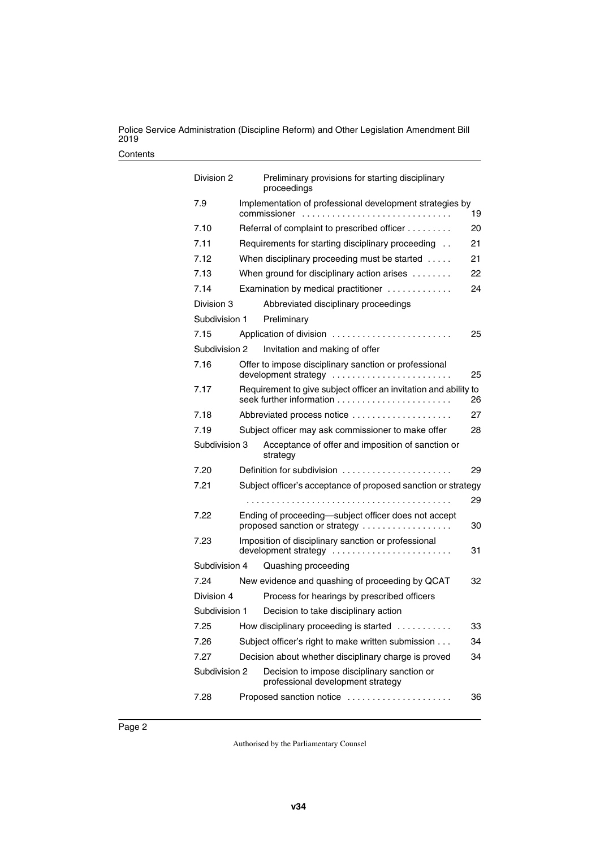| Division 2    | Preliminary provisions for starting disciplinary<br>proceedings                       |    |
|---------------|---------------------------------------------------------------------------------------|----|
| 7.9           | Implementation of professional development strategies by<br>commissioner              | 19 |
| 7.10          | Referral of complaint to prescribed officer                                           | 20 |
| 7.11          | Requirements for starting disciplinary proceeding                                     | 21 |
| 7.12          | When disciplinary proceeding must be started                                          | 21 |
| 7.13          | When ground for disciplinary action arises                                            | 22 |
| 7.14          | Examination by medical practitioner                                                   | 24 |
| Division 3    | Abbreviated disciplinary proceedings                                                  |    |
| Subdivision 1 | Preliminary                                                                           |    |
| 7.15          | Application of division                                                               | 25 |
| Subdivision 2 | Invitation and making of offer                                                        |    |
| 7.16          | Offer to impose disciplinary sanction or professional<br>development strategy         | 25 |
| 7.17          | Requirement to give subject officer an invitation and ability to                      | 26 |
| 7.18          | Abbreviated process notice                                                            | 27 |
| 7.19          | Subject officer may ask commissioner to make offer                                    | 28 |
| Subdivision 3 | Acceptance of offer and imposition of sanction or<br>strategy                         |    |
| 7.20          | Definition for subdivision                                                            | 29 |
| 7.21          | Subject officer's acceptance of proposed sanction or strategy                         |    |
|               |                                                                                       | 29 |
| 7.22          | Ending of proceeding-subject officer does not accept<br>proposed sanction or strategy | 30 |
| 7.23          | Imposition of disciplinary sanction or professional<br>development strategy           | 31 |
| Subdivision 4 | Quashing proceeding                                                                   |    |
| 7.24          | New evidence and quashing of proceeding by QCAT                                       | 32 |
| Division 4    | Process for hearings by prescribed officers                                           |    |
| Subdivision 1 | Decision to take disciplinary action                                                  |    |
| 7.25          | How disciplinary proceeding is started                                                | 33 |
| 7.26          | Subject officer's right to make written submission                                    | 34 |
| 7.27          | Decision about whether disciplinary charge is proved                                  | 34 |
| Subdivision 2 | Decision to impose disciplinary sanction or<br>professional development strategy      |    |
| 7.28          | Proposed sanction notice                                                              | 36 |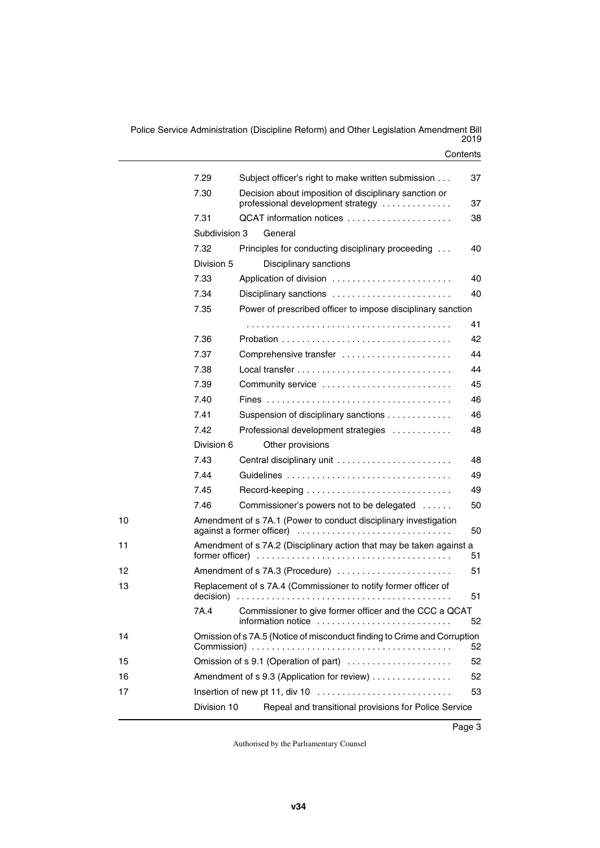|    | 7.29          | Subject officer's right to make written submission                                            | 37 |  |
|----|---------------|-----------------------------------------------------------------------------------------------|----|--|
|    | 7.30          | Decision about imposition of disciplinary sanction or<br>professional development strategy    | 37 |  |
|    | 7.31          | QCAT information notices                                                                      | 38 |  |
|    | Subdivision 3 | General                                                                                       |    |  |
|    | 7.32          | Principles for conducting disciplinary proceeding                                             | 40 |  |
|    | Division 5    | Disciplinary sanctions                                                                        |    |  |
|    | 7.33          | Application of division                                                                       | 40 |  |
|    | 7.34          | Disciplinary sanctions                                                                        | 40 |  |
|    | 7.35          | Power of prescribed officer to impose disciplinary sanction                                   |    |  |
|    |               |                                                                                               | 41 |  |
|    | 7.36          |                                                                                               | 42 |  |
|    | 7.37          | Comprehensive transfer                                                                        | 44 |  |
|    | 7.38          | $Local transfer            $                                                                  | 44 |  |
|    | 7.39          | Community service                                                                             | 45 |  |
|    | 7.40          |                                                                                               | 46 |  |
|    | 7.41          | Suspension of disciplinary sanctions                                                          | 46 |  |
|    | 7.42          | Professional development strategies                                                           | 48 |  |
|    | Division 6    | Other provisions                                                                              |    |  |
|    | 7.43          | Central disciplinary unit                                                                     | 48 |  |
|    | 7.44          | Guidelines                                                                                    | 49 |  |
|    | 7.45          |                                                                                               | 49 |  |
|    | 7.46          | Commissioner's powers not to be delegated                                                     | 50 |  |
| 10 |               | Amendment of s 7A.1 (Power to conduct disciplinary investigation<br>against a former officer) | 50 |  |
| 11 |               | Amendment of s 7A.2 (Disciplinary action that may be taken against a<br>former officer)<br>51 |    |  |
| 12 |               | Amendment of s 7A.3 (Procedure)<br>51                                                         |    |  |
| 13 | decision)     | Replacement of s 7A.4 (Commissioner to notify former officer of<br>.                          | 51 |  |
|    | 7A.4          | Commissioner to give former officer and the CCC a QCAT<br>information notice                  | 52 |  |
| 14 |               | Omission of s 7A.5 (Notice of misconduct finding to Crime and Corruption<br>52                |    |  |
| 15 |               | Omission of s 9.1 (Operation of part)<br>52                                                   |    |  |
| 16 |               | Amendment of s 9.3 (Application for review)                                                   | 52 |  |
| 17 |               |                                                                                               | 53 |  |
|    | Division 10   | Repeal and transitional provisions for Police Service                                         |    |  |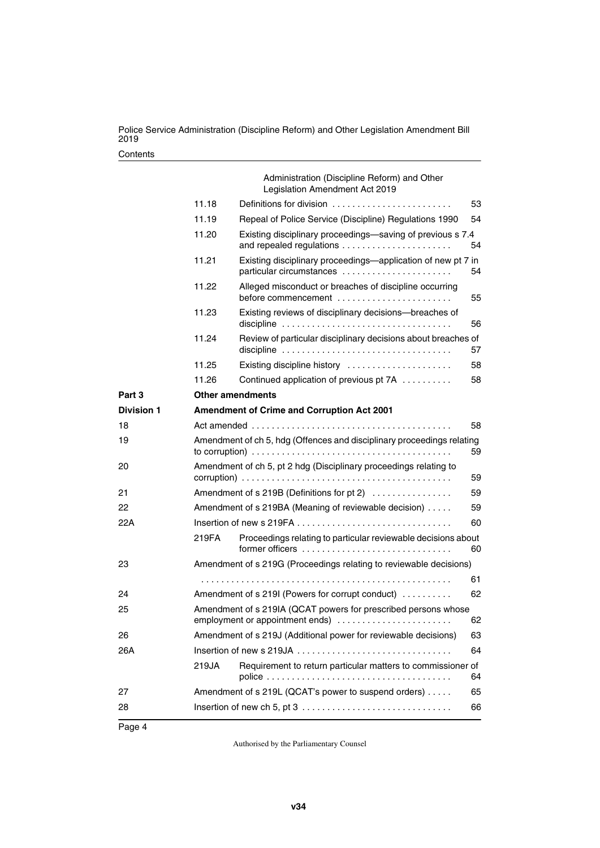|                   |                                                                                                                                                                                             | Administration (Discipline Reform) and Other<br>Legislation Amendment Act 2019                                                                      |    |  |  |  |
|-------------------|---------------------------------------------------------------------------------------------------------------------------------------------------------------------------------------------|-----------------------------------------------------------------------------------------------------------------------------------------------------|----|--|--|--|
|                   | 11.18                                                                                                                                                                                       | Definitions for division                                                                                                                            | 53 |  |  |  |
|                   | 11.19                                                                                                                                                                                       | Repeal of Police Service (Discipline) Regulations 1990                                                                                              | 54 |  |  |  |
|                   | 11.20                                                                                                                                                                                       | Existing disciplinary proceedings-saving of previous s 7.4                                                                                          | 54 |  |  |  |
|                   | 11.21                                                                                                                                                                                       | Existing disciplinary proceedings-application of new pt 7 in<br>particular circumstances                                                            | 54 |  |  |  |
|                   | 11.22                                                                                                                                                                                       | Alleged misconduct or breaches of discipline occurring<br>before commencement                                                                       | 55 |  |  |  |
|                   | 11.23                                                                                                                                                                                       | Existing reviews of disciplinary decisions-breaches of                                                                                              | 56 |  |  |  |
|                   | 11.24                                                                                                                                                                                       | Review of particular disciplinary decisions about breaches of<br>discipline $\ldots \ldots \ldots \ldots \ldots \ldots \ldots \ldots \ldots \ldots$ | 57 |  |  |  |
|                   | 11.25                                                                                                                                                                                       | Existing discipline history                                                                                                                         | 58 |  |  |  |
|                   | 11.26                                                                                                                                                                                       | Continued application of previous pt 7A                                                                                                             | 58 |  |  |  |
| Part 3            | <b>Other amendments</b>                                                                                                                                                                     |                                                                                                                                                     |    |  |  |  |
| <b>Division 1</b> |                                                                                                                                                                                             | Amendment of Crime and Corruption Act 2001                                                                                                          |    |  |  |  |
| 18                | 58                                                                                                                                                                                          |                                                                                                                                                     |    |  |  |  |
| 19                | Amendment of ch 5, hdg (Offences and disciplinary proceedings relating<br>to corruption) $\ldots \ldots \ldots \ldots \ldots \ldots \ldots \ldots \ldots \ldots \ldots \ldots \ldots$<br>59 |                                                                                                                                                     |    |  |  |  |
| 20                | Amendment of ch 5, pt 2 hdg (Disciplinary proceedings relating to<br>59                                                                                                                     |                                                                                                                                                     |    |  |  |  |
| 21                | Amendment of s 219B (Definitions for pt 2)<br>59                                                                                                                                            |                                                                                                                                                     |    |  |  |  |
| 22                |                                                                                                                                                                                             | Amendment of s 219BA (Meaning of reviewable decision)                                                                                               | 59 |  |  |  |
| 22A               |                                                                                                                                                                                             |                                                                                                                                                     | 60 |  |  |  |
|                   | 219FA                                                                                                                                                                                       | Proceedings relating to particular reviewable decisions about                                                                                       | 60 |  |  |  |
| 23                |                                                                                                                                                                                             | Amendment of s 219G (Proceedings relating to reviewable decisions)                                                                                  |    |  |  |  |
|                   |                                                                                                                                                                                             |                                                                                                                                                     | 61 |  |  |  |
| 24                |                                                                                                                                                                                             | Amendment of s 219I (Powers for corrupt conduct)                                                                                                    | 62 |  |  |  |
| 25                | Amendment of s 219IA (QCAT powers for prescribed persons whose<br>employment or appointment ends)<br>62                                                                                     |                                                                                                                                                     |    |  |  |  |
| 26                | Amendment of s 219J (Additional power for reviewable decisions)<br>63                                                                                                                       |                                                                                                                                                     |    |  |  |  |
| 26A               |                                                                                                                                                                                             |                                                                                                                                                     | 64 |  |  |  |
|                   | 219JA                                                                                                                                                                                       | Requirement to return particular matters to commissioner of                                                                                         | 64 |  |  |  |
| 27                |                                                                                                                                                                                             | Amendment of s 219L (QCAT's power to suspend orders)                                                                                                | 65 |  |  |  |
| 28                |                                                                                                                                                                                             |                                                                                                                                                     | 66 |  |  |  |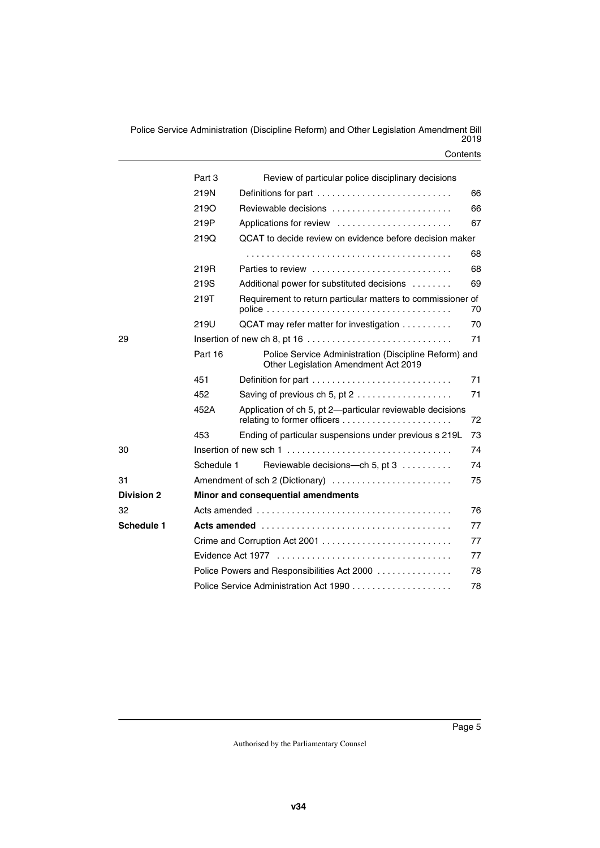|                   | Part 3<br>Review of particular police disciplinary decisions |                                                                                               |    |  |  |
|-------------------|--------------------------------------------------------------|-----------------------------------------------------------------------------------------------|----|--|--|
|                   | 219N                                                         | Definitions for part<br>66                                                                    |    |  |  |
|                   | <b>219O</b>                                                  | Reviewable decisions                                                                          | 66 |  |  |
|                   | 219P                                                         | Applications for review                                                                       | 67 |  |  |
|                   | 219Q                                                         | QCAT to decide review on evidence before decision maker                                       |    |  |  |
|                   |                                                              |                                                                                               | 68 |  |  |
|                   | 219R                                                         | Parties to review                                                                             | 68 |  |  |
|                   | 219S                                                         | Additional power for substituted decisions                                                    | 69 |  |  |
|                   | 219T                                                         | Requirement to return particular matters to commissioner of                                   | 70 |  |  |
|                   | 219U                                                         | QCAT may refer matter for investigation                                                       | 70 |  |  |
| 29                | 71                                                           |                                                                                               |    |  |  |
|                   | Part 16                                                      | Police Service Administration (Discipline Reform) and<br>Other Legislation Amendment Act 2019 |    |  |  |
|                   | 451                                                          |                                                                                               | 71 |  |  |
|                   | 452                                                          | Saving of previous ch 5, pt $2$                                                               | 71 |  |  |
|                   | 452A                                                         | Application of ch 5, pt 2-particular reviewable decisions                                     | 72 |  |  |
|                   | 453                                                          | Ending of particular suspensions under previous s 219L                                        | 73 |  |  |
| 30                |                                                              |                                                                                               |    |  |  |
|                   | Schedule 1                                                   | Reviewable decisions---ch 5, pt 3                                                             | 74 |  |  |
| 31                | Amendment of sch 2 (Dictionary)<br>75                        |                                                                                               |    |  |  |
| <b>Division 2</b> | Minor and consequential amendments                           |                                                                                               |    |  |  |
| 32                |                                                              |                                                                                               | 76 |  |  |
| <b>Schedule 1</b> |                                                              |                                                                                               | 77 |  |  |
|                   | 77                                                           |                                                                                               |    |  |  |
|                   | 77                                                           |                                                                                               |    |  |  |
|                   | Police Powers and Responsibilities Act 2000<br>78            |                                                                                               |    |  |  |
|                   | 78                                                           |                                                                                               |    |  |  |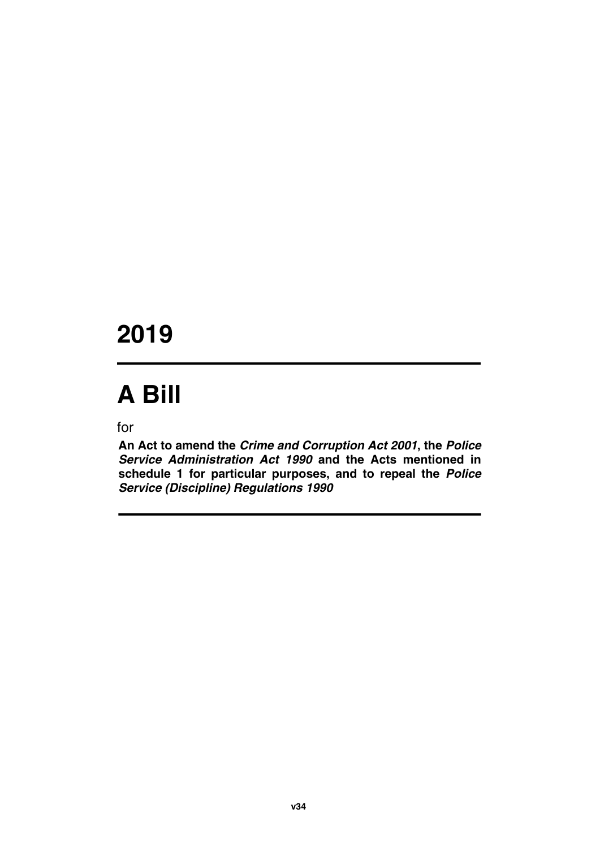## **2019**

# **A Bill**

for

**An Act to amend the** *Crime and Corruption Act 2001***, the** *Police Service Administration Act 1990* **and the Acts mentioned in schedule 1 for particular purposes, and to repeal the** *Police Service (Discipline) Regulations 1990*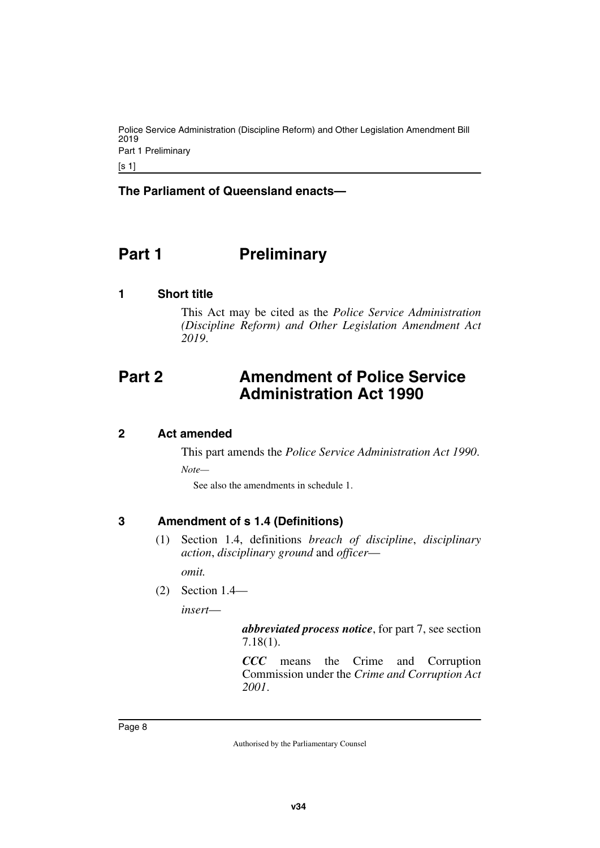Police Service Administration (Discipline Reform) and Other Legislation Amendment Bill 2019 Part 1 Preliminary

[s 1]

### **The Parliament of Queensland enacts—**

### <span id="page-9-0"></span>**Part 1** Preliminary

#### <span id="page-9-2"></span>**1 Short title**

<span id="page-9-5"></span><span id="page-9-3"></span><span id="page-9-1"></span>This Act may be cited as the *Police Service Administration (Discipline Reform) and Other Legislation Amendment Act 2019*.

### <span id="page-9-4"></span>**Part 2 Amendment of Police Service Administration Act 1990**

#### <span id="page-9-6"></span>**2 Act amended**

<span id="page-9-7"></span>This part amends the *Police Service Administration Act 1990*.

*Note—*

See also the amendments in schedule 1.

### <span id="page-9-8"></span>**3 Amendment of s 1.4 (Definitions)**

<span id="page-9-9"></span>(1) Section 1.4, definitions *breach of discipline*, *disciplinary action*, *disciplinary ground* and *officer*—

*omit.*

(2) Section 1.4—

*insert*—

*abbreviated process notice*, for part 7, see section 7.18(1).

*CCC* means the Crime and Corruption Commission under the *Crime and Corruption Act 2001*.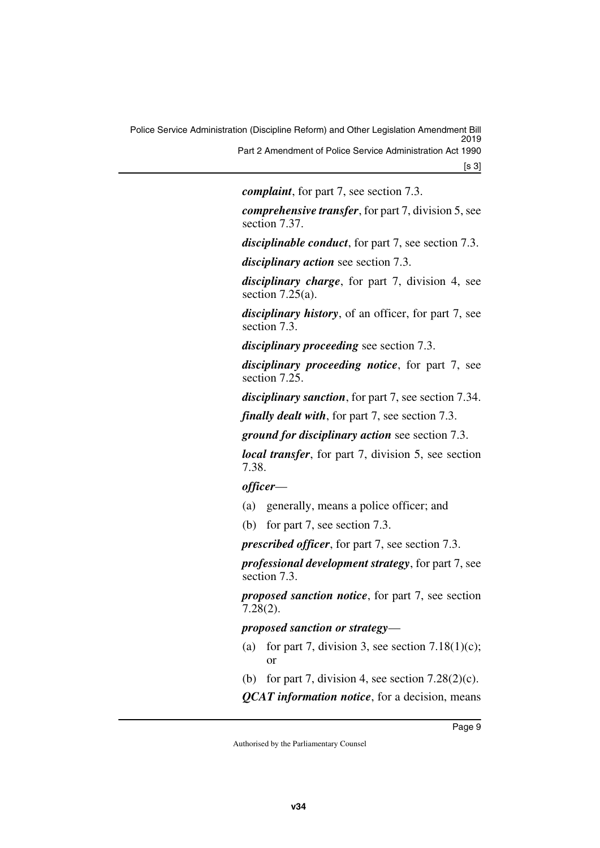*complaint*, for part 7, see section 7.3.

*comprehensive transfer*, for part 7, division 5, see section 7.37.

*disciplinable conduct*, for part 7, see section 7.3.

*disciplinary action* see section 7.3.

*disciplinary charge*, for part 7, division 4, see section  $7.25(a)$ .

*disciplinary history*, of an officer, for part 7, see section 7.3.

*disciplinary proceeding* see section 7.3.

*disciplinary proceeding notice*, for part 7, see section 7.25.

*disciplinary sanction*, for part 7, see section 7.34.

*finally dealt with*, for part 7, see section 7.3.

*ground for disciplinary action* see section 7.3.

*local transfer*, for part 7, division 5, see section 7.38.

*officer*—

- (a) generally, means a police officer; and
- (b) for part 7, see section 7.3.

*prescribed officer*, for part 7, see section 7.3.

*professional development strategy*, for part 7, see section 7.3.

*proposed sanction notice*, for part 7, see section 7.28(2).

*proposed sanction or strategy*—

- (a) for part 7, division 3, see section  $7.18(1)(c)$ ; or
- (b) for part 7, division 4, see section  $7.28(2)(c)$ .

*QCAT information notice*, for a decision, means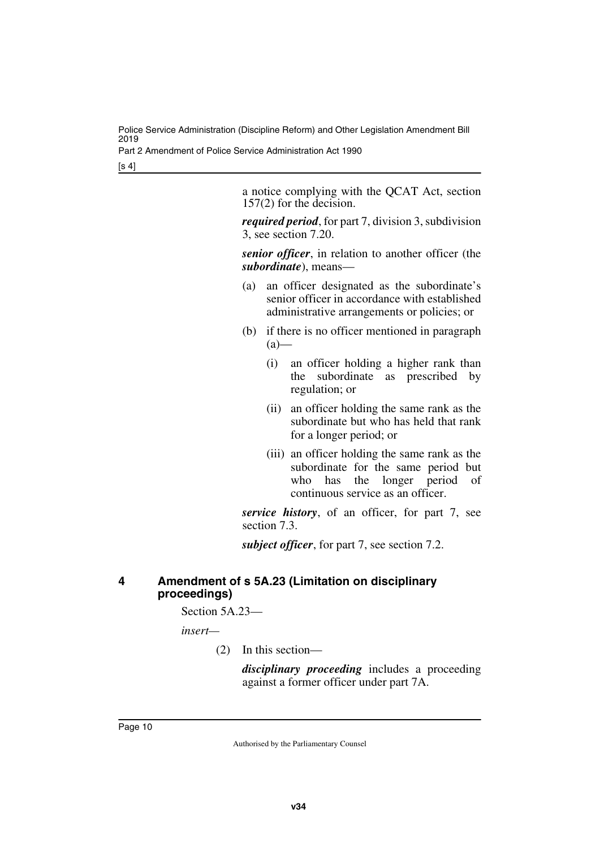Part 2 Amendment of Police Service Administration Act 1990

[s 4]

a notice complying with the QCAT Act, section 157(2) for the decision.

*required period*, for part 7, division 3, subdivision 3, see section 7.20.

*senior officer*, in relation to another officer (the *subordinate*), means—

- (a) an officer designated as the subordinate's senior officer in accordance with established administrative arrangements or policies; or
- (b) if there is no officer mentioned in paragraph  $(a)$ —
	- (i) an officer holding a higher rank than the subordinate as prescribed by regulation; or
	- (ii) an officer holding the same rank as the subordinate but who has held that rank for a longer period; or
	- (iii) an officer holding the same rank as the subordinate for the same period but who has the longer period of continuous service as an officer.

*service history*, of an officer, for part 7, see section 7.3.

*subject officer*, for part 7, see section 7.2.

### <span id="page-11-1"></span><span id="page-11-0"></span>**4 Amendment of s 5A.23 (Limitation on disciplinary proceedings)**

Section 5A.23—

*insert—*

(2) In this section—

*disciplinary proceeding* includes a proceeding against a former officer under part 7A.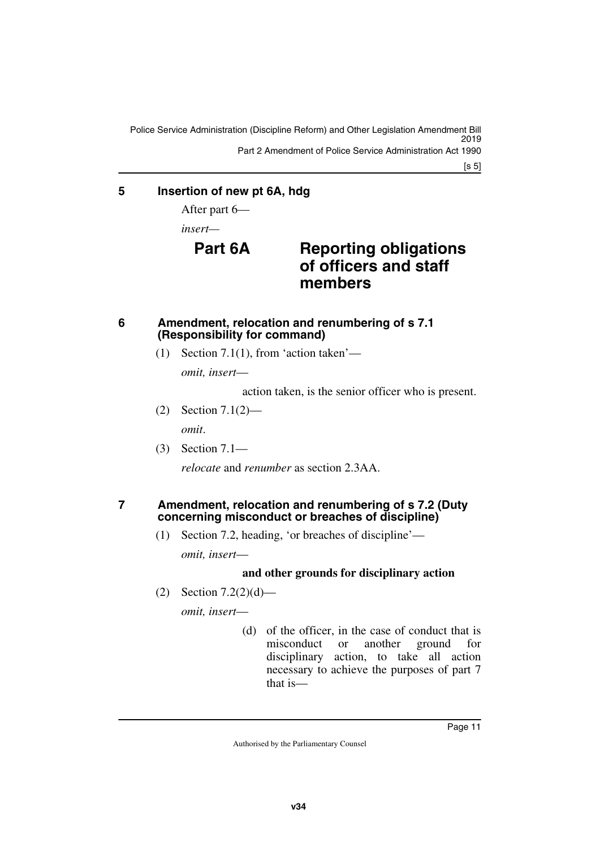Police Service Administration (Discipline Reform) and Other Legislation Amendment Bill 2019 Part 2 Amendment of Police Service Administration Act 1990

[s 5]

### <span id="page-12-0"></span>**5 Insertion of new pt 6A, hdg**

<span id="page-12-1"></span>After part 6—

*insert—*

### **Part 6A Reporting obligations of officers and staff members**

### <span id="page-12-2"></span>**6 Amendment, relocation and renumbering of s 7.1 (Responsibility for command)**

<span id="page-12-3"></span>(1) Section 7.1(1), from 'action taken'—

*omit, insert*—

action taken, is the senior officer who is present.

- (2) Section 7.1(2) *omit*.
- (3) Section 7.1—

<span id="page-12-5"></span>*relocate* and *renumber* as section 2.3AA.

### <span id="page-12-4"></span>**7 Amendment, relocation and renumbering of s 7.2 (Duty concerning misconduct or breaches of discipline)**

(1) Section 7.2, heading, 'or breaches of discipline'—

*omit, insert*—

### **and other grounds for disciplinary action**

(2) Section 7.2(2)(d)—

*omit, insert*—

(d) of the officer, in the case of conduct that is misconduct or another ground for disciplinary action, to take all action necessary to achieve the purposes of part 7 that is—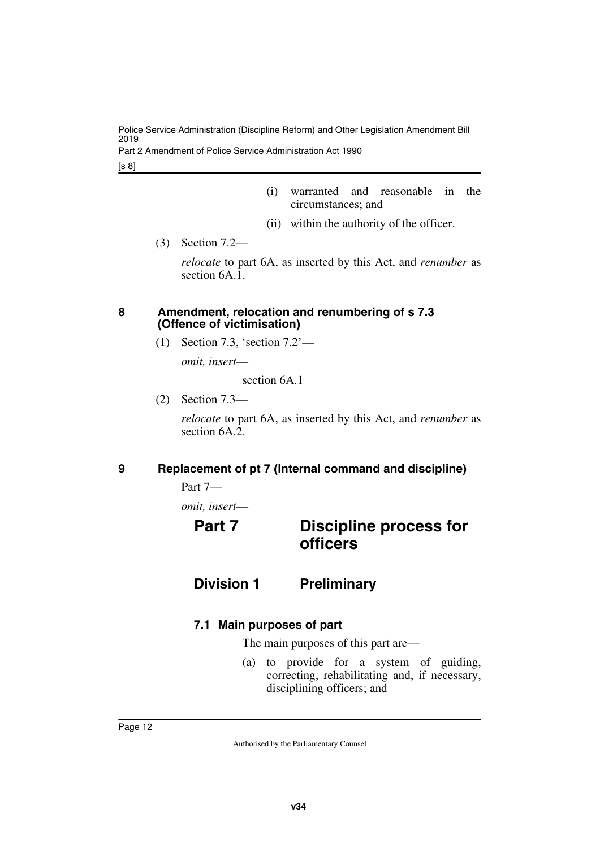Part 2 Amendment of Police Service Administration Act 1990

[s 8]

- (i) warranted and reasonable in the circumstances; and
- (ii) within the authority of the officer.
- (3) Section 7.2—

*relocate* to part 6A, as inserted by this Act, and *renumber* as section 6A.1.

### <span id="page-13-0"></span>**8 Amendment, relocation and renumbering of s 7.3 (Offence of victimisation)**

<span id="page-13-1"></span>(1) Section 7.3, 'section 7.2'—

*omit, insert*—

section 6A.1

(2) Section 7.3—

*relocate* to part 6A, as inserted by this Act, and *renumber* as section 6A.2.

### <span id="page-13-2"></span>**9 Replacement of pt 7 (Internal command and discipline)**

<span id="page-13-3"></span>Part 7—

*omit, insert*—

### <span id="page-13-5"></span><span id="page-13-4"></span>**Part 7 Discipline process for officers**

### <span id="page-13-6"></span>**Division 1 Preliminary**

### <span id="page-13-9"></span><span id="page-13-8"></span>**7.1 Main purposes of part**

<span id="page-13-7"></span>The main purposes of this part are—

(a) to provide for a system of guiding, correcting, rehabilitating and, if necessary, disciplining officers; and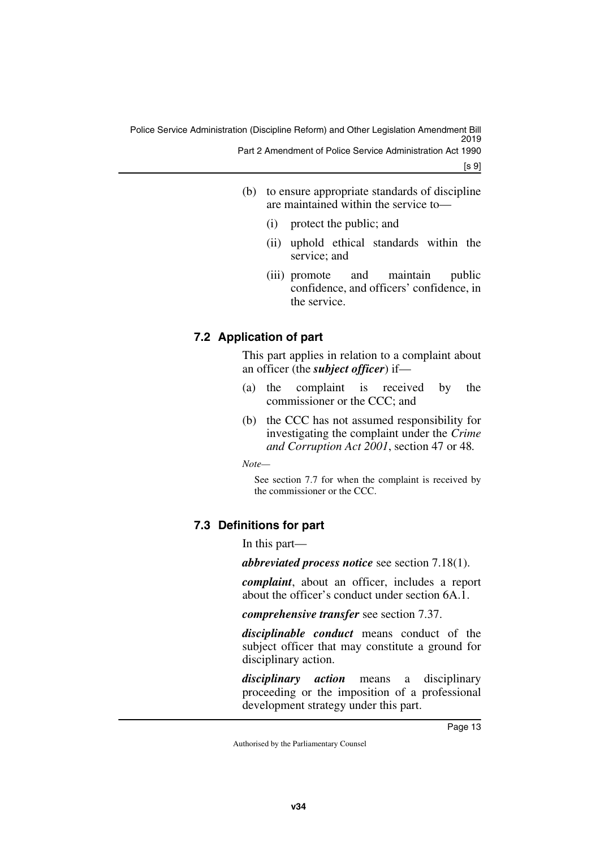- (b) to ensure appropriate standards of discipline are maintained within the service to—
	- (i) protect the public; and
	- (ii) uphold ethical standards within the service; and
	- (iii) promote and maintain public confidence, and officers' confidence, in the service.

### <span id="page-14-1"></span><span id="page-14-0"></span>**7.2 Application of part**

This part applies in relation to a complaint about an officer (the *subject officer*) if—

- (a) the complaint is received by the commissioner or the CCC; and
- (b) the CCC has not assumed responsibility for investigating the complaint under the *Crime and Corruption Act 2001*, section 47 or 48*.*

*Note—*

See section 7.7 for when the complaint is received by the commissioner or the CCC.

### <span id="page-14-3"></span><span id="page-14-2"></span>**7.3 Definitions for part**

In this part—

*abbreviated process notice* see section 7.18(1).

*complaint*, about an officer, includes a report about the officer's conduct under section 6A.1.

*comprehensive transfer* see section 7.37.

*disciplinable conduct* means conduct of the subject officer that may constitute a ground for disciplinary action.

*disciplinary action* means a disciplinary proceeding or the imposition of a professional development strategy under this part.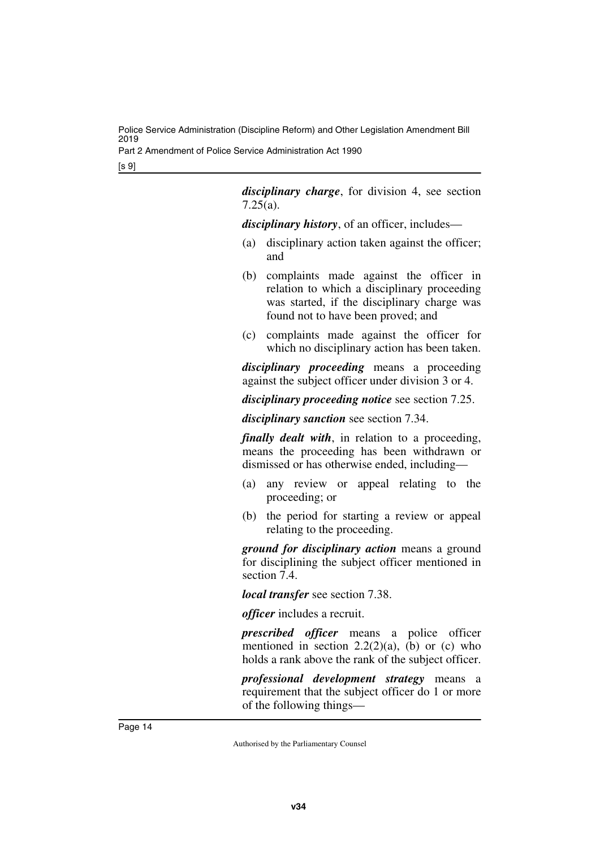Part 2 Amendment of Police Service Administration Act 1990

[s 9]

*disciplinary charge*, for division 4, see section 7.25(a).

*disciplinary history*, of an officer, includes—

- (a) disciplinary action taken against the officer; and
- (b) complaints made against the officer in relation to which a disciplinary proceeding was started, if the disciplinary charge was found not to have been proved; and
- (c) complaints made against the officer for which no disciplinary action has been taken.

*disciplinary proceeding* means a proceeding against the subject officer under division 3 or 4.

*disciplinary proceeding notice* see section 7.25.

*disciplinary sanction* see section 7.34.

*finally dealt with*, in relation to a proceeding, means the proceeding has been withdrawn or dismissed or has otherwise ended, including—

- (a) any review or appeal relating to the proceeding; or
- (b) the period for starting a review or appeal relating to the proceeding.

*ground for disciplinary action* means a ground for disciplining the subject officer mentioned in section 7.4.

*local transfer* see section 7.38.

*officer* includes a recruit.

*prescribed officer* means a police officer mentioned in section  $2.2(2)(a)$ , (b) or (c) who holds a rank above the rank of the subject officer.

*professional development strategy* means a requirement that the subject officer do 1 or more of the following things—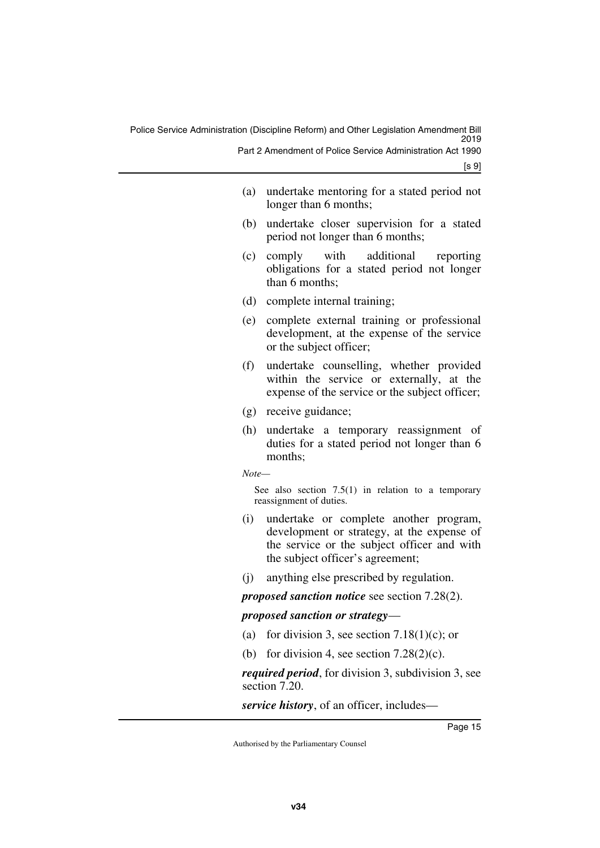| (a) undertake mentoring for a stated period not |
|-------------------------------------------------|
| longer than 6 months;                           |

- (b) undertake closer supervision for a stated period not longer than 6 months;
- (c) comply with additional reporting obligations for a stated period not longer than 6 months;
- (d) complete internal training;
- (e) complete external training or professional development, at the expense of the service or the subject officer;
- (f) undertake counselling, whether provided within the service or externally, at the expense of the service or the subject officer;
- (g) receive guidance;
- (h) undertake a temporary reassignment of duties for a stated period not longer than 6 months:

*Note—*

See also section  $7.5(1)$  in relation to a temporary reassignment of duties.

- (i) undertake or complete another program, development or strategy, at the expense of the service or the subject officer and with the subject officer's agreement;
- (j) anything else prescribed by regulation.

*proposed sanction notice* see section 7.28(2).

### *proposed sanction or strategy*—

- (a) for division 3, see section  $7.18(1)(c)$ ; or
- (b) for division 4, see section  $7.28(2)(c)$ .

*required period*, for division 3, subdivision 3, see section 7.20.

*service history*, of an officer, includes—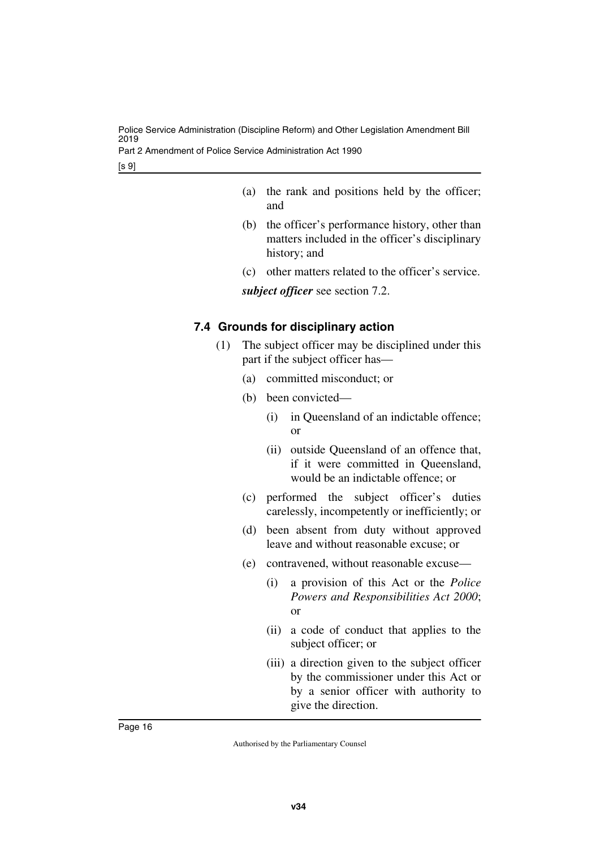Part 2 Amendment of Police Service Administration Act 1990

[s 9]

- (a) the rank and positions held by the officer; and
- (b) the officer's performance history, other than matters included in the officer's disciplinary history; and
- (c) other matters related to the officer's service.

*subject officer* see section 7.2.

### <span id="page-17-1"></span><span id="page-17-0"></span>**7.4 Grounds for disciplinary action**

- (1) The subject officer may be disciplined under this part if the subject officer has—
	- (a) committed misconduct; or
	- (b) been convicted—
		- (i) in Queensland of an indictable offence; or
		- (ii) outside Queensland of an offence that, if it were committed in Queensland, would be an indictable offence; or
	- (c) performed the subject officer's duties carelessly, incompetently or inefficiently; or
	- (d) been absent from duty without approved leave and without reasonable excuse; or
	- (e) contravened, without reasonable excuse—
		- (i) a provision of this Act or the *Police Powers and Responsibilities Act 2000*; or
		- (ii) a code of conduct that applies to the subject officer; or
		- (iii) a direction given to the subject officer by the commissioner under this Act or by a senior officer with authority to give the direction.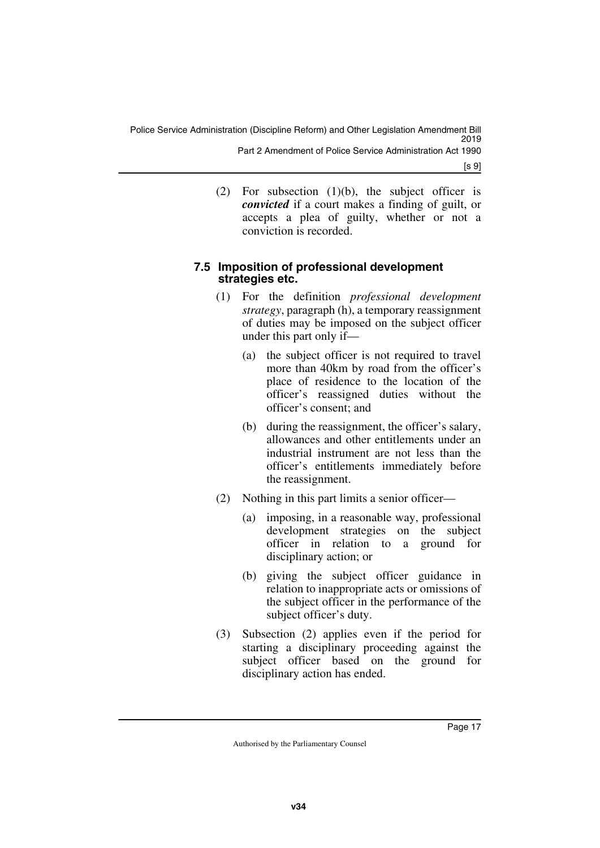[s 9]

(2) For subsection (1)(b), the subject officer is *convicted* if a court makes a finding of guilt, or accepts a plea of guilty, whether or not a conviction is recorded.

### <span id="page-18-1"></span><span id="page-18-0"></span>**7.5 Imposition of professional development strategies etc.**

- (1) For the definition *professional development strategy*, paragraph (h), a temporary reassignment of duties may be imposed on the subject officer under this part only if—
	- (a) the subject officer is not required to travel more than 40km by road from the officer's place of residence to the location of the officer's reassigned duties without the officer's consent; and
	- (b) during the reassignment, the officer's salary, allowances and other entitlements under an industrial instrument are not less than the officer's entitlements immediately before the reassignment.
- (2) Nothing in this part limits a senior officer—
	- (a) imposing, in a reasonable way, professional development strategies on the subject officer in relation to a ground for disciplinary action; or
	- (b) giving the subject officer guidance in relation to inappropriate acts or omissions of the subject officer in the performance of the subject officer's duty.
- (3) Subsection (2) applies even if the period for starting a disciplinary proceeding against the subject officer based on the ground for disciplinary action has ended.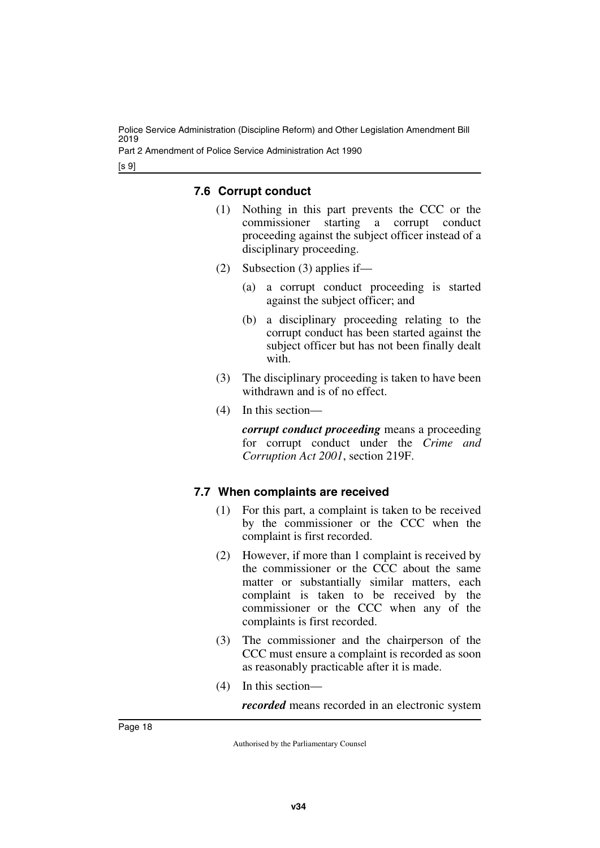Part 2 Amendment of Police Service Administration Act 1990

[s 9]

### <span id="page-19-1"></span><span id="page-19-0"></span>**7.6 Corrupt conduct**

- (1) Nothing in this part prevents the CCC or the commissioner starting a corrupt conduct proceeding against the subject officer instead of a disciplinary proceeding.
- (2) Subsection (3) applies if—
	- (a) a corrupt conduct proceeding is started against the subject officer; and
	- (b) a disciplinary proceeding relating to the corrupt conduct has been started against the subject officer but has not been finally dealt with.
- (3) The disciplinary proceeding is taken to have been withdrawn and is of no effect.
- (4) In this section—

*corrupt conduct proceeding* means a proceeding for corrupt conduct under the *Crime and Corruption Act 2001*, section 219F.

### <span id="page-19-3"></span><span id="page-19-2"></span>**7.7 When complaints are received**

- (1) For this part, a complaint is taken to be received by the commissioner or the CCC when the complaint is first recorded.
- (2) However, if more than 1 complaint is received by the commissioner or the CCC about the same matter or substantially similar matters, each complaint is taken to be received by the commissioner or the CCC when any of the complaints is first recorded.
- (3) The commissioner and the chairperson of the CCC must ensure a complaint is recorded as soon as reasonably practicable after it is made.
- (4) In this section—

*recorded* means recorded in an electronic system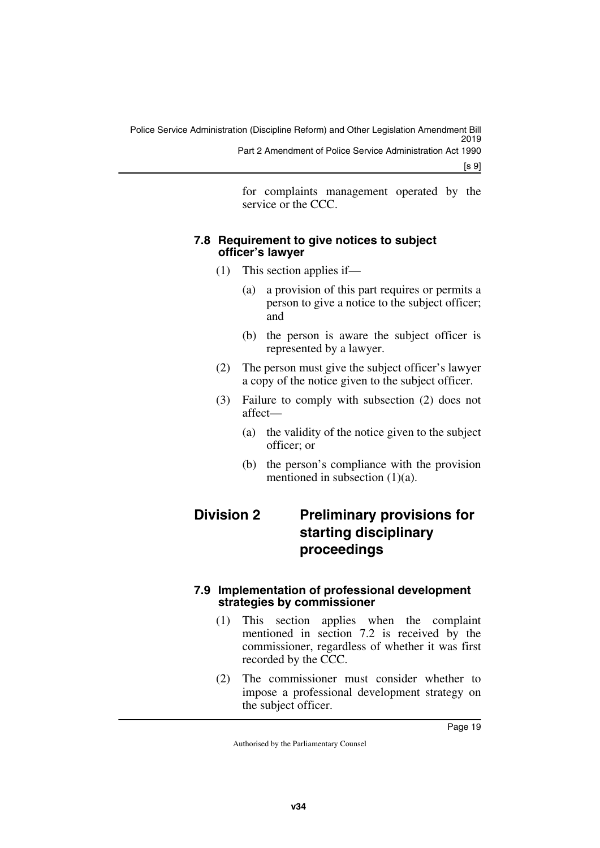for complaints management operated by the service or the CCC.

### <span id="page-20-1"></span><span id="page-20-0"></span>**7.8 Requirement to give notices to subject officer's lawyer**

- (1) This section applies if—
	- (a) a provision of this part requires or permits a person to give a notice to the subject officer; and
	- (b) the person is aware the subject officer is represented by a lawyer.
- (2) The person must give the subject officer's lawyer a copy of the notice given to the subject officer.
- (3) Failure to comply with subsection (2) does not affect—
	- (a) the validity of the notice given to the subject officer; or
	- (b) the person's compliance with the provision mentioned in subsection  $(1)(a)$ .

### <span id="page-20-3"></span><span id="page-20-2"></span>**Division 2 Preliminary provisions for starting disciplinary proceedings**

### <span id="page-20-5"></span><span id="page-20-4"></span>**7.9 Implementation of professional development strategies by commissioner**

- (1) This section applies when the complaint mentioned in section 7.2 is received by the commissioner, regardless of whether it was first recorded by the CCC.
- (2) The commissioner must consider whether to impose a professional development strategy on the subject officer.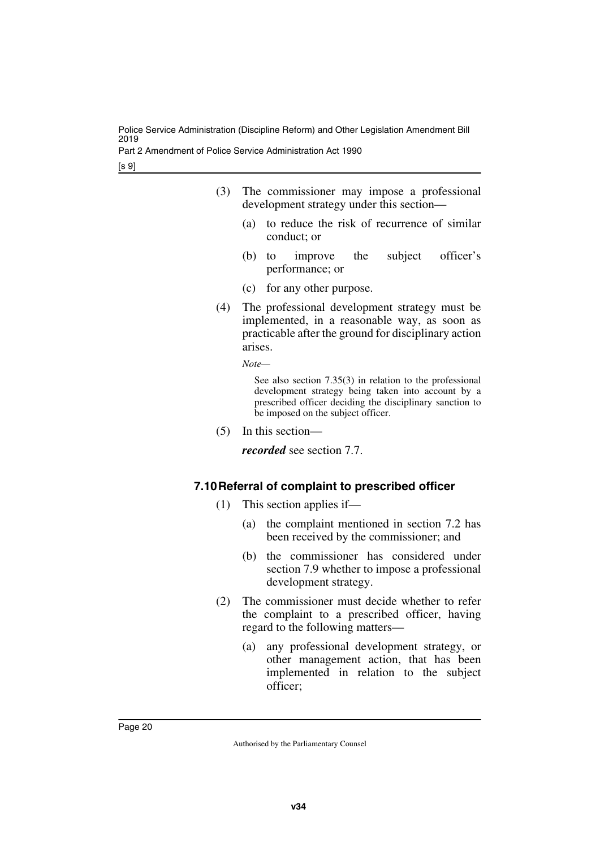Part 2 Amendment of Police Service Administration Act 1990

[s 9]

- (3) The commissioner may impose a professional development strategy under this section—
	- (a) to reduce the risk of recurrence of similar conduct; or
	- (b) to improve the subject officer's performance; or
	- (c) for any other purpose.
- (4) The professional development strategy must be implemented, in a reasonable way, as soon as practicable after the ground for disciplinary action arises.

*Note—*

See also section 7.35(3) in relation to the professional development strategy being taken into account by a prescribed officer deciding the disciplinary sanction to be imposed on the subject officer.

(5) In this section—

*recorded* see section 7.7.

### <span id="page-21-1"></span><span id="page-21-0"></span>**7.10Referral of complaint to prescribed officer**

- (1) This section applies if—
	- (a) the complaint mentioned in section 7.2 has been received by the commissioner; and
	- (b) the commissioner has considered under section 7.9 whether to impose a professional development strategy.
- (2) The commissioner must decide whether to refer the complaint to a prescribed officer, having regard to the following matters—
	- (a) any professional development strategy, or other management action, that has been implemented in relation to the subject officer;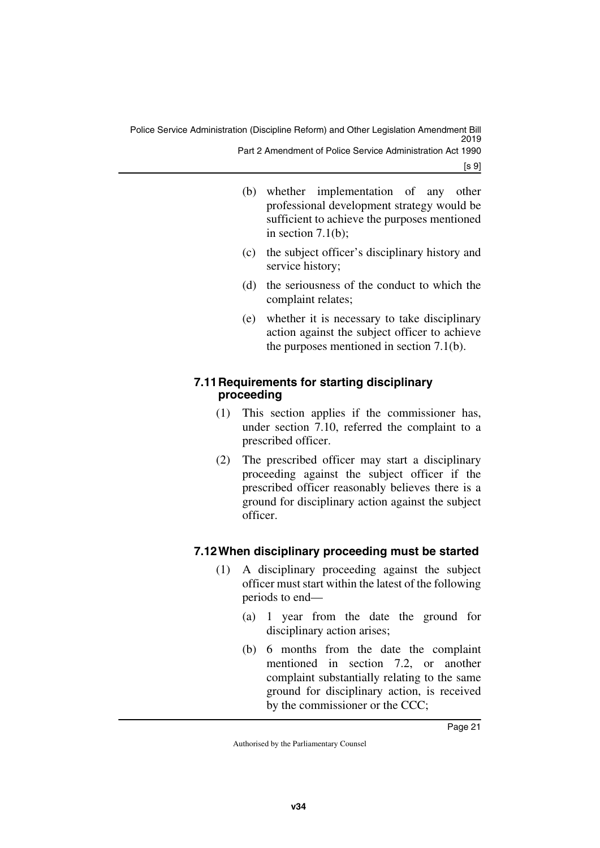Police Service Administration (Discipline Reform) and Other Legislation Amendment Bill 2019 Part 2 Amendment of Police Service Administration Act 1990

[s 9]

- (b) whether implementation of any other professional development strategy would be sufficient to achieve the purposes mentioned in section 7.1(b);
- (c) the subject officer's disciplinary history and service history;
- (d) the seriousness of the conduct to which the complaint relates;
- (e) whether it is necessary to take disciplinary action against the subject officer to achieve the purposes mentioned in section 7.1(b).

### <span id="page-22-1"></span><span id="page-22-0"></span>**7.11Requirements for starting disciplinary proceeding**

- (1) This section applies if the commissioner has, under section 7.10, referred the complaint to a prescribed officer.
- (2) The prescribed officer may start a disciplinary proceeding against the subject officer if the prescribed officer reasonably believes there is a ground for disciplinary action against the subject officer.

### <span id="page-22-3"></span><span id="page-22-2"></span>**7.12When disciplinary proceeding must be started**

- (1) A disciplinary proceeding against the subject officer must start within the latest of the following periods to end—
	- (a) 1 year from the date the ground for disciplinary action arises;
	- (b) 6 months from the date the complaint mentioned in section 7.2, or another complaint substantially relating to the same ground for disciplinary action, is received by the commissioner or the CCC;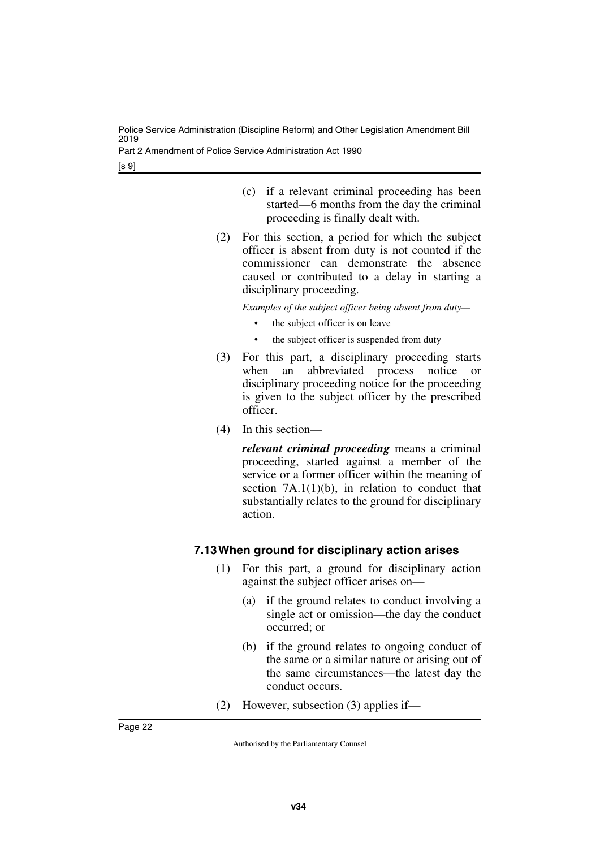Part 2 Amendment of Police Service Administration Act 1990

[s 9]

- (c) if a relevant criminal proceeding has been started—6 months from the day the criminal proceeding is finally dealt with.
- (2) For this section, a period for which the subject officer is absent from duty is not counted if the commissioner can demonstrate the absence caused or contributed to a delay in starting a disciplinary proceeding.

*Examples of the subject officer being absent from duty—*

- the subject officer is on leave
- the subject officer is suspended from duty
- (3) For this part, a disciplinary proceeding starts when an abbreviated process notice or disciplinary proceeding notice for the proceeding is given to the subject officer by the prescribed officer.
- (4) In this section—

*relevant criminal proceeding* means a criminal proceeding, started against a member of the service or a former officer within the meaning of section  $7A.1(1)(b)$ , in relation to conduct that substantially relates to the ground for disciplinary action.

### <span id="page-23-1"></span><span id="page-23-0"></span>**7.13When ground for disciplinary action arises**

- (1) For this part, a ground for disciplinary action against the subject officer arises on—
	- (a) if the ground relates to conduct involving a single act or omission—the day the conduct occurred; or
	- (b) if the ground relates to ongoing conduct of the same or a similar nature or arising out of the same circumstances—the latest day the conduct occurs.
- (2) However, subsection (3) applies if—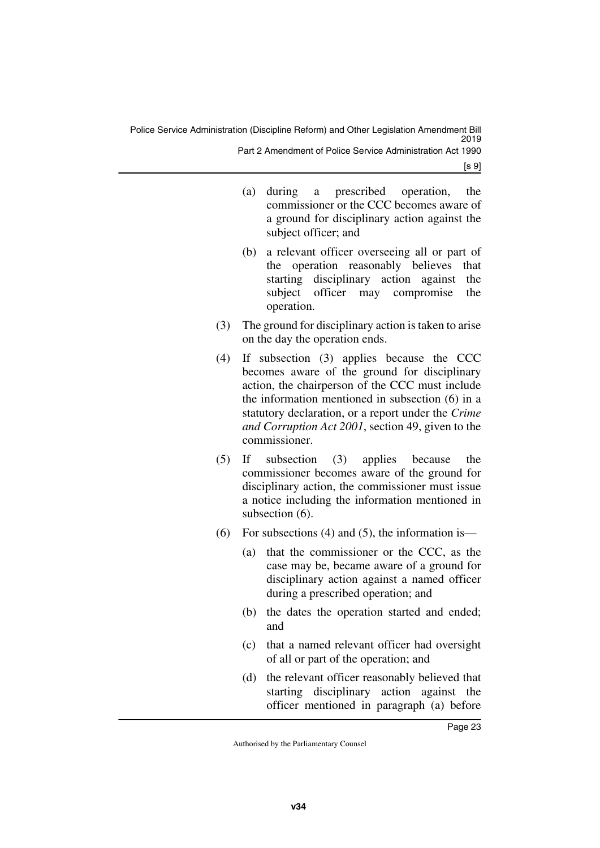Police Service Administration (Discipline Reform) and Other Legislation Amendment Bill 2019 Part 2 Amendment of Police Service Administration Act 1990

[s 9]

- (a) during a prescribed operation, the commissioner or the CCC becomes aware of a ground for disciplinary action against the subject officer; and
- (b) a relevant officer overseeing all or part of the operation reasonably believes that starting disciplinary action against the subject officer may compromise the operation.
- (3) The ground for disciplinary action is taken to arise on the day the operation ends.
- (4) If subsection (3) applies because the CCC becomes aware of the ground for disciplinary action, the chairperson of the CCC must include the information mentioned in subsection (6) in a statutory declaration, or a report under the *Crime and Corruption Act 2001*, section 49, given to the commissioner.
- (5) If subsection (3) applies because the commissioner becomes aware of the ground for disciplinary action, the commissioner must issue a notice including the information mentioned in subsection (6).
- (6) For subsections (4) and (5), the information is—
	- (a) that the commissioner or the CCC, as the case may be, became aware of a ground for disciplinary action against a named officer during a prescribed operation; and
	- (b) the dates the operation started and ended; and
	- (c) that a named relevant officer had oversight of all or part of the operation; and
	- (d) the relevant officer reasonably believed that starting disciplinary action against the officer mentioned in paragraph (a) before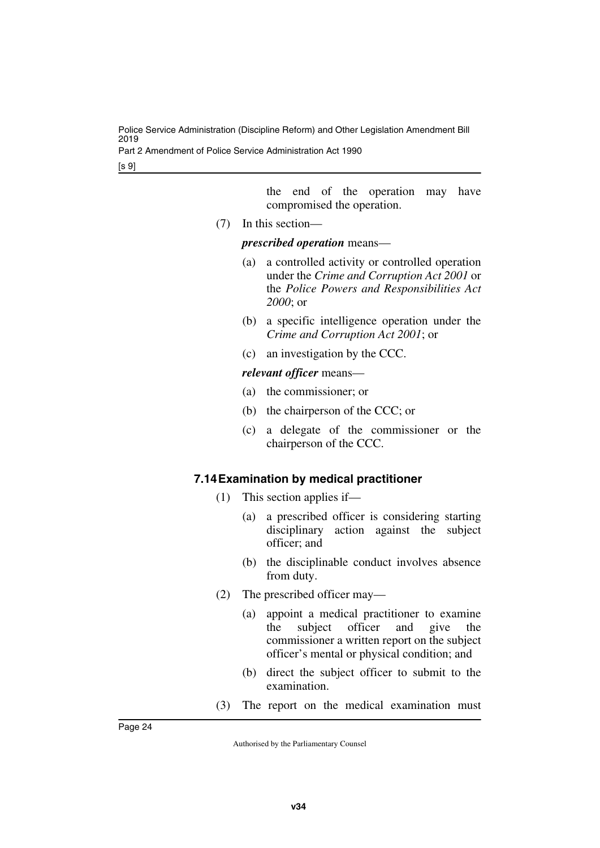Part 2 Amendment of Police Service Administration Act 1990

[s 9]

the end of the operation may have compromised the operation.

(7) In this section—

#### *prescribed operation* means—

- (a) a controlled activity or controlled operation under the *Crime and Corruption Act 2001* or the *Police Powers and Responsibilities Act 2000*; or
- (b) a specific intelligence operation under the *Crime and Corruption Act 2001*; or
- (c) an investigation by the CCC.

### *relevant officer* means—

- (a) the commissioner; or
- (b) the chairperson of the CCC; or
- (c) a delegate of the commissioner or the chairperson of the CCC.

### <span id="page-25-1"></span><span id="page-25-0"></span>**7.14Examination by medical practitioner**

- (1) This section applies if—
	- (a) a prescribed officer is considering starting disciplinary action against the subject officer; and
	- (b) the disciplinable conduct involves absence from duty.
- (2) The prescribed officer may—
	- (a) appoint a medical practitioner to examine the subject officer and give the commissioner a written report on the subject officer's mental or physical condition; and
	- (b) direct the subject officer to submit to the examination.
- (3) The report on the medical examination must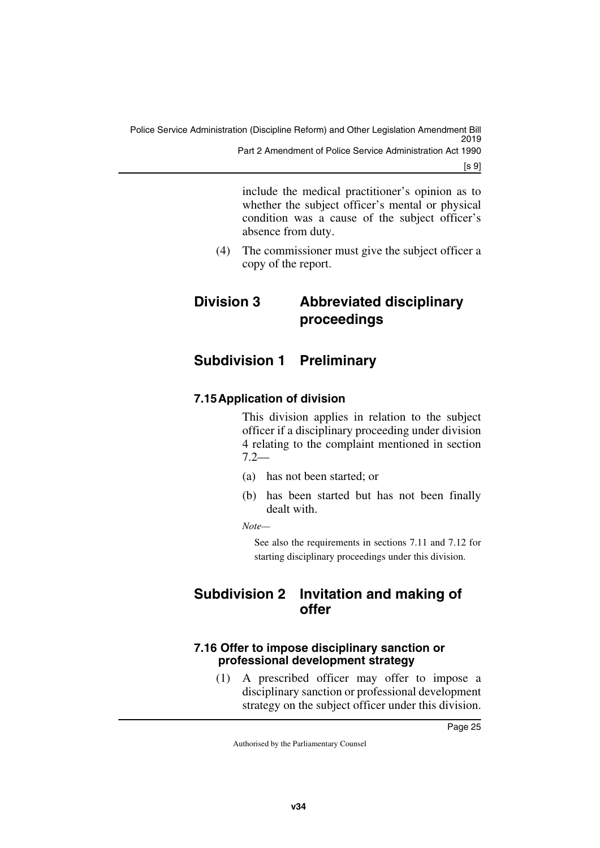[s 9]

include the medical practitioner's opinion as to whether the subject officer's mental or physical condition was a cause of the subject officer's absence from duty.

<span id="page-26-1"></span>(4) The commissioner must give the subject officer a copy of the report.

### <span id="page-26-0"></span>**Division 3 Abbreviated disciplinary proceedings**

### <span id="page-26-2"></span>**Subdivision 1 Preliminary**

### <span id="page-26-5"></span><span id="page-26-4"></span>**7.15Application of division**

<span id="page-26-3"></span>This division applies in relation to the subject officer if a disciplinary proceeding under division 4 relating to the complaint mentioned in section 7.2—

- (a) has not been started; or
- (b) has been started but has not been finally dealt with.

*Note—*

<span id="page-26-7"></span>See also the requirements in sections 7.11 and 7.12 for starting disciplinary proceedings under this division.

### <span id="page-26-6"></span>**Subdivision 2 Invitation and making of offer**

### <span id="page-26-9"></span><span id="page-26-8"></span>**7.16 Offer to impose disciplinary sanction or professional development strategy**

(1) A prescribed officer may offer to impose a disciplinary sanction or professional development strategy on the subject officer under this division.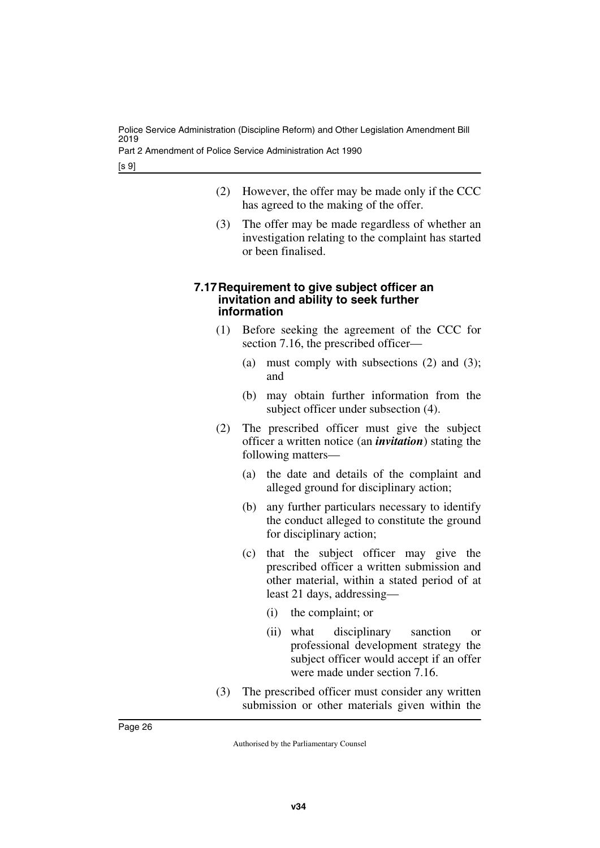Part 2 Amendment of Police Service Administration Act 1990

[s 9]

- (2) However, the offer may be made only if the CCC has agreed to the making of the offer.
- (3) The offer may be made regardless of whether an investigation relating to the complaint has started or been finalised.

#### <span id="page-27-1"></span><span id="page-27-0"></span>**7.17Requirement to give subject officer an invitation and ability to seek further information**

- (1) Before seeking the agreement of the CCC for section 7.16, the prescribed officer—
	- (a) must comply with subsections  $(2)$  and  $(3)$ ; and
	- (b) may obtain further information from the subject officer under subsection (4).
- (2) The prescribed officer must give the subject officer a written notice (an *invitation*) stating the following matters—
	- (a) the date and details of the complaint and alleged ground for disciplinary action;
	- (b) any further particulars necessary to identify the conduct alleged to constitute the ground for disciplinary action;
	- (c) that the subject officer may give the prescribed officer a written submission and other material, within a stated period of at least 21 days, addressing—
		- (i) the complaint; or
		- (ii) what disciplinary sanction or professional development strategy the subject officer would accept if an offer were made under section 7.16.
- (3) The prescribed officer must consider any written submission or other materials given within the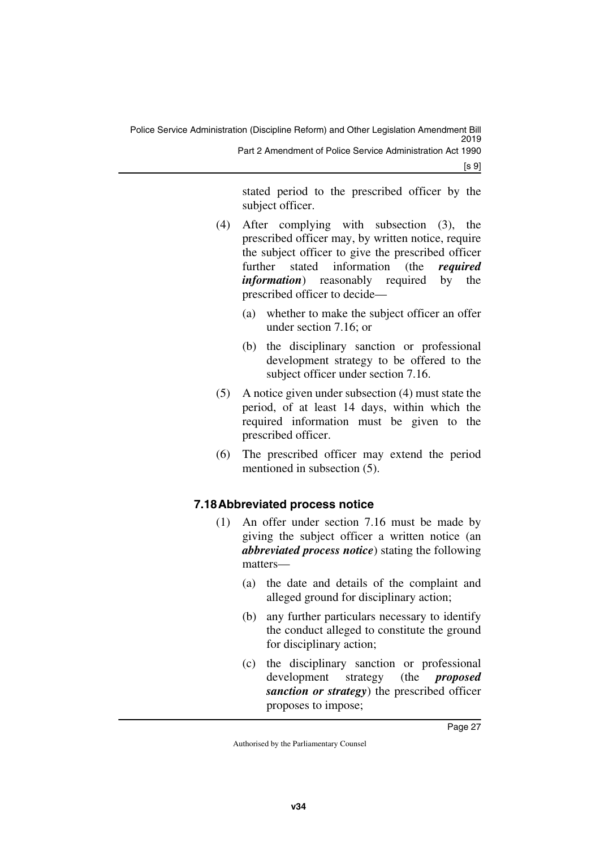stated period to the prescribed officer by the subject officer.

- (4) After complying with subsection (3), the prescribed officer may, by written notice, require the subject officer to give the prescribed officer further stated information (the *required information*) reasonably required by the prescribed officer to decide—
	- (a) whether to make the subject officer an offer under section 7.16; or
	- (b) the disciplinary sanction or professional development strategy to be offered to the subject officer under section 7.16.
- (5) A notice given under subsection (4) must state the period, of at least 14 days, within which the required information must be given to the prescribed officer.
- (6) The prescribed officer may extend the period mentioned in subsection (5).

### <span id="page-28-1"></span><span id="page-28-0"></span>**7.18Abbreviated process notice**

- (1) An offer under section 7.16 must be made by giving the subject officer a written notice (an *abbreviated process notice*) stating the following matters—
	- (a) the date and details of the complaint and alleged ground for disciplinary action;
	- (b) any further particulars necessary to identify the conduct alleged to constitute the ground for disciplinary action;
	- (c) the disciplinary sanction or professional development strategy (the *proposed sanction or strategy*) the prescribed officer proposes to impose;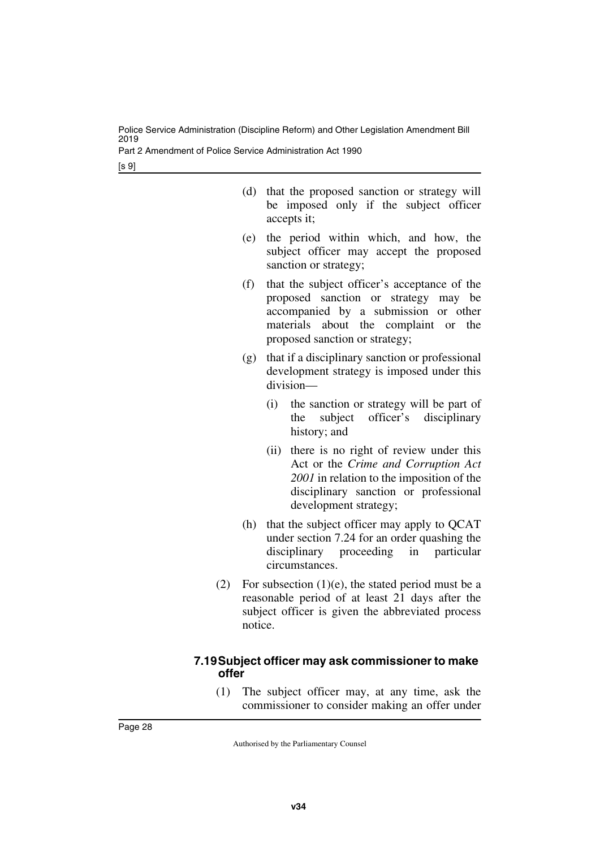Part 2 Amendment of Police Service Administration Act 1990

[s 9]

| (d) that the proposed sanction or strategy will |                                        |  |  |  |  |  |  |
|-------------------------------------------------|----------------------------------------|--|--|--|--|--|--|
|                                                 | be imposed only if the subject officer |  |  |  |  |  |  |
|                                                 | accepts it;                            |  |  |  |  |  |  |

- (e) the period within which, and how, the subject officer may accept the proposed sanction or strategy;
- (f) that the subject officer's acceptance of the proposed sanction or strategy may be accompanied by a submission or other materials about the complaint or the proposed sanction or strategy;
- (g) that if a disciplinary sanction or professional development strategy is imposed under this division—
	- (i) the sanction or strategy will be part of the subject officer's disciplinary history; and
	- (ii) there is no right of review under this Act or the *Crime and Corruption Act 2001* in relation to the imposition of the disciplinary sanction or professional development strategy;
- (h) that the subject officer may apply to QCAT under section 7.24 for an order quashing the disciplinary proceeding in particular circumstances.
- (2) For subsection  $(1)(e)$ , the stated period must be a reasonable period of at least 21 days after the subject officer is given the abbreviated process notice.

### <span id="page-29-1"></span><span id="page-29-0"></span>**7.19Subject officer may ask commissioner to make offer**

(1) The subject officer may, at any time, ask the commissioner to consider making an offer under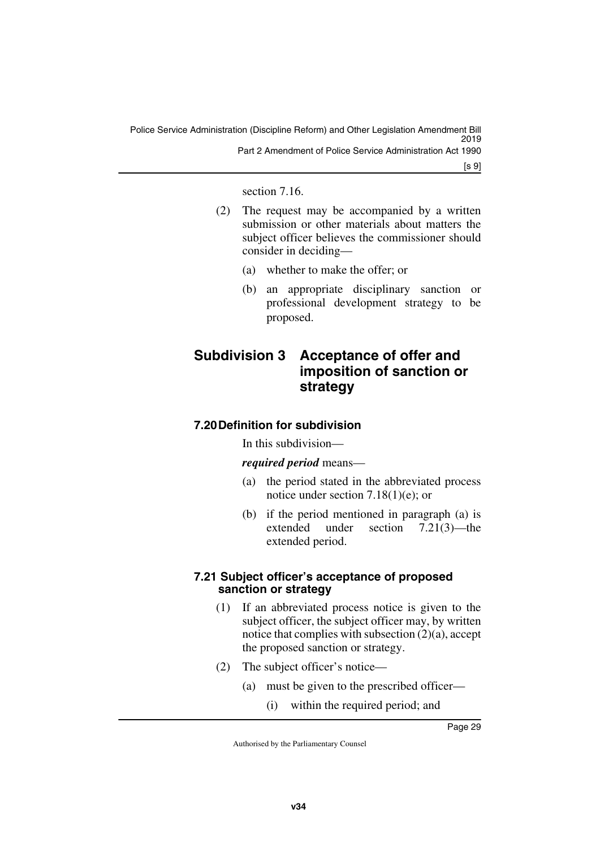[s 9]

section 7.16.

- (2) The request may be accompanied by a written submission or other materials about matters the subject officer believes the commissioner should consider in deciding—
	- (a) whether to make the offer; or
	- (b) an appropriate disciplinary sanction or professional development strategy to be proposed.

### <span id="page-30-1"></span><span id="page-30-0"></span>**Subdivision 3 Acceptance of offer and imposition of sanction or strategy**

### <span id="page-30-3"></span><span id="page-30-2"></span>**7.20Definition for subdivision**

In this subdivision—

*required period* means—

- (a) the period stated in the abbreviated process notice under section 7.18(1)(e); or
- (b) if the period mentioned in paragraph (a) is extended under section 7.21(3)—the extended period.

### <span id="page-30-5"></span><span id="page-30-4"></span>**7.21 Subject officer's acceptance of proposed sanction or strategy**

- (1) If an abbreviated process notice is given to the subject officer, the subject officer may, by written notice that complies with subsection  $(2)(a)$ , accept the proposed sanction or strategy.
- (2) The subject officer's notice—
	- (a) must be given to the prescribed officer—
		- (i) within the required period; and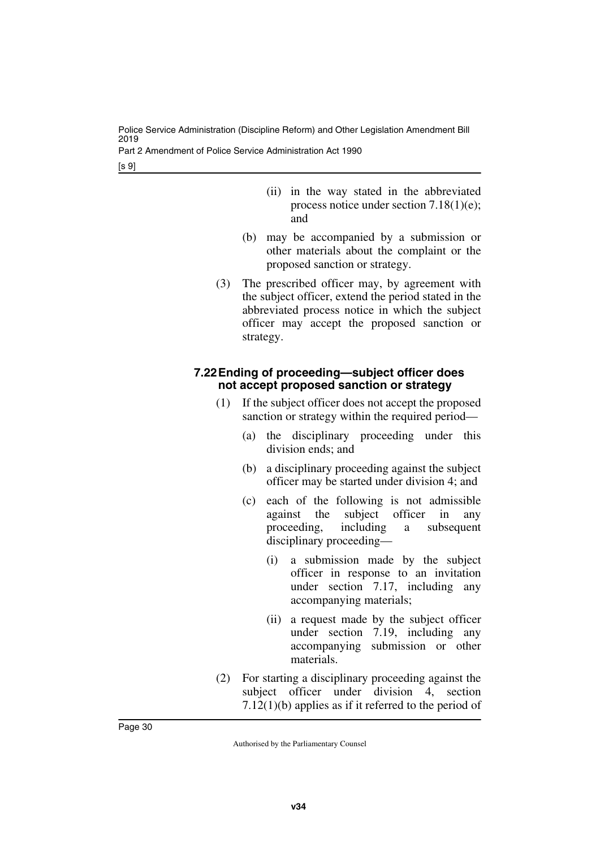Part 2 Amendment of Police Service Administration Act 1990

[s 9]

- (ii) in the way stated in the abbreviated process notice under section 7.18(1)(e); and
- (b) may be accompanied by a submission or other materials about the complaint or the proposed sanction or strategy.
- (3) The prescribed officer may, by agreement with the subject officer, extend the period stated in the abbreviated process notice in which the subject officer may accept the proposed sanction or strategy.

### <span id="page-31-1"></span><span id="page-31-0"></span>**7.22Ending of proceeding—subject officer does not accept proposed sanction or strategy**

- (1) If the subject officer does not accept the proposed sanction or strategy within the required period—
	- (a) the disciplinary proceeding under this division ends; and
	- (b) a disciplinary proceeding against the subject officer may be started under division 4; and
	- (c) each of the following is not admissible against the subject officer in any proceeding, including a subsequent disciplinary proceeding—
		- (i) a submission made by the subject officer in response to an invitation under section 7.17, including any accompanying materials;
		- (ii) a request made by the subject officer under section 7.19, including any accompanying submission or other materials.
- (2) For starting a disciplinary proceeding against the subject officer under division 4, section 7.12(1)(b) applies as if it referred to the period of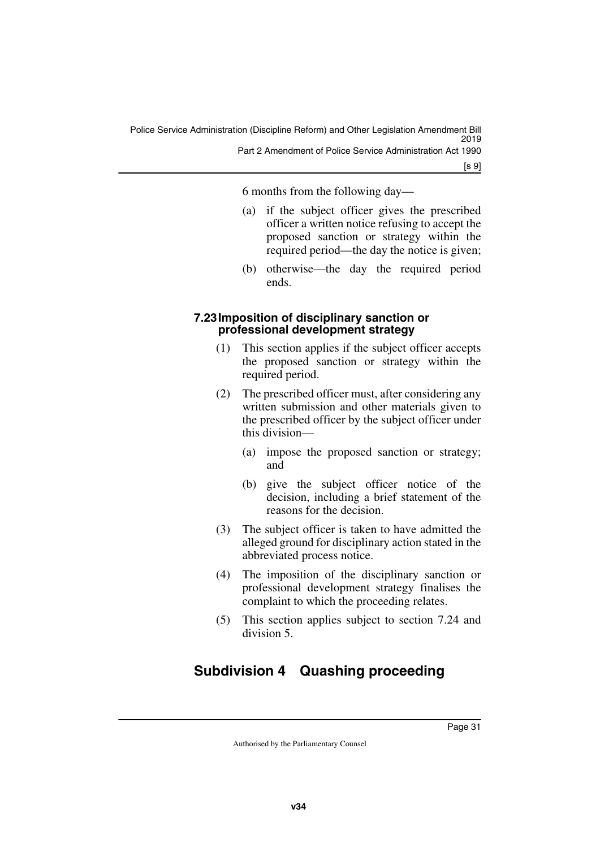6 months from the following day—

- (a) if the subject officer gives the prescribed officer a written notice refusing to accept the proposed sanction or strategy within the required period—the day the notice is given;
- (b) otherwise—the day the required period ends.

#### <span id="page-32-1"></span><span id="page-32-0"></span>**7.23Imposition of disciplinary sanction or professional development strategy**

- (1) This section applies if the subject officer accepts the proposed sanction or strategy within the required period.
- (2) The prescribed officer must, after considering any written submission and other materials given to the prescribed officer by the subject officer under this division—
	- (a) impose the proposed sanction or strategy; and
	- (b) give the subject officer notice of the decision, including a brief statement of the reasons for the decision.
- (3) The subject officer is taken to have admitted the alleged ground for disciplinary action stated in the abbreviated process notice.
- (4) The imposition of the disciplinary sanction or professional development strategy finalises the complaint to which the proceeding relates.
- <span id="page-32-3"></span>(5) This section applies subject to section 7.24 and division 5.

### <span id="page-32-2"></span>**Subdivision 4 Quashing proceeding**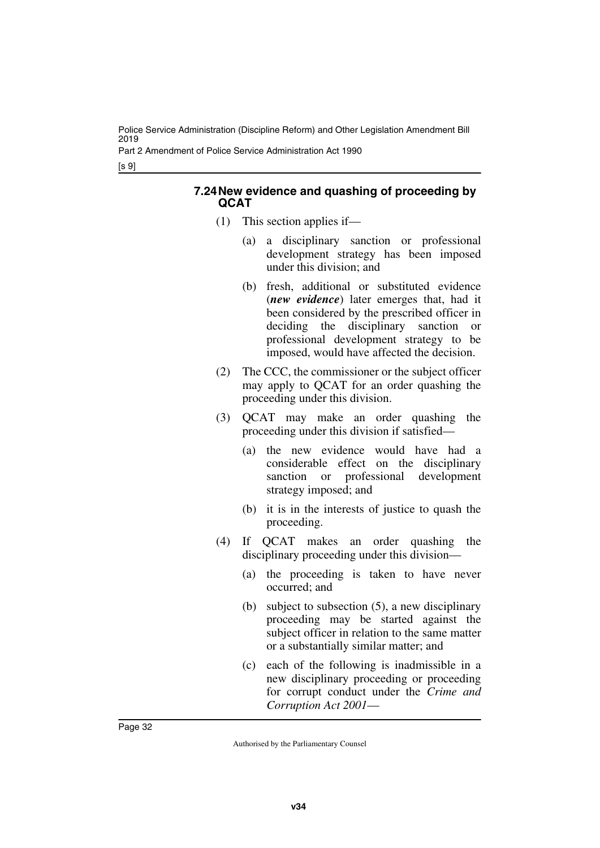Part 2 Amendment of Police Service Administration Act 1990

[s 9]

#### <span id="page-33-1"></span><span id="page-33-0"></span>**7.24New evidence and quashing of proceeding by QCAT**

- (1) This section applies if—
	- (a) a disciplinary sanction or professional development strategy has been imposed under this division; and
	- (b) fresh, additional or substituted evidence (*new evidence*) later emerges that, had it been considered by the prescribed officer in deciding the disciplinary sanction or professional development strategy to be imposed, would have affected the decision.
- (2) The CCC, the commissioner or the subject officer may apply to QCAT for an order quashing the proceeding under this division.
- (3) QCAT may make an order quashing the proceeding under this division if satisfied—
	- (a) the new evidence would have had a considerable effect on the disciplinary sanction or professional development strategy imposed; and
	- (b) it is in the interests of justice to quash the proceeding.
- (4) If QCAT makes an order quashing the disciplinary proceeding under this division—
	- (a) the proceeding is taken to have never occurred; and
	- (b) subject to subsection (5), a new disciplinary proceeding may be started against the subject officer in relation to the same matter or a substantially similar matter; and
	- (c) each of the following is inadmissible in a new disciplinary proceeding or proceeding for corrupt conduct under the *Crime and Corruption Act 2001*—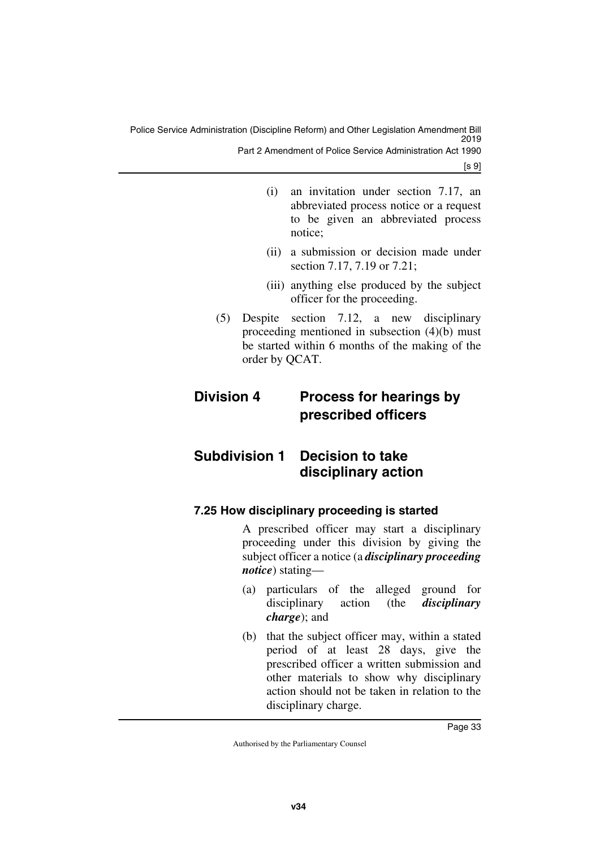Police Service Administration (Discipline Reform) and Other Legislation Amendment Bill 2019 Part 2 Amendment of Police Service Administration Act 1990

[s 9]

- (i) an invitation under section 7.17, an abbreviated process notice or a request to be given an abbreviated process notice;
- (ii) a submission or decision made under section 7.17, 7.19 or 7.21;
- <span id="page-34-1"></span>(iii) anything else produced by the subject officer for the proceeding.
- (5) Despite section 7.12, a new disciplinary proceeding mentioned in subsection (4)(b) must be started within 6 months of the making of the order by QCAT.

### <span id="page-34-0"></span>**Division 4 Process for hearings by prescribed officers**

### <span id="page-34-2"></span>**Subdivision 1 Decision to take disciplinary action**

### <span id="page-34-5"></span><span id="page-34-4"></span>**7.25 How disciplinary proceeding is started**

<span id="page-34-3"></span>A prescribed officer may start a disciplinary proceeding under this division by giving the subject officer a notice (a *disciplinary proceeding notice*) stating—

- (a) particulars of the alleged ground for disciplinary action (the *disciplinary charge*); and
- (b) that the subject officer may, within a stated period of at least 28 days, give the prescribed officer a written submission and other materials to show why disciplinary action should not be taken in relation to the disciplinary charge.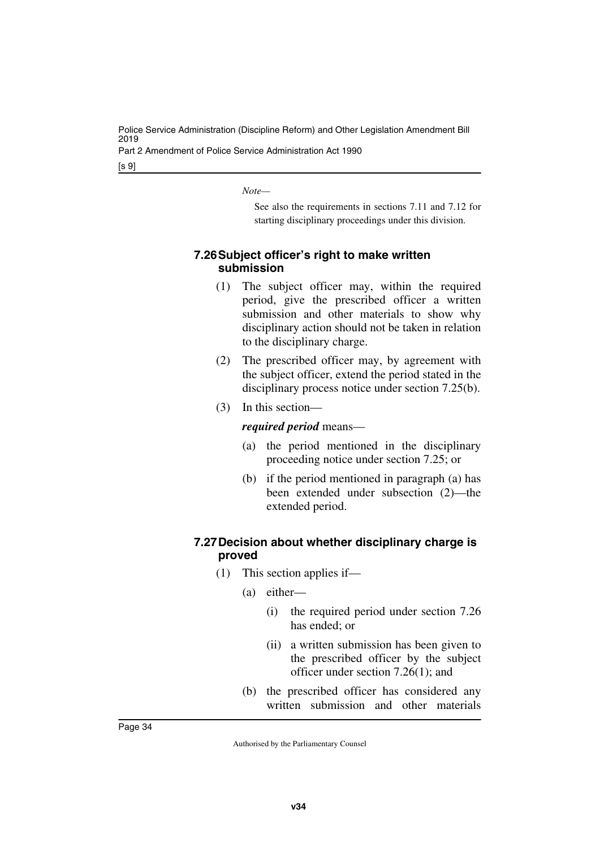Part 2 Amendment of Police Service Administration Act 1990

[s 9]

*Note—*

See also the requirements in sections 7.11 and 7.12 for starting disciplinary proceedings under this division.

### <span id="page-35-1"></span><span id="page-35-0"></span>**7.26Subject officer's right to make written submission**

- (1) The subject officer may, within the required period, give the prescribed officer a written submission and other materials to show why disciplinary action should not be taken in relation to the disciplinary charge.
- (2) The prescribed officer may, by agreement with the subject officer, extend the period stated in the disciplinary process notice under section 7.25(b).
- (3) In this section—

### *required period* means—

- (a) the period mentioned in the disciplinary proceeding notice under section 7.25; or
- (b) if the period mentioned in paragraph (a) has been extended under subsection (2)—the extended period.

### <span id="page-35-3"></span><span id="page-35-2"></span>**7.27Decision about whether disciplinary charge is proved**

- (1) This section applies if—
	- (a) either—
		- (i) the required period under section 7.26 has ended; or
		- (ii) a written submission has been given to the prescribed officer by the subject officer under section 7.26(1); and
	- (b) the prescribed officer has considered any written submission and other materials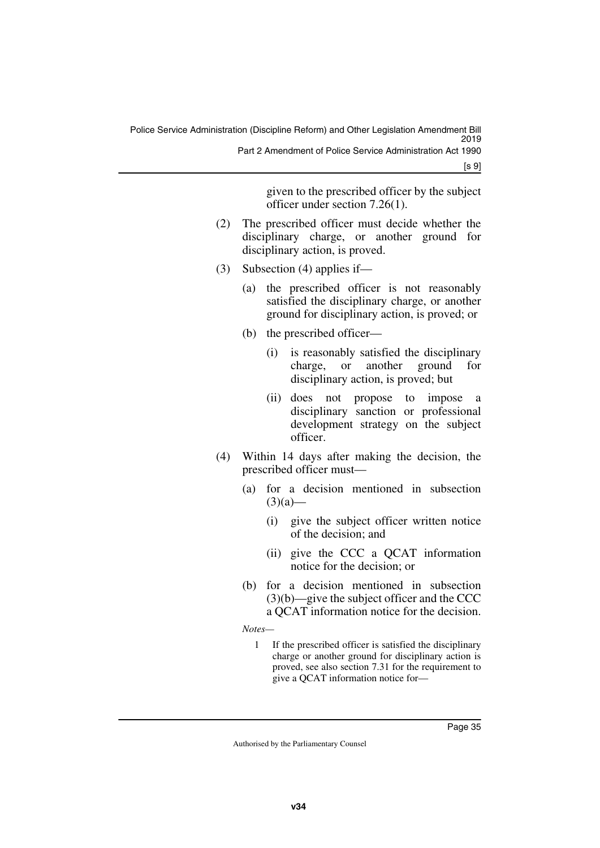[s 9]

given to the prescribed officer by the subject officer under section 7.26(1).

- (2) The prescribed officer must decide whether the disciplinary charge, or another ground for disciplinary action, is proved.
- (3) Subsection (4) applies if—
	- (a) the prescribed officer is not reasonably satisfied the disciplinary charge, or another ground for disciplinary action, is proved; or
	- (b) the prescribed officer—
		- (i) is reasonably satisfied the disciplinary charge, or another ground for disciplinary action, is proved; but
		- (ii) does not propose to impose a disciplinary sanction or professional development strategy on the subject officer.
- (4) Within 14 days after making the decision, the prescribed officer must—
	- (a) for a decision mentioned in subsection  $(3)(a)$ —
		- (i) give the subject officer written notice of the decision; and
		- (ii) give the CCC a QCAT information notice for the decision; or
	- (b) for a decision mentioned in subsection (3)(b)—give the subject officer and the CCC a QCAT information notice for the decision.

*Notes—*

1 If the prescribed officer is satisfied the disciplinary charge or another ground for disciplinary action is proved, see also section 7.31 for the requirement to give a QCAT information notice for—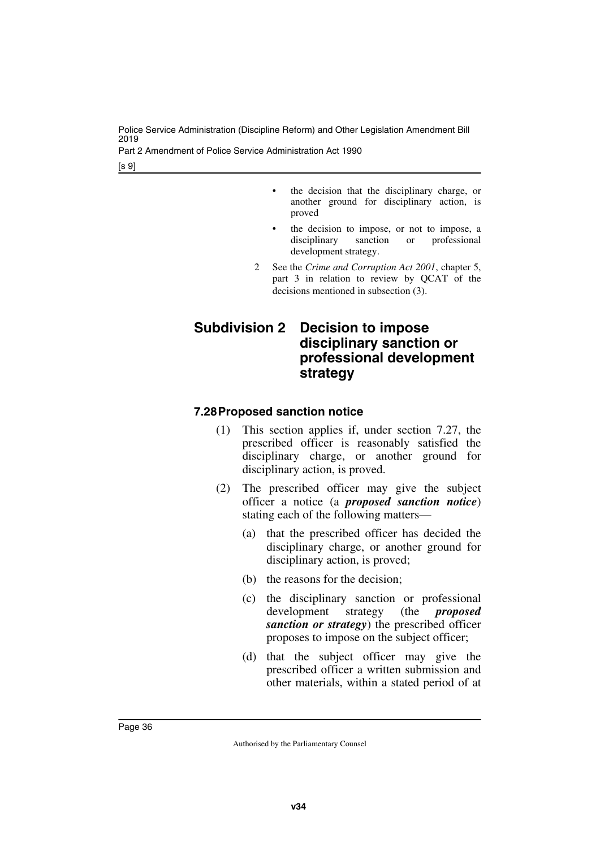Part 2 Amendment of Police Service Administration Act 1990

[s 9]

- the decision that the disciplinary charge, or another ground for disciplinary action, is proved
- the decision to impose, or not to impose, a disciplinary sanction or professional development strategy.
- 2 See the *Crime and Corruption Act 2001*, chapter 5, part 3 in relation to review by QCAT of the decisions mentioned in subsection (3).

# **Subdivision 2 Decision to impose disciplinary sanction or professional development strategy**

#### **7.28Proposed sanction notice**

- (1) This section applies if, under section 7.27, the prescribed officer is reasonably satisfied the disciplinary charge, or another ground for disciplinary action, is proved.
- (2) The prescribed officer may give the subject officer a notice (a *proposed sanction notice*) stating each of the following matters—
	- (a) that the prescribed officer has decided the disciplinary charge, or another ground for disciplinary action, is proved;
	- (b) the reasons for the decision;
	- (c) the disciplinary sanction or professional development strategy (the *proposed sanction or strategy*) the prescribed officer proposes to impose on the subject officer;
	- (d) that the subject officer may give the prescribed officer a written submission and other materials, within a stated period of at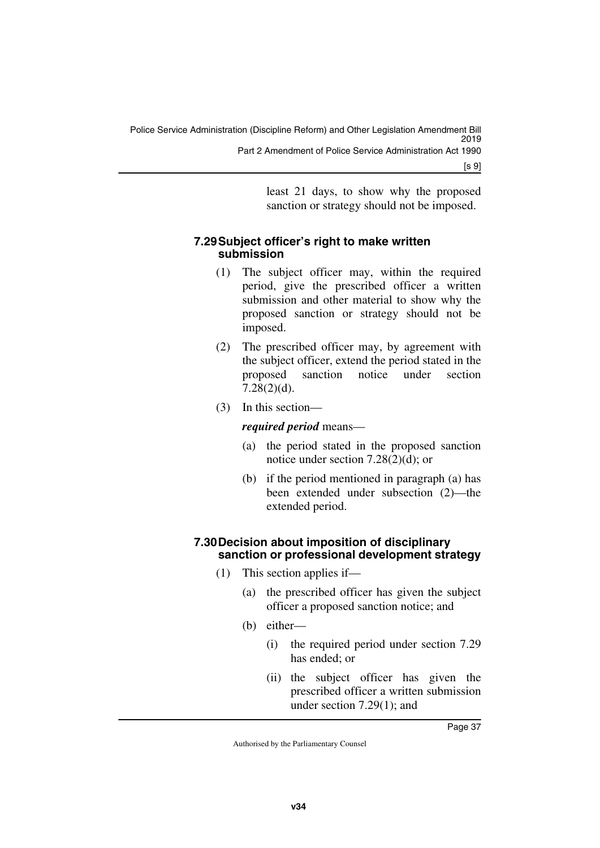least 21 days, to show why the proposed sanction or strategy should not be imposed.

### **7.29Subject officer's right to make written submission**

- (1) The subject officer may, within the required period, give the prescribed officer a written submission and other material to show why the proposed sanction or strategy should not be imposed.
- (2) The prescribed officer may, by agreement with the subject officer, extend the period stated in the proposed sanction notice under section 7.28(2)(d).
- (3) In this section—

#### *required period* means—

- (a) the period stated in the proposed sanction notice under section 7.28(2)(d); or
- (b) if the period mentioned in paragraph (a) has been extended under subsection (2)—the extended period.

#### **7.30Decision about imposition of disciplinary sanction or professional development strategy**

- (1) This section applies if—
	- (a) the prescribed officer has given the subject officer a proposed sanction notice; and
	- (b) either—
		- (i) the required period under section 7.29 has ended; or
		- (ii) the subject officer has given the prescribed officer a written submission under section 7.29(1); and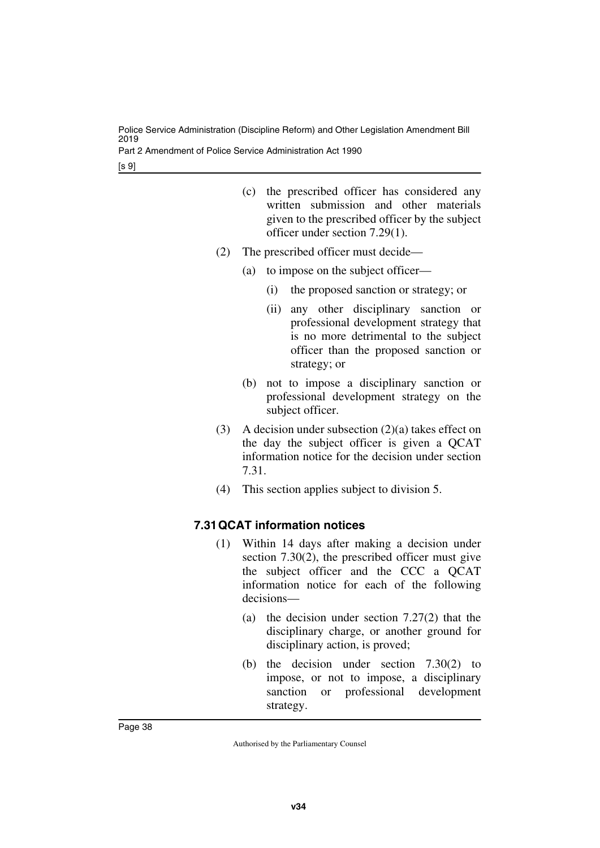Part 2 Amendment of Police Service Administration Act 1990

[s 9]

- (c) the prescribed officer has considered any written submission and other materials given to the prescribed officer by the subject officer under section 7.29(1).
- (2) The prescribed officer must decide—
	- (a) to impose on the subject officer—
		- (i) the proposed sanction or strategy; or
		- (ii) any other disciplinary sanction or professional development strategy that is no more detrimental to the subject officer than the proposed sanction or strategy; or
	- (b) not to impose a disciplinary sanction or professional development strategy on the subject officer.
- (3) A decision under subsection  $(2)(a)$  takes effect on the day the subject officer is given a QCAT information notice for the decision under section 7.31.
- (4) This section applies subject to division 5.

### **7.31QCAT information notices**

- (1) Within 14 days after making a decision under section 7.30(2), the prescribed officer must give the subject officer and the CCC a QCAT information notice for each of the following decisions—
	- (a) the decision under section 7.27(2) that the disciplinary charge, or another ground for disciplinary action, is proved;
	- (b) the decision under section 7.30(2) to impose, or not to impose, a disciplinary sanction or professional development strategy.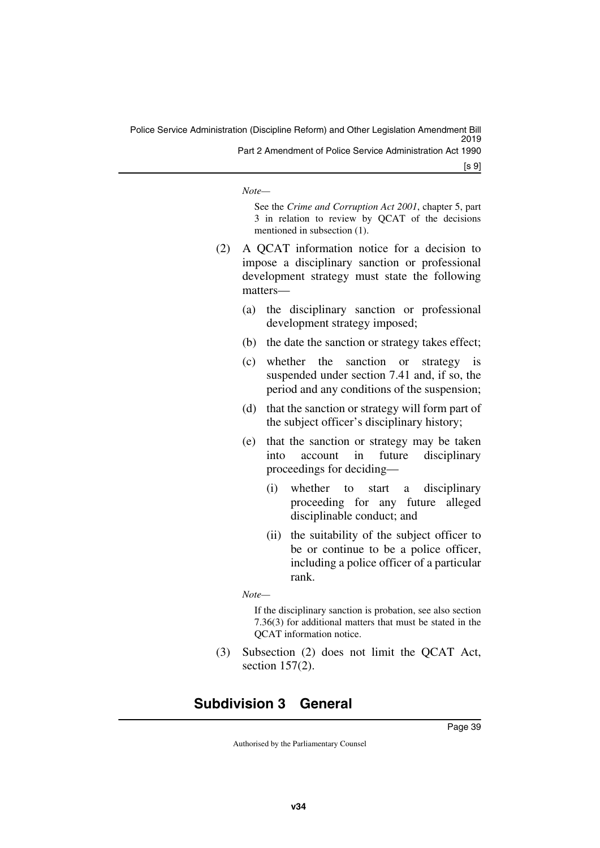Police Service Administration (Discipline Reform) and Other Legislation Amendment Bill 2019 Part 2 Amendment of Police Service Administration Act 1990

[s 9]

*Note—*

See the *Crime and Corruption Act 2001*, chapter 5, part 3 in relation to review by QCAT of the decisions mentioned in subsection (1).

- (2) A QCAT information notice for a decision to impose a disciplinary sanction or professional development strategy must state the following matters—
	- (a) the disciplinary sanction or professional development strategy imposed;
	- (b) the date the sanction or strategy takes effect;
	- (c) whether the sanction or strategy is suspended under section 7.41 and, if so, the period and any conditions of the suspension;
	- (d) that the sanction or strategy will form part of the subject officer's disciplinary history;
	- (e) that the sanction or strategy may be taken into account in future disciplinary proceedings for deciding—
		- (i) whether to start a disciplinary proceeding for any future alleged disciplinable conduct; and
		- (ii) the suitability of the subject officer to be or continue to be a police officer, including a police officer of a particular rank.

*Note—*

If the disciplinary sanction is probation, see also section 7.36(3) for additional matters that must be stated in the QCAT information notice.

(3) Subsection (2) does not limit the QCAT Act, section 157(2).

# **Subdivision 3 General**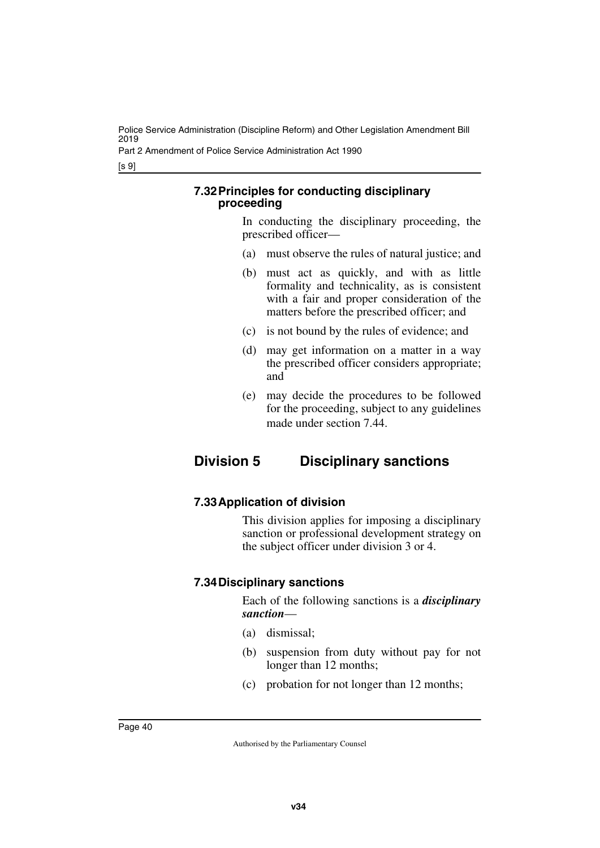Part 2 Amendment of Police Service Administration Act 1990

[s 9]

#### **7.32Principles for conducting disciplinary proceeding**

In conducting the disciplinary proceeding, the prescribed officer—

- (a) must observe the rules of natural justice; and
- (b) must act as quickly, and with as little formality and technicality, as is consistent with a fair and proper consideration of the matters before the prescribed officer; and
- (c) is not bound by the rules of evidence; and
- (d) may get information on a matter in a way the prescribed officer considers appropriate; and
- (e) may decide the procedures to be followed for the proceeding, subject to any guidelines made under section 7.44.

# **Division 5 Disciplinary sanctions**

### **7.33Application of division**

This division applies for imposing a disciplinary sanction or professional development strategy on the subject officer under division 3 or 4.

### **7.34Disciplinary sanctions**

Each of the following sanctions is a *disciplinary sanction*—

- (a) dismissal;
- (b) suspension from duty without pay for not longer than 12 months;
- (c) probation for not longer than 12 months;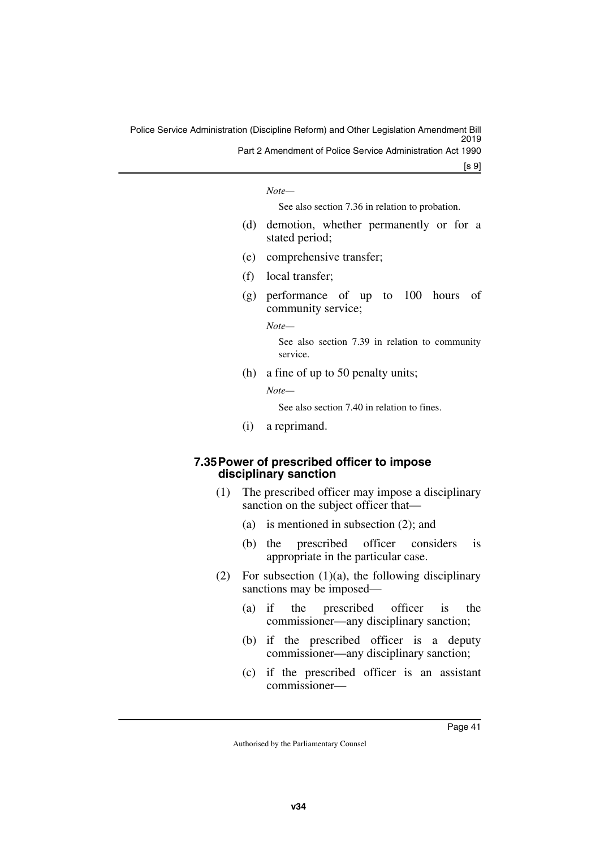[s 9]

*Note—*

See also section 7.36 in relation to probation.

- (d) demotion, whether permanently or for a stated period;
- (e) comprehensive transfer;
- (f) local transfer;
- (g) performance of up to 100 hours of community service;

*Note—*

See also section 7.39 in relation to community service.

(h) a fine of up to 50 penalty units;

*Note—*

See also section 7.40 in relation to fines.

(i) a reprimand.

#### **7.35Power of prescribed officer to impose disciplinary sanction**

- (1) The prescribed officer may impose a disciplinary sanction on the subject officer that—
	- (a) is mentioned in subsection (2); and
	- (b) the prescribed officer considers is appropriate in the particular case.
- (2) For subsection  $(1)(a)$ , the following disciplinary sanctions may be imposed—
	- (a) if the prescribed officer is the commissioner—any disciplinary sanction;
	- (b) if the prescribed officer is a deputy commissioner—any disciplinary sanction;
	- (c) if the prescribed officer is an assistant commissioner—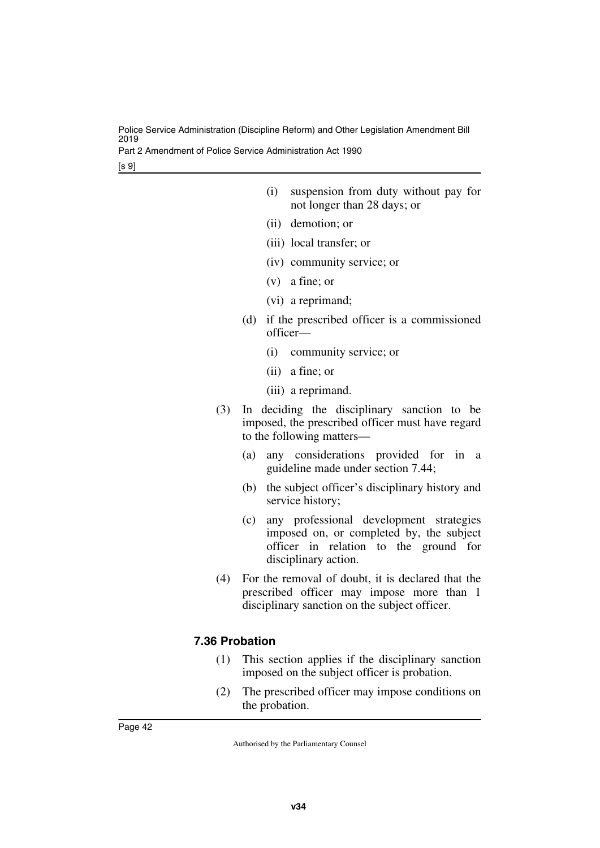Part 2 Amendment of Police Service Administration Act 1990

[s 9]

- (i) suspension from duty without pay for not longer than 28 days; or
- (ii) demotion; or
- (iii) local transfer; or
- (iv) community service; or
- (v) a fine; or
- (vi) a reprimand;
- (d) if the prescribed officer is a commissioned officer—
	- (i) community service; or
	- (ii) a fine; or
	- (iii) a reprimand.
- (3) In deciding the disciplinary sanction to be imposed, the prescribed officer must have regard to the following matters—
	- (a) any considerations provided for in a guideline made under section 7.44;
	- (b) the subject officer's disciplinary history and service history;
	- (c) any professional development strategies imposed on, or completed by, the subject officer in relation to the ground for disciplinary action.
- (4) For the removal of doubt, it is declared that the prescribed officer may impose more than 1 disciplinary sanction on the subject officer.

# **7.36 Probation**

- (1) This section applies if the disciplinary sanction imposed on the subject officer is probation.
- (2) The prescribed officer may impose conditions on the probation.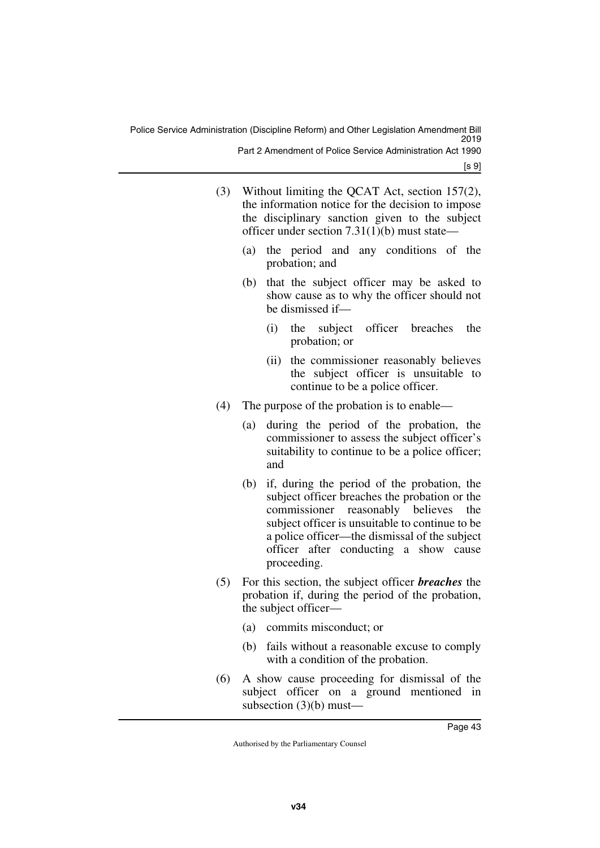- (3) Without limiting the QCAT Act, section 157(2), the information notice for the decision to impose the disciplinary sanction given to the subject officer under section 7.31(1)(b) must state—
	- (a) the period and any conditions of the probation; and
	- (b) that the subject officer may be asked to show cause as to why the officer should not be dismissed if—
		- (i) the subject officer breaches the probation; or
		- (ii) the commissioner reasonably believes the subject officer is unsuitable to continue to be a police officer.
- (4) The purpose of the probation is to enable—
	- (a) during the period of the probation, the commissioner to assess the subject officer's suitability to continue to be a police officer; and
	- (b) if, during the period of the probation, the subject officer breaches the probation or the commissioner reasonably believes the subject officer is unsuitable to continue to be a police officer—the dismissal of the subject officer after conducting a show cause proceeding.
- (5) For this section, the subject officer *breaches* the probation if, during the period of the probation, the subject officer—
	- (a) commits misconduct; or
	- (b) fails without a reasonable excuse to comply with a condition of the probation.
- (6) A show cause proceeding for dismissal of the subject officer on a ground mentioned in subsection  $(3)(b)$  must—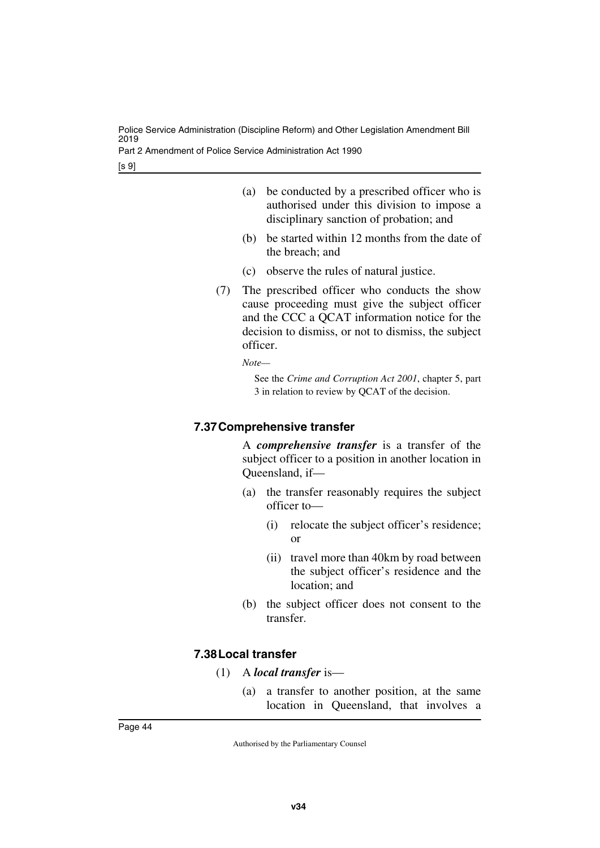Part 2 Amendment of Police Service Administration Act 1990

[s 9]

- (a) be conducted by a prescribed officer who is authorised under this division to impose a disciplinary sanction of probation; and
- (b) be started within 12 months from the date of the breach; and
- (c) observe the rules of natural justice.
- (7) The prescribed officer who conducts the show cause proceeding must give the subject officer and the CCC a QCAT information notice for the decision to dismiss, or not to dismiss, the subject officer.

*Note—*

See the *Crime and Corruption Act 2001*, chapter 5, part 3 in relation to review by QCAT of the decision.

## **7.37Comprehensive transfer**

A *comprehensive transfer* is a transfer of the subject officer to a position in another location in Queensland, if—

- (a) the transfer reasonably requires the subject officer to—
	- (i) relocate the subject officer's residence; or
	- (ii) travel more than 40km by road between the subject officer's residence and the location; and
- (b) the subject officer does not consent to the transfer.

### **7.38Local transfer**

- (1) A *local transfer* is—
	- (a) a transfer to another position, at the same location in Queensland, that involves a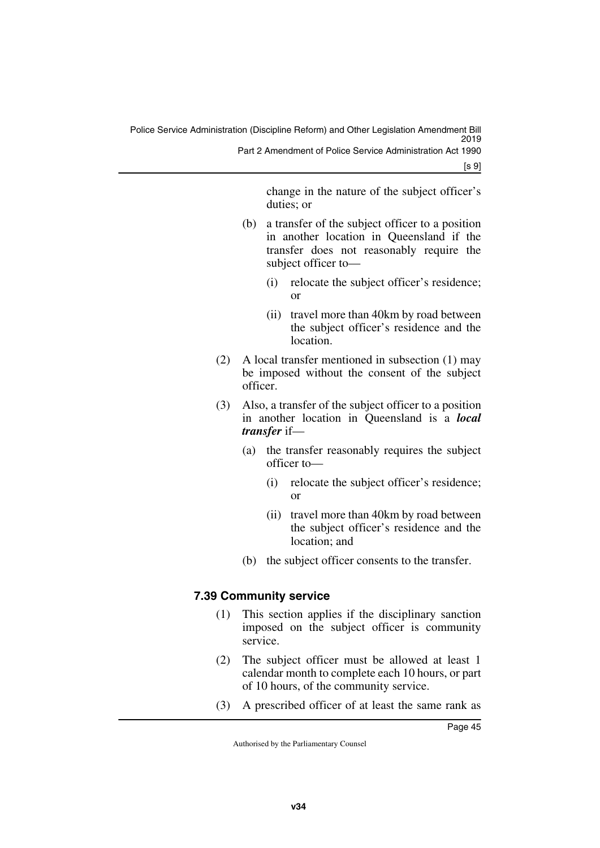[s 9]

change in the nature of the subject officer's duties; or

- (b) a transfer of the subject officer to a position in another location in Queensland if the transfer does not reasonably require the subject officer to—
	- (i) relocate the subject officer's residence; or
	- (ii) travel more than 40km by road between the subject officer's residence and the location.
- (2) A local transfer mentioned in subsection (1) may be imposed without the consent of the subject officer.
- (3) Also, a transfer of the subject officer to a position in another location in Queensland is a *local transfer* if—
	- (a) the transfer reasonably requires the subject officer to—
		- (i) relocate the subject officer's residence; or
		- (ii) travel more than 40km by road between the subject officer's residence and the location; and
	- (b) the subject officer consents to the transfer.

# **7.39 Community service**

- (1) This section applies if the disciplinary sanction imposed on the subject officer is community service.
- (2) The subject officer must be allowed at least 1 calendar month to complete each 10 hours, or part of 10 hours, of the community service.
- (3) A prescribed officer of at least the same rank as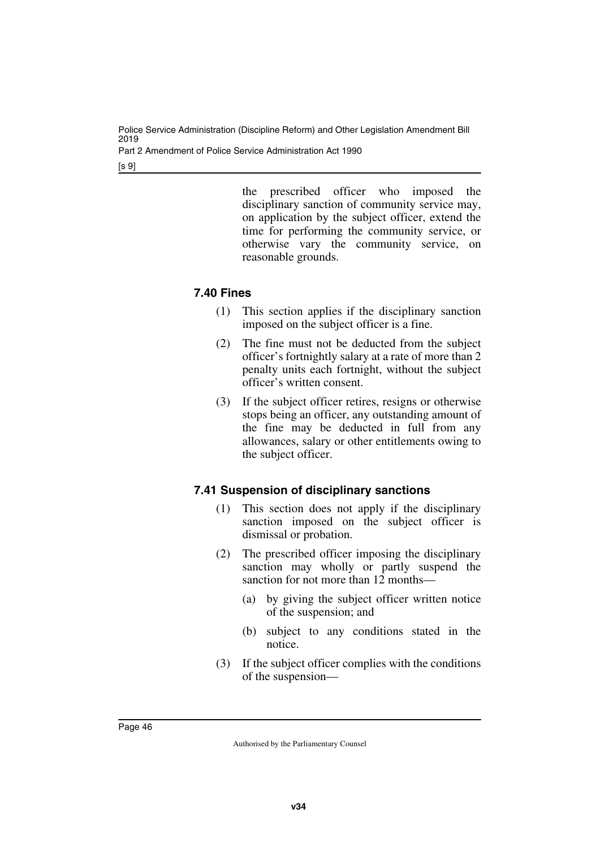Part 2 Amendment of Police Service Administration Act 1990

[s 9]

the prescribed officer who imposed the disciplinary sanction of community service may, on application by the subject officer, extend the time for performing the community service, or otherwise vary the community service, on reasonable grounds.

# **7.40 Fines**

- (1) This section applies if the disciplinary sanction imposed on the subject officer is a fine.
- (2) The fine must not be deducted from the subject officer's fortnightly salary at a rate of more than 2 penalty units each fortnight, without the subject officer's written consent.
- (3) If the subject officer retires, resigns or otherwise stops being an officer, any outstanding amount of the fine may be deducted in full from any allowances, salary or other entitlements owing to the subject officer.

# **7.41 Suspension of disciplinary sanctions**

- (1) This section does not apply if the disciplinary sanction imposed on the subject officer is dismissal or probation.
- (2) The prescribed officer imposing the disciplinary sanction may wholly or partly suspend the sanction for not more than 12 months—
	- (a) by giving the subject officer written notice of the suspension; and
	- (b) subject to any conditions stated in the notice.
- (3) If the subject officer complies with the conditions of the suspension—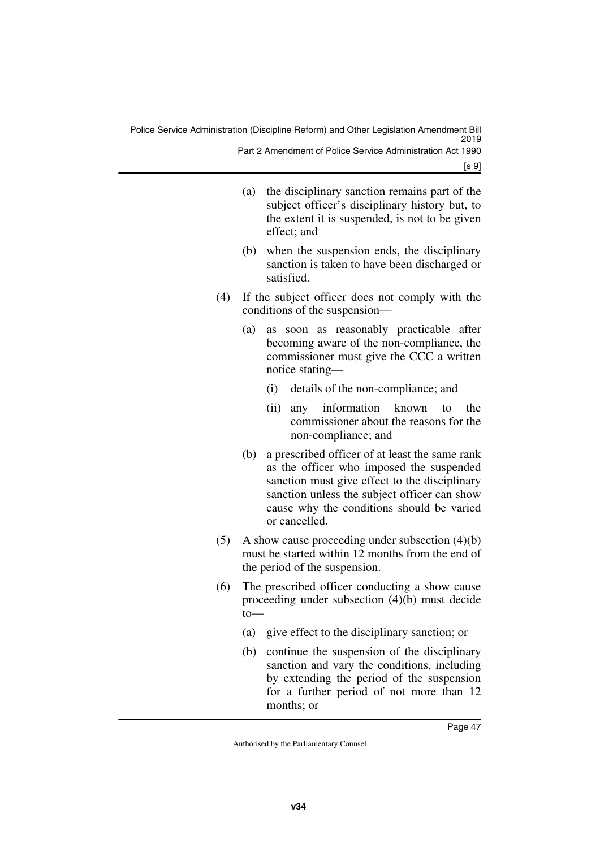Police Service Administration (Discipline Reform) and Other Legislation Amendment Bill 2019 Part 2 Amendment of Police Service Administration Act 1990

[s 9]

- (a) the disciplinary sanction remains part of the subject officer's disciplinary history but, to the extent it is suspended, is not to be given effect; and
- (b) when the suspension ends, the disciplinary sanction is taken to have been discharged or satisfied.
- (4) If the subject officer does not comply with the conditions of the suspension—
	- (a) as soon as reasonably practicable after becoming aware of the non-compliance, the commissioner must give the CCC a written notice stating—
		- (i) details of the non-compliance; and
		- (ii) any information known to the commissioner about the reasons for the non-compliance; and
	- (b) a prescribed officer of at least the same rank as the officer who imposed the suspended sanction must give effect to the disciplinary sanction unless the subject officer can show cause why the conditions should be varied or cancelled.
- $(5)$  A show cause proceeding under subsection  $(4)(b)$ must be started within 12 months from the end of the period of the suspension.
- (6) The prescribed officer conducting a show cause proceeding under subsection (4)(b) must decide to—
	- (a) give effect to the disciplinary sanction; or
	- (b) continue the suspension of the disciplinary sanction and vary the conditions, including by extending the period of the suspension for a further period of not more than 12 months; or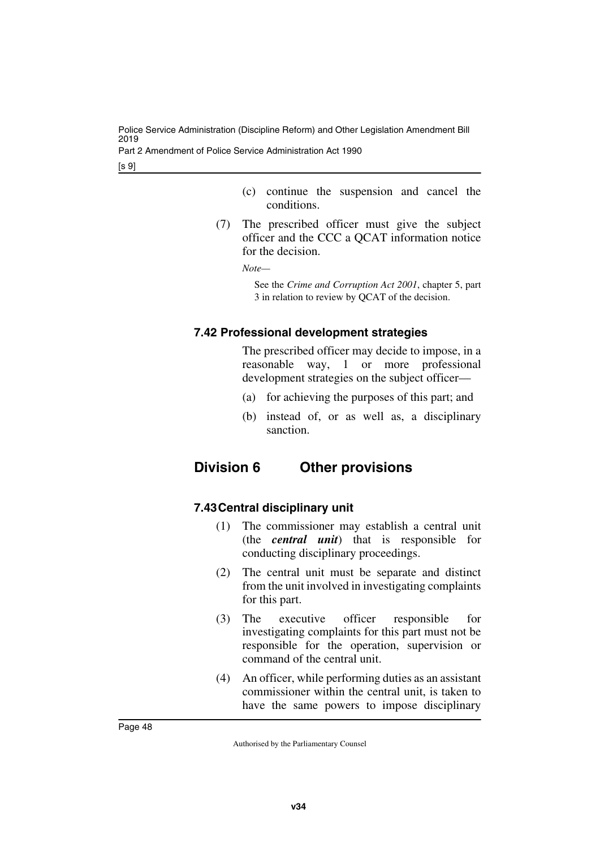Part 2 Amendment of Police Service Administration Act 1990

[s 9]

- (c) continue the suspension and cancel the conditions.
- (7) The prescribed officer must give the subject officer and the CCC a QCAT information notice for the decision.

*Note—*

See the *Crime and Corruption Act 2001*, chapter 5, part 3 in relation to review by QCAT of the decision.

# **7.42 Professional development strategies**

The prescribed officer may decide to impose, in a reasonable way, 1 or more professional development strategies on the subject officer—

- (a) for achieving the purposes of this part; and
- (b) instead of, or as well as, a disciplinary sanction.

# **Division 6 Other provisions**

# **7.43Central disciplinary unit**

- (1) The commissioner may establish a central unit (the *central unit*) that is responsible for conducting disciplinary proceedings.
- (2) The central unit must be separate and distinct from the unit involved in investigating complaints for this part.
- (3) The executive officer responsible for investigating complaints for this part must not be responsible for the operation, supervision or command of the central unit.
- (4) An officer, while performing duties as an assistant commissioner within the central unit, is taken to have the same powers to impose disciplinary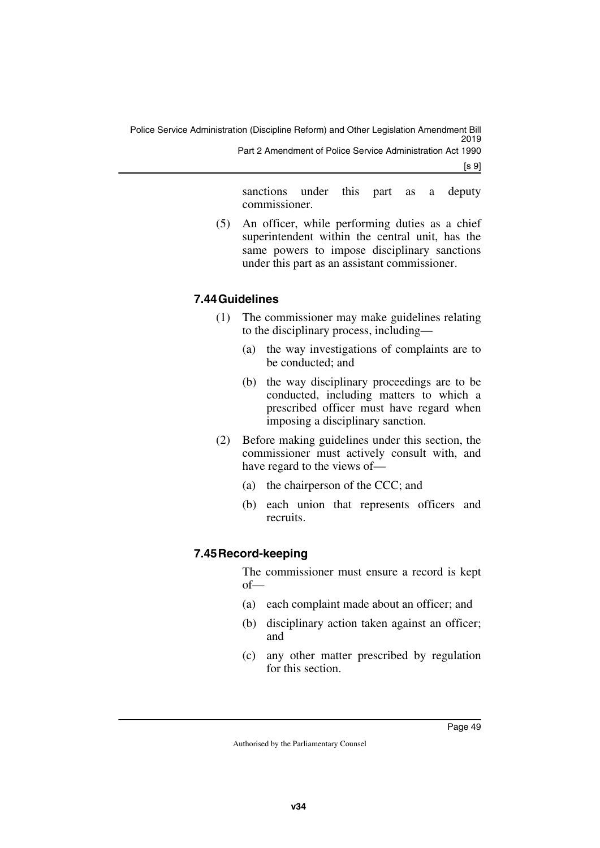[s 9]

sanctions under this part as a deputy commissioner.

(5) An officer, while performing duties as a chief superintendent within the central unit, has the same powers to impose disciplinary sanctions under this part as an assistant commissioner.

# **7.44Guidelines**

- (1) The commissioner may make guidelines relating to the disciplinary process, including—
	- (a) the way investigations of complaints are to be conducted; and
	- (b) the way disciplinary proceedings are to be conducted, including matters to which a prescribed officer must have regard when imposing a disciplinary sanction.
- (2) Before making guidelines under this section, the commissioner must actively consult with, and have regard to the views of—
	- (a) the chairperson of the CCC; and
	- (b) each union that represents officers and recruits.

# **7.45Record-keeping**

The commissioner must ensure a record is kept of—

- (a) each complaint made about an officer; and
- (b) disciplinary action taken against an officer; and
- (c) any other matter prescribed by regulation for this section.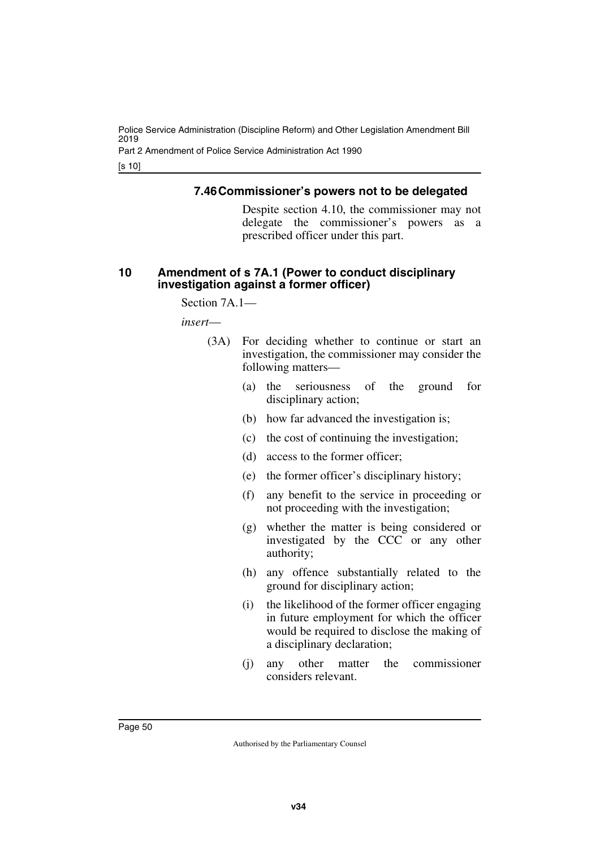Part 2 Amendment of Police Service Administration Act 1990

[s 10]

#### **7.46Commissioner's powers not to be delegated**

Despite section 4.10, the commissioner may not delegate the commissioner's powers as a prescribed officer under this part.

#### **10 Amendment of s 7A.1 (Power to conduct disciplinary investigation against a former officer)**

Section 7A.1—

*insert*—

- (3A) For deciding whether to continue or start an investigation, the commissioner may consider the following matters—
	- (a) the seriousness of the ground for disciplinary action;
	- (b) how far advanced the investigation is;
	- (c) the cost of continuing the investigation;
	- (d) access to the former officer;
	- (e) the former officer's disciplinary history;
	- (f) any benefit to the service in proceeding or not proceeding with the investigation;
	- (g) whether the matter is being considered or investigated by the CCC or any other authority;
	- (h) any offence substantially related to the ground for disciplinary action;
	- (i) the likelihood of the former officer engaging in future employment for which the officer would be required to disclose the making of a disciplinary declaration;
	- (j) any other matter the commissioner considers relevant.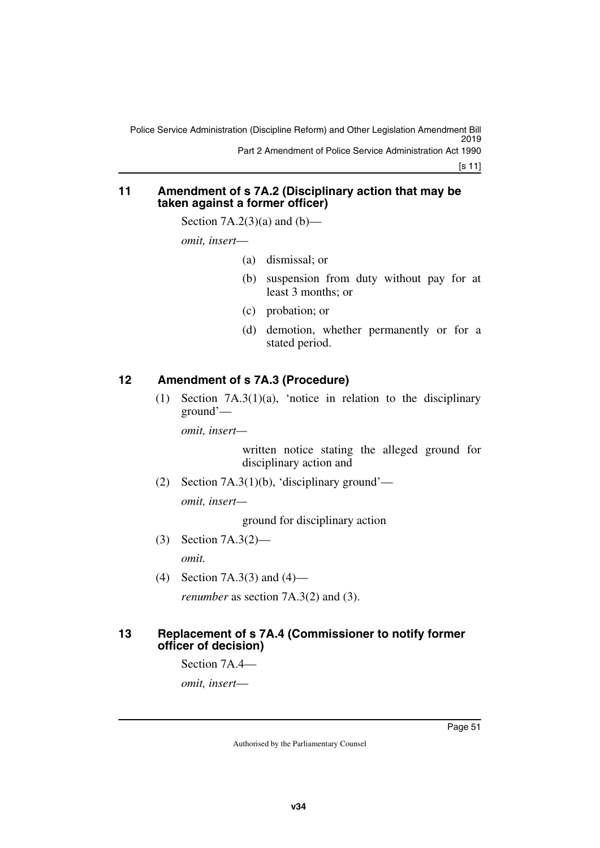[s 11]

#### **11 Amendment of s 7A.2 (Disciplinary action that may be taken against a former officer)**

Section  $7A.2(3)(a)$  and  $(b)$ —

*omit, insert*—

- (a) dismissal; or
- (b) suspension from duty without pay for at least 3 months; or
- (c) probation; or
- (d) demotion, whether permanently or for a stated period.

## **12 Amendment of s 7A.3 (Procedure)**

(1) Section 7A.3(1)(a), 'notice in relation to the disciplinary ground'—

*omit, insert—*

written notice stating the alleged ground for disciplinary action and

(2) Section 7A.3(1)(b), 'disciplinary ground'—

*omit, insert—*

ground for disciplinary action

(3) Section 7A.3(2)—

*omit.*

(4) Section 7A.3(3) and (4)—

*renumber* as section 7A.3(2) and (3).

#### **13 Replacement of s 7A.4 (Commissioner to notify former officer of decision)**

Section 7A.4—

*omit, insert*—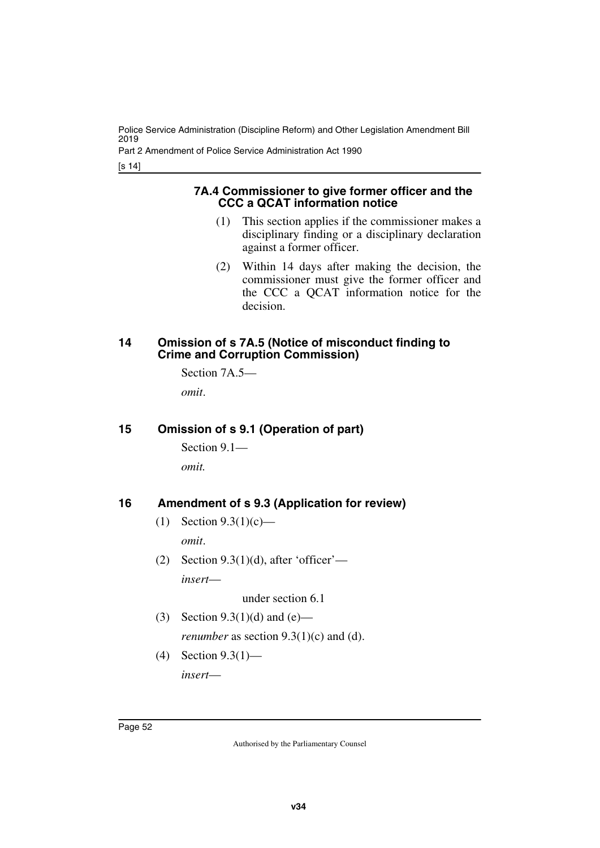Part 2 Amendment of Police Service Administration Act 1990

[s 14]

#### **7A.4 Commissioner to give former officer and the CCC a QCAT information notice**

- (1) This section applies if the commissioner makes a disciplinary finding or a disciplinary declaration against a former officer.
- (2) Within 14 days after making the decision, the commissioner must give the former officer and the CCC a QCAT information notice for the decision.

#### **14 Omission of s 7A.5 (Notice of misconduct finding to Crime and Corruption Commission)**

Section 7A.5—

*omit*.

### **15 Omission of s 9.1 (Operation of part)**

Section 9.1—

*omit.*

### **16 Amendment of s 9.3 (Application for review)**

- (1) Section 9.3(1)(c) *omit*.
- (2) Section  $9.3(1)(d)$ , after 'officer' *insert*—

under section 6.1

- (3) Section 9.3(1)(d) and (e) *renumber* as section  $9.3(1)(c)$  and (d).
- (4) Section 9.3(1) *insert*—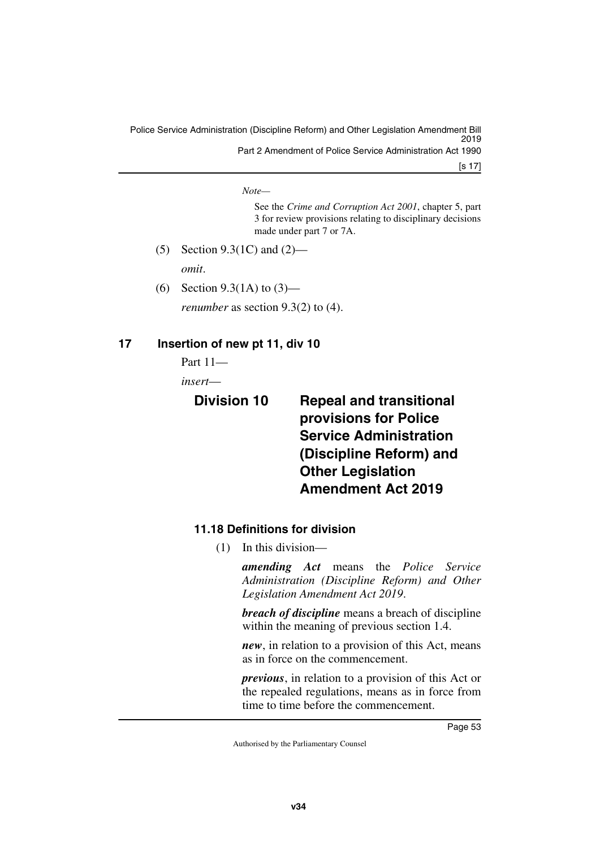Police Service Administration (Discipline Reform) and Other Legislation Amendment Bill 2019 Part 2 Amendment of Police Service Administration Act 1990

[s 17]

*Note—*

See the *Crime and Corruption Act 2001*, chapter 5, part 3 for review provisions relating to disciplinary decisions made under part 7 or 7A.

- (5) Section 9.3(1C) and (2) *omit*.
- (6) Section 9.3(1A) to (3) *renumber* as section 9.3(2) to (4).

## **17 Insertion of new pt 11, div 10**

Part 11—

*insert*—

# **Division 10 Repeal and transitional provisions for Police Service Administration (Discipline Reform) and Other Legislation Amendment Act 2019**

# **11.18 Definitions for division**

(1) In this division—

*amending Act* means the *Police Service Administration (Discipline Reform) and Other Legislation Amendment Act 2019*.

*breach of discipline* means a breach of discipline within the meaning of previous section 1.4.

*new*, in relation to a provision of this Act, means as in force on the commencement.

*previous*, in relation to a provision of this Act or the repealed regulations, means as in force from time to time before the commencement.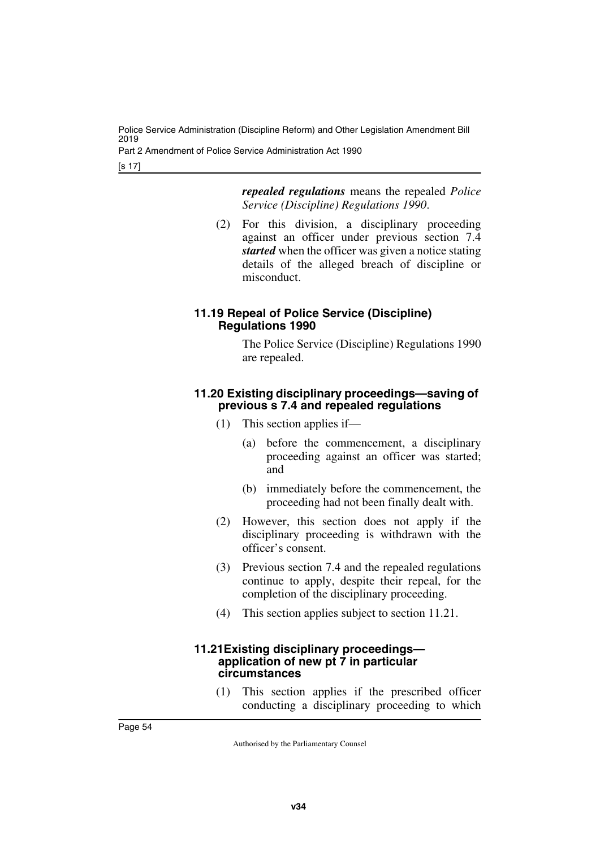Part 2 Amendment of Police Service Administration Act 1990

[s 17]

*repealed regulations* means the repealed *Police Service (Discipline) Regulations 1990*.

(2) For this division, a disciplinary proceeding against an officer under previous section 7.4 *started* when the officer was given a notice stating details of the alleged breach of discipline or misconduct.

#### **11.19 Repeal of Police Service (Discipline) Regulations 1990**

The Police Service (Discipline) Regulations 1990 are repealed.

#### **11.20 Existing disciplinary proceedings—saving of previous s 7.4 and repealed regulations**

- (1) This section applies if—
	- (a) before the commencement, a disciplinary proceeding against an officer was started; and
	- (b) immediately before the commencement, the proceeding had not been finally dealt with.
- (2) However, this section does not apply if the disciplinary proceeding is withdrawn with the officer's consent.
- (3) Previous section 7.4 and the repealed regulations continue to apply, despite their repeal, for the completion of the disciplinary proceeding.
- (4) This section applies subject to section 11.21.

#### **11.21Existing disciplinary proceedings application of new pt 7 in particular circumstances**

(1) This section applies if the prescribed officer conducting a disciplinary proceeding to which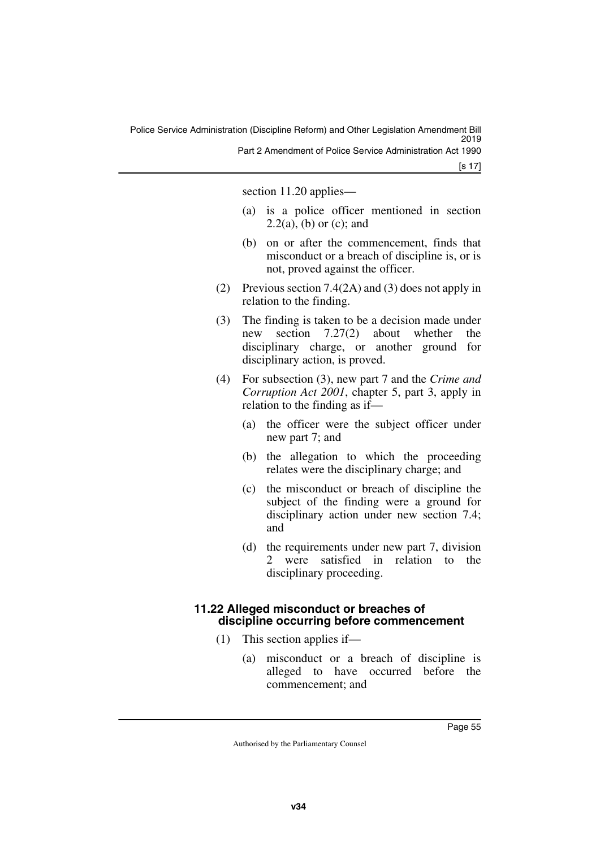[s 17]

section 11.20 applies—

- (a) is a police officer mentioned in section  $2.2(a)$ , (b) or (c); and
- (b) on or after the commencement, finds that misconduct or a breach of discipline is, or is not, proved against the officer.
- (2) Previous section 7.4(2A) and (3) does not apply in relation to the finding.
- (3) The finding is taken to be a decision made under new section 7.27(2) about whether the disciplinary charge, or another ground for disciplinary action, is proved.
- (4) For subsection (3), new part 7 and the *Crime and Corruption Act 2001*, chapter 5, part 3, apply in relation to the finding as if—
	- (a) the officer were the subject officer under new part 7; and
	- (b) the allegation to which the proceeding relates were the disciplinary charge; and
	- (c) the misconduct or breach of discipline the subject of the finding were a ground for disciplinary action under new section 7.4; and
	- (d) the requirements under new part 7, division 2 were satisfied in relation to the disciplinary proceeding.

### **11.22 Alleged misconduct or breaches of discipline occurring before commencement**

- (1) This section applies if—
	- (a) misconduct or a breach of discipline is alleged to have occurred before the commencement; and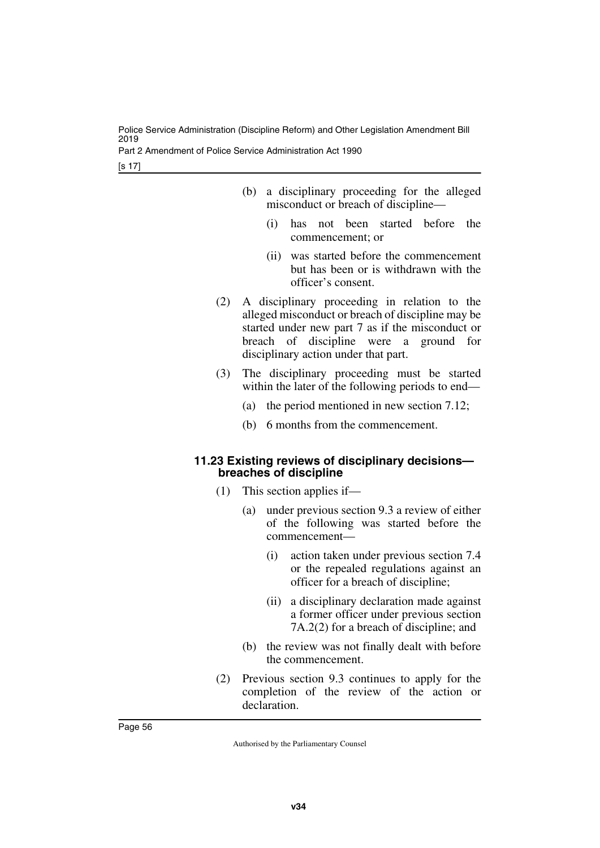Part 2 Amendment of Police Service Administration Act 1990

[s 17]

- (b) a disciplinary proceeding for the alleged misconduct or breach of discipline—
	- (i) has not been started before the commencement; or
	- (ii) was started before the commencement but has been or is withdrawn with the officer's consent.
- (2) A disciplinary proceeding in relation to the alleged misconduct or breach of discipline may be started under new part 7 as if the misconduct or breach of discipline were a ground for disciplinary action under that part.
- (3) The disciplinary proceeding must be started within the later of the following periods to end—
	- (a) the period mentioned in new section 7.12;
	- (b) 6 months from the commencement.

#### **11.23 Existing reviews of disciplinary decisions breaches of discipline**

- (1) This section applies if—
	- (a) under previous section 9.3 a review of either of the following was started before the commencement—
		- (i) action taken under previous section 7.4 or the repealed regulations against an officer for a breach of discipline;
		- (ii) a disciplinary declaration made against a former officer under previous section 7A.2(2) for a breach of discipline; and
	- (b) the review was not finally dealt with before the commencement.
- (2) Previous section 9.3 continues to apply for the completion of the review of the action or declaration.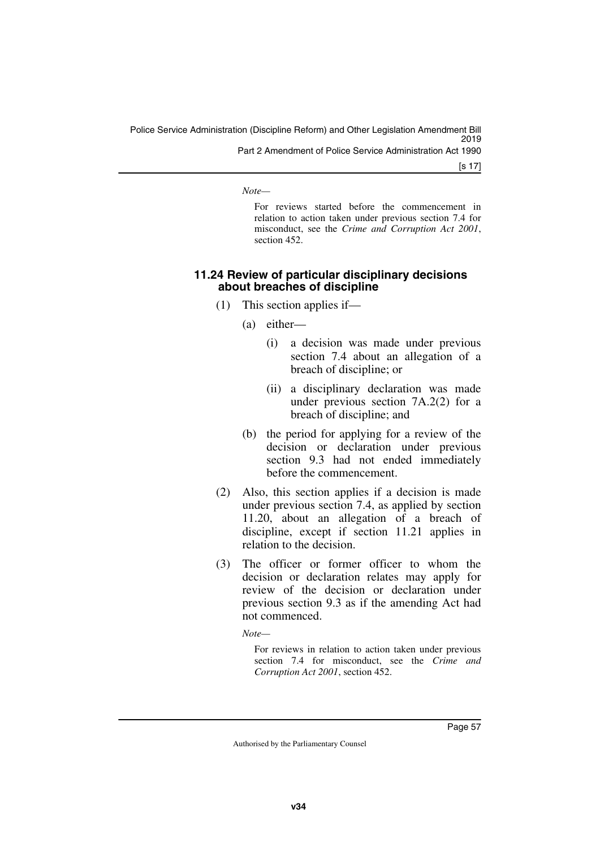[s 17]

*Note—*

For reviews started before the commencement in relation to action taken under previous section 7.4 for misconduct, see the *Crime and Corruption Act 2001*, section 452.

#### **11.24 Review of particular disciplinary decisions about breaches of discipline**

- (1) This section applies if—
	- (a) either—
		- (i) a decision was made under previous section 7.4 about an allegation of a breach of discipline; or
		- (ii) a disciplinary declaration was made under previous section 7A.2(2) for a breach of discipline; and
	- (b) the period for applying for a review of the decision or declaration under previous section 9.3 had not ended immediately before the commencement.
- (2) Also, this section applies if a decision is made under previous section 7.4, as applied by section 11.20, about an allegation of a breach of discipline, except if section 11.21 applies in relation to the decision.
- (3) The officer or former officer to whom the decision or declaration relates may apply for review of the decision or declaration under previous section 9.3 as if the amending Act had not commenced.

*Note—*

For reviews in relation to action taken under previous section 7.4 for misconduct, see the *Crime and Corruption Act 2001*, section 452.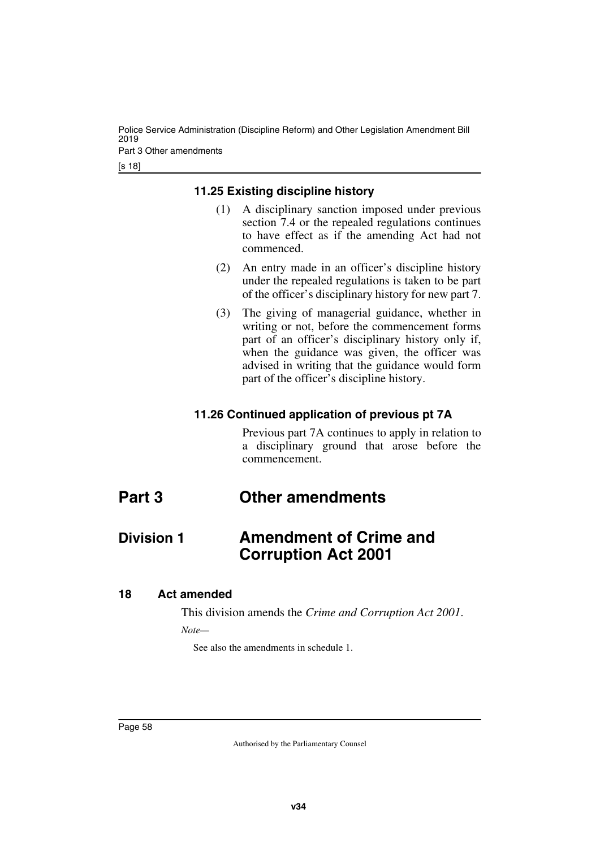Police Service Administration (Discipline Reform) and Other Legislation Amendment Bill 2019 Part 3 Other amendments

[s 18]

#### **11.25 Existing discipline history**

- (1) A disciplinary sanction imposed under previous section 7.4 or the repealed regulations continues to have effect as if the amending Act had not commenced.
- (2) An entry made in an officer's discipline history under the repealed regulations is taken to be part of the officer's disciplinary history for new part 7.
- (3) The giving of managerial guidance, whether in writing or not, before the commencement forms part of an officer's disciplinary history only if, when the guidance was given, the officer was advised in writing that the guidance would form part of the officer's discipline history.

#### **11.26 Continued application of previous pt 7A**

Previous part 7A continues to apply in relation to a disciplinary ground that arose before the commencement.

# **Part 3 Other amendments**

# **Division 1 Amendment of Crime and Corruption Act 2001**

#### **18 Act amended**

This division amends the *Crime and Corruption Act 2001*. *Note—*

See also the amendments in schedule 1.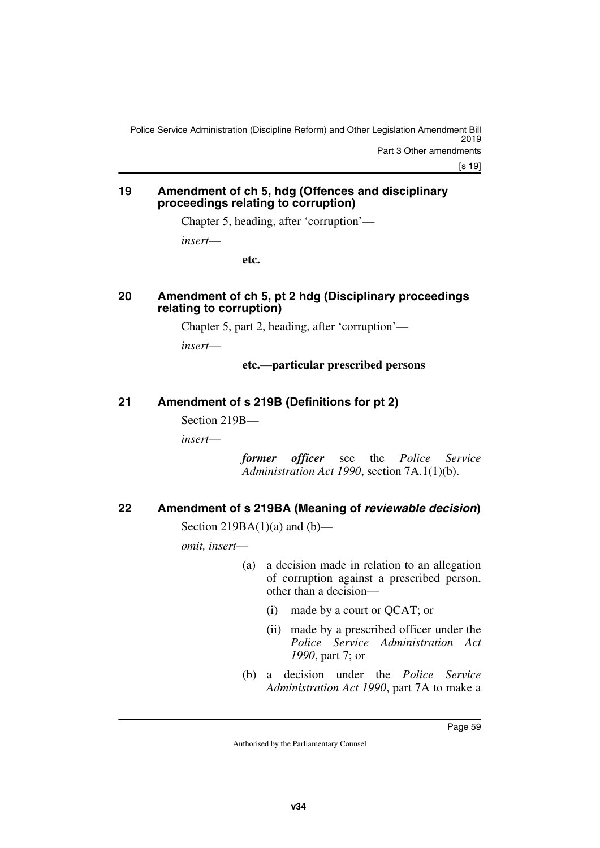[s 19]

#### **19 Amendment of ch 5, hdg (Offences and disciplinary proceedings relating to corruption)**

Chapter 5, heading, after 'corruption'—

*insert*—

**etc.**

#### **20 Amendment of ch 5, pt 2 hdg (Disciplinary proceedings relating to corruption)**

Chapter 5, part 2, heading, after 'corruption'—

*insert*—

### **etc.—particular prescribed persons**

# **21 Amendment of s 219B (Definitions for pt 2)**

Section 219B—

*insert*—

*former officer* see the *Police Service Administration Act 1990*, section 7A.1(1)(b).

# **22 Amendment of s 219BA (Meaning of** *reviewable decision***)**

Section 219BA $(1)(a)$  and  $(b)$ —

*omit, insert*—

- (a) a decision made in relation to an allegation of corruption against a prescribed person, other than a decision—
	- (i) made by a court or QCAT; or
	- (ii) made by a prescribed officer under the *Police Service Administration Act 1990*, part 7; or
- (b) a decision under the *Police Service Administration Act 1990*, part 7A to make a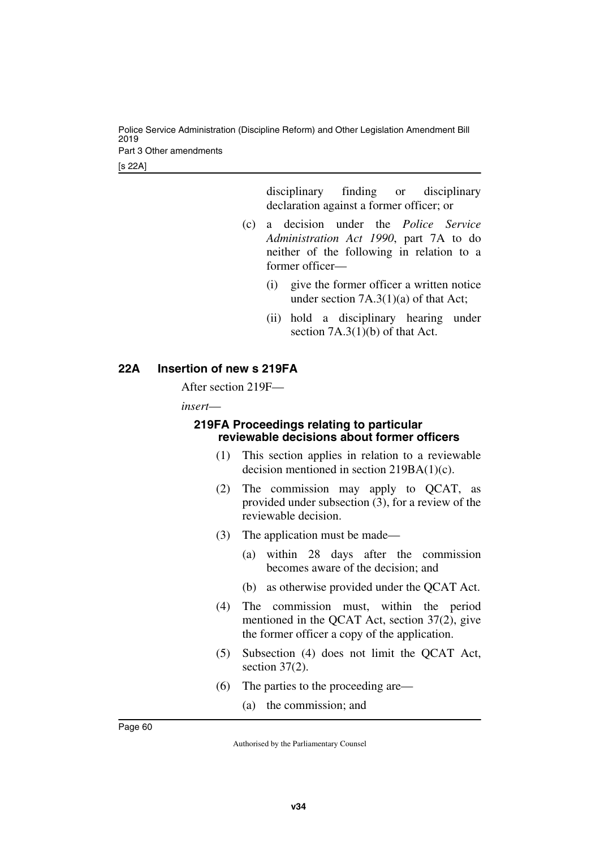Police Service Administration (Discipline Reform) and Other Legislation Amendment Bill 2019 Part 3 Other amendments

[s 22A]

disciplinary finding or disciplinary declaration against a former officer; or

- (c) a decision under the *Police Service Administration Act 1990*, part 7A to do neither of the following in relation to a former officer—
	- (i) give the former officer a written notice under section 7A.3(1)(a) of that Act;
	- (ii) hold a disciplinary hearing under section 7A.3(1)(b) of that Act.

### **22A Insertion of new s 219FA**

After section 219F—

*insert*—

#### **219FA Proceedings relating to particular reviewable decisions about former officers**

- (1) This section applies in relation to a reviewable decision mentioned in section 219BA(1)(c).
- (2) The commission may apply to QCAT, as provided under subsection (3), for a review of the reviewable decision.
- (3) The application must be made—
	- (a) within 28 days after the commission becomes aware of the decision; and
	- (b) as otherwise provided under the QCAT Act.
- (4) The commission must, within the period mentioned in the QCAT Act, section 37(2), give the former officer a copy of the application.
- (5) Subsection (4) does not limit the QCAT Act, section 37(2).
- (6) The parties to the proceeding are—
	- (a) the commission; and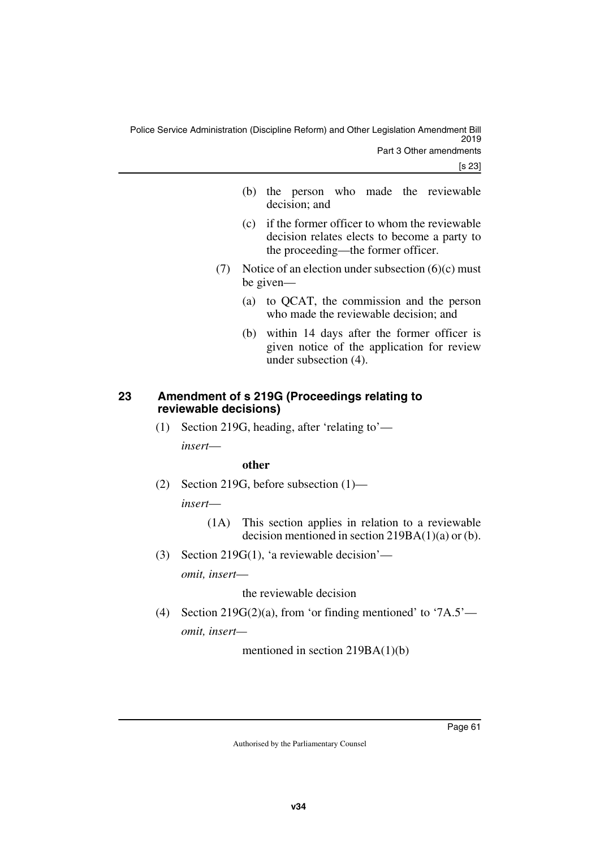- (b) the person who made the reviewable decision; and
- (c) if the former officer to whom the reviewable decision relates elects to become a party to the proceeding—the former officer.
- (7) Notice of an election under subsection (6)(c) must be given—
	- (a) to QCAT, the commission and the person who made the reviewable decision; and
	- (b) within 14 days after the former officer is given notice of the application for review under subsection (4).

#### **23 Amendment of s 219G (Proceedings relating to reviewable decisions)**

(1) Section 219G, heading, after 'relating to' *insert*—

#### **other**

(2) Section 219G, before subsection (1)—

*insert*—

- (1A) This section applies in relation to a reviewable decision mentioned in section  $219BA(1)(a)$  or (b).
- (3) Section 219G(1), 'a reviewable decision' *omit, insert*—

the reviewable decision

(4) Section 219G(2)(a), from 'or finding mentioned' to '7A.5' *omit, insert—*

mentioned in section 219BA(1)(b)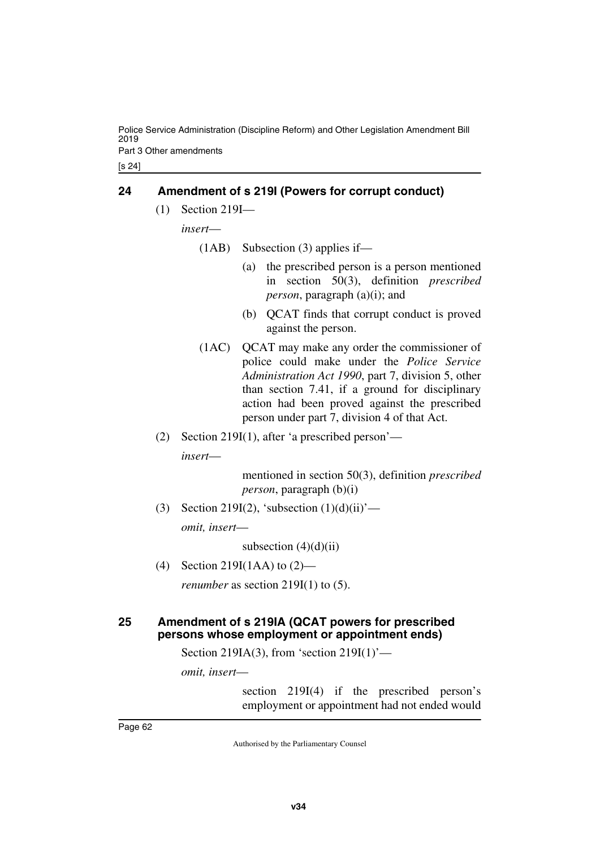Police Service Administration (Discipline Reform) and Other Legislation Amendment Bill 2019 Part 3 Other amendments

[s 24]

#### **24 Amendment of s 219I (Powers for corrupt conduct)**

(1) Section 219I—

*insert*—

(1AB) Subsection (3) applies if—

- (a) the prescribed person is a person mentioned in section 50(3), definition *prescribed person*, paragraph (a)(i); and
- (b) QCAT finds that corrupt conduct is proved against the person.
- (1AC) QCAT may make any order the commissioner of police could make under the *Police Service Administration Act 1990*, part 7, division 5, other than section 7.41, if a ground for disciplinary action had been proved against the prescribed person under part 7, division 4 of that Act.
- (2) Section 219I(1), after 'a prescribed person' *insert*—

mentioned in section 50(3), definition *prescribed person*, paragraph (b)(i)

(3) Section 219I(2), 'subsection  $(1)(d)(ii)'$ —

*omit, insert*—

subsection  $(4)(d)(ii)$ 

(4) Section 219I(1AA) to (2)—

*renumber* as section 219I(1) to (5).

#### **25 Amendment of s 219IA (QCAT powers for prescribed persons whose employment or appointment ends)**

Section 219IA(3), from 'section 219I(1)'—

*omit, insert*—

section 219I(4) if the prescribed person's employment or appointment had not ended would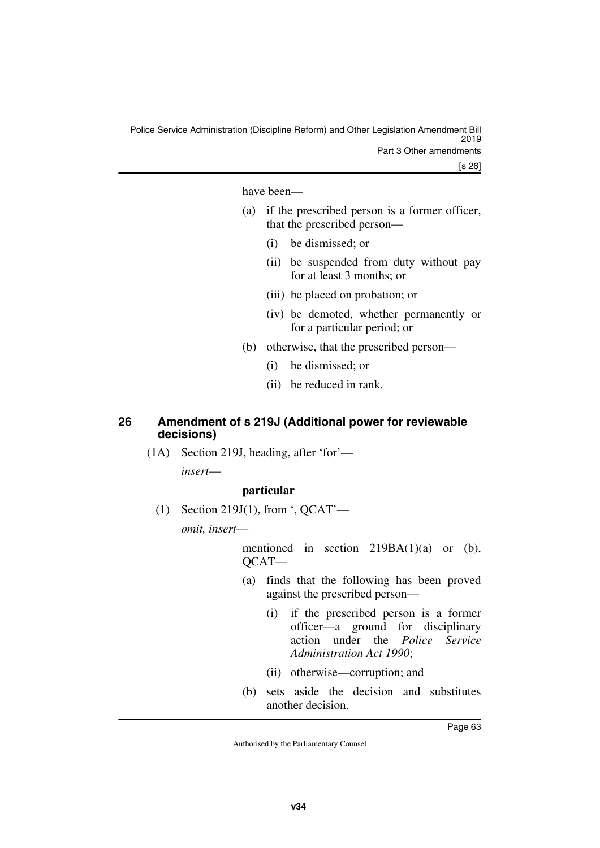have been—

- (a) if the prescribed person is a former officer, that the prescribed person—
	- (i) be dismissed; or
	- (ii) be suspended from duty without pay for at least 3 months; or
	- (iii) be placed on probation; or
	- (iv) be demoted, whether permanently or for a particular period; or
- (b) otherwise, that the prescribed person—
	- (i) be dismissed; or
	- (ii) be reduced in rank.

#### **26 Amendment of s 219J (Additional power for reviewable decisions)**

(1A) Section 219J, heading, after 'for'—

*insert*—

#### **particular**

(1) Section 219J(1), from ', QCAT'—

*omit, insert*—

mentioned in section  $219BA(1)(a)$  or (b), QCAT—

- (a) finds that the following has been proved against the prescribed person—
	- (i) if the prescribed person is a former officer—a ground for disciplinary action under the *Police Service Administration Act 1990*;
	- (ii) otherwise—corruption; and
- (b) sets aside the decision and substitutes another decision.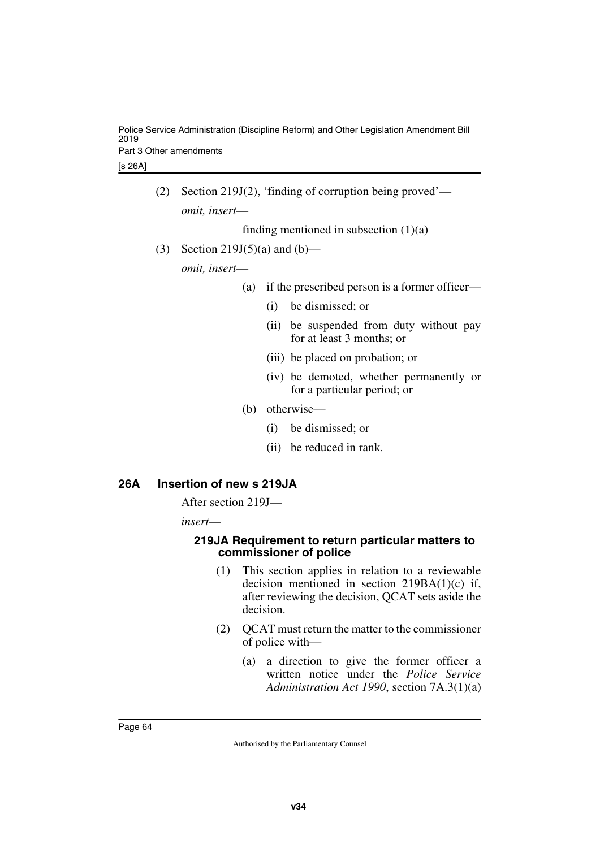Police Service Administration (Discipline Reform) and Other Legislation Amendment Bill 2019 Part 3 Other amendments

[s 26A]

(2) Section 219J(2), 'finding of corruption being proved' *omit, insert*—

finding mentioned in subsection  $(1)(a)$ 

(3) Section 219J(5)(a) and (b)—

*omit, insert*—

- (a) if the prescribed person is a former officer—
	- (i) be dismissed; or
	- (ii) be suspended from duty without pay for at least 3 months; or
	- (iii) be placed on probation; or
	- (iv) be demoted, whether permanently or for a particular period; or
- (b) otherwise—
	- (i) be dismissed; or
	- (ii) be reduced in rank.

#### **26A Insertion of new s 219JA**

After section 219J—

*insert*—

#### **219JA Requirement to return particular matters to commissioner of police**

- (1) This section applies in relation to a reviewable decision mentioned in section 219BA(1)(c) if, after reviewing the decision, QCAT sets aside the decision.
- (2) QCAT must return the matter to the commissioner of police with—
	- (a) a direction to give the former officer a written notice under the *Police Service Administration Act 1990*, section 7A.3(1)(a)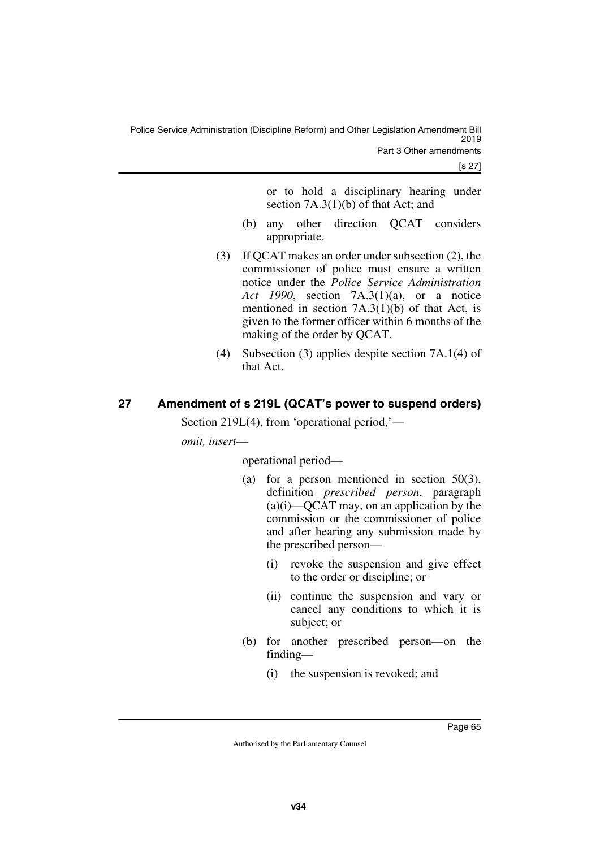or to hold a disciplinary hearing under section 7A.3(1)(b) of that Act; and

- (b) any other direction QCAT considers appropriate.
- (3) If QCAT makes an order under subsection (2), the commissioner of police must ensure a written notice under the *Police Service Administration Act 1990*, section 7A.3(1)(a), or a notice mentioned in section 7A.3(1)(b) of that Act, is given to the former officer within 6 months of the making of the order by QCAT.
- (4) Subsection (3) applies despite section 7A.1(4) of that Act.

# **27 Amendment of s 219L (QCAT's power to suspend orders)**

Section 219L(4), from 'operational period,'—

*omit, insert*—

operational period—

- (a) for a person mentioned in section 50(3), definition *prescribed person*, paragraph  $(a)(i)$ —QCAT may, on an application by the commission or the commissioner of police and after hearing any submission made by the prescribed person—
	- (i) revoke the suspension and give effect to the order or discipline; or
	- (ii) continue the suspension and vary or cancel any conditions to which it is subject; or
- (b) for another prescribed person—on the finding—
	- (i) the suspension is revoked; and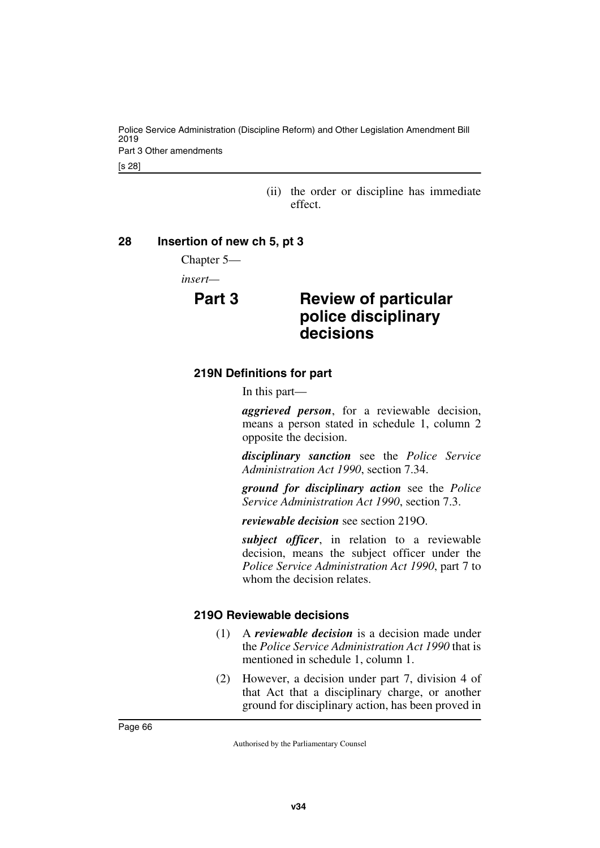Police Service Administration (Discipline Reform) and Other Legislation Amendment Bill 2019 Part 3 Other amendments

[s 28]

(ii) the order or discipline has immediate effect.

#### **28 Insertion of new ch 5, pt 3**

Chapter 5—

*insert—*

# **Part 3 Review of particular police disciplinary decisions**

### **219N Definitions for part**

In this part—

*aggrieved person*, for a reviewable decision, means a person stated in schedule 1, column 2 opposite the decision.

*disciplinary sanction* see the *Police Service Administration Act 1990*, section 7.34.

*ground for disciplinary action* see the *Police Service Administration Act 1990*, section 7.3.

*reviewable decision* see section 219O.

*subject officer*, in relation to a reviewable decision, means the subject officer under the *Police Service Administration Act 1990*, part 7 to whom the decision relates.

### **219O Reviewable decisions**

- (1) A *reviewable decision* is a decision made under the *Police Service Administration Act 1990* that is mentioned in schedule 1, column 1.
- (2) However, a decision under part 7, division 4 of that Act that a disciplinary charge, or another ground for disciplinary action, has been proved in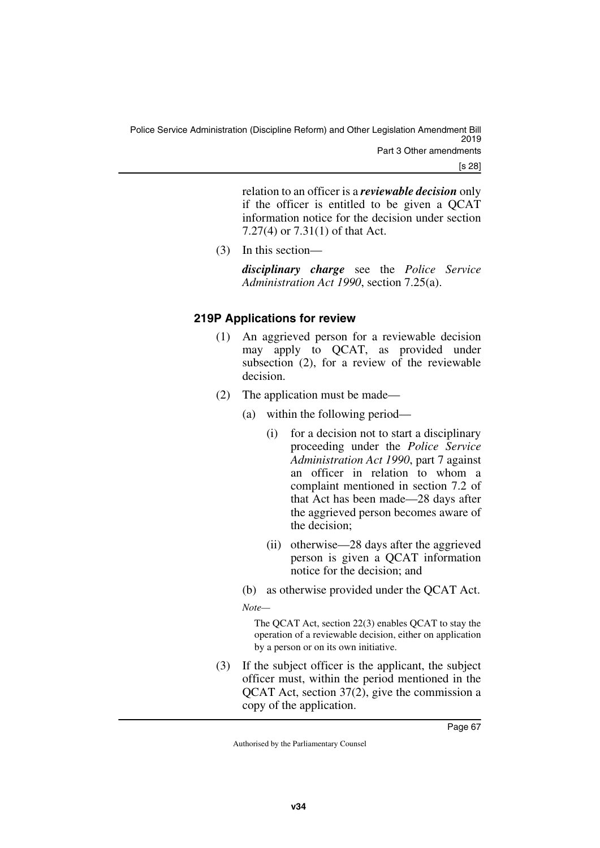relation to an officer is a *reviewable decision* only if the officer is entitled to be given a QCAT information notice for the decision under section 7.27(4) or 7.31(1) of that Act.

(3) In this section—

*disciplinary charge* see the *Police Service Administration Act 1990*, section 7.25(a).

### **219P Applications for review**

- (1) An aggrieved person for a reviewable decision may apply to QCAT, as provided under subsection (2), for a review of the reviewable decision.
- (2) The application must be made—
	- (a) within the following period—
		- (i) for a decision not to start a disciplinary proceeding under the *Police Service Administration Act 1990*, part 7 against an officer in relation to whom a complaint mentioned in section 7.2 of that Act has been made—28 days after the aggrieved person becomes aware of the decision;
		- (ii) otherwise—28 days after the aggrieved person is given a QCAT information notice for the decision; and
	- (b) as otherwise provided under the QCAT Act.

*Note—*

The QCAT Act, section 22(3) enables QCAT to stay the operation of a reviewable decision, either on application by a person or on its own initiative.

(3) If the subject officer is the applicant, the subject officer must, within the period mentioned in the QCAT Act, section 37(2), give the commission a copy of the application.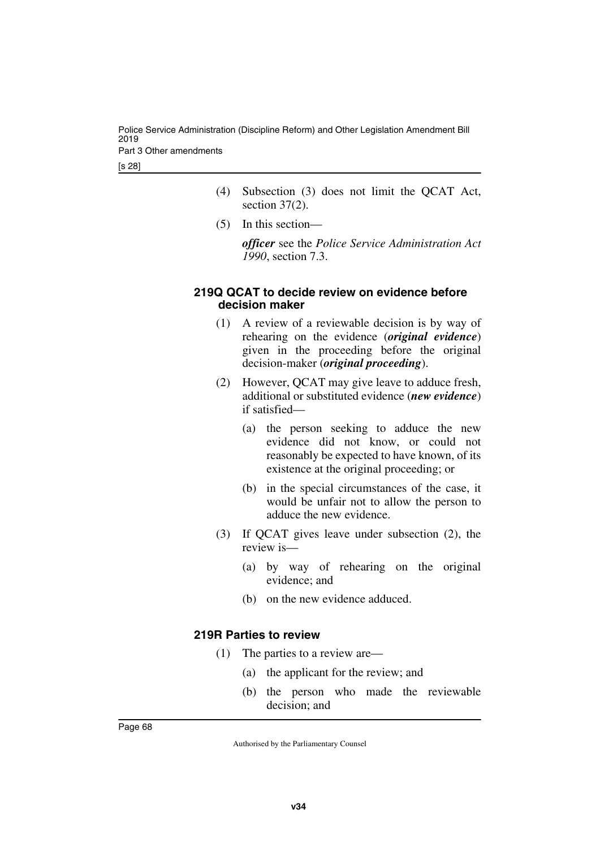Police Service Administration (Discipline Reform) and Other Legislation Amendment Bill 2019 Part 3 Other amendments

[s 28]

- (4) Subsection (3) does not limit the QCAT Act, section 37(2).
- (5) In this section—

*officer* see the *Police Service Administration Act 1990*, section 7.3.

#### **219Q QCAT to decide review on evidence before decision maker**

- (1) A review of a reviewable decision is by way of rehearing on the evidence (*original evidence*) given in the proceeding before the original decision-maker (*original proceeding*).
- (2) However, QCAT may give leave to adduce fresh, additional or substituted evidence (*new evidence*) if satisfied—
	- (a) the person seeking to adduce the new evidence did not know, or could not reasonably be expected to have known, of its existence at the original proceeding; or
	- (b) in the special circumstances of the case, it would be unfair not to allow the person to adduce the new evidence.
- (3) If QCAT gives leave under subsection (2), the review is—
	- (a) by way of rehearing on the original evidence; and
	- (b) on the new evidence adduced.

#### **219R Parties to review**

- (1) The parties to a review are—
	- (a) the applicant for the review; and
	- (b) the person who made the reviewable decision; and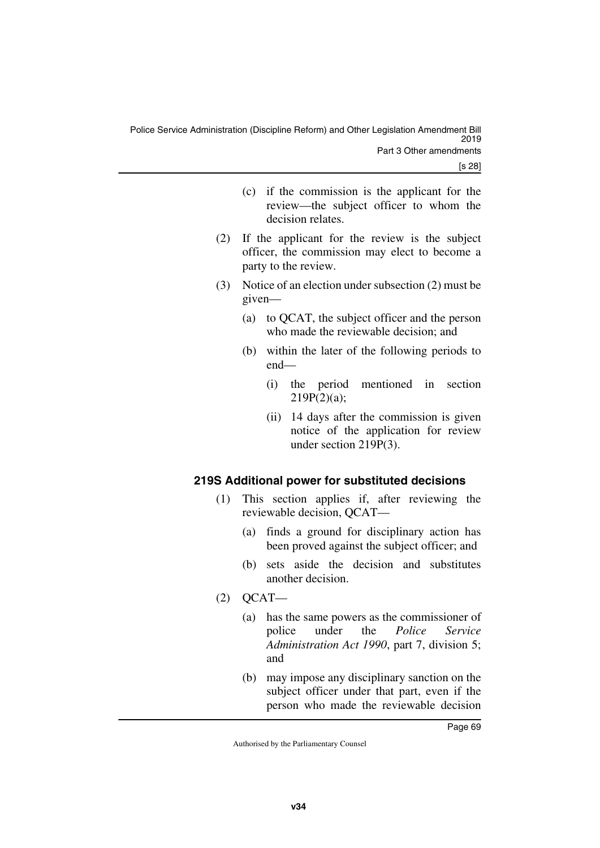- (c) if the commission is the applicant for the review—the subject officer to whom the decision relates.
- (2) If the applicant for the review is the subject officer, the commission may elect to become a party to the review.
- (3) Notice of an election under subsection (2) must be given—
	- (a) to QCAT, the subject officer and the person who made the reviewable decision; and
	- (b) within the later of the following periods to end—
		- (i) the period mentioned in section  $219P(2)(a)$ ;
		- (ii) 14 days after the commission is given notice of the application for review under section 219P(3).

# **219S Additional power for substituted decisions**

- (1) This section applies if, after reviewing the reviewable decision, QCAT—
	- (a) finds a ground for disciplinary action has been proved against the subject officer; and
	- (b) sets aside the decision and substitutes another decision.
- $(2)$  QCAT—
	- (a) has the same powers as the commissioner of police under the *Police Service Administration Act 1990*, part 7, division 5; and
	- (b) may impose any disciplinary sanction on the subject officer under that part, even if the person who made the reviewable decision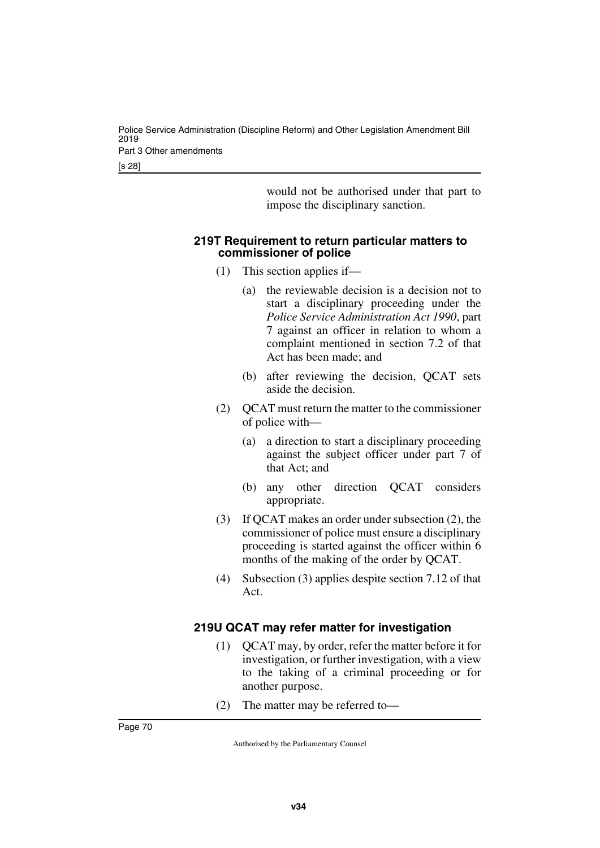[s 28]

would not be authorised under that part to impose the disciplinary sanction.

#### **219T Requirement to return particular matters to commissioner of police**

- (1) This section applies if—
	- (a) the reviewable decision is a decision not to start a disciplinary proceeding under the *Police Service Administration Act 1990*, part 7 against an officer in relation to whom a complaint mentioned in section 7.2 of that Act has been made; and
	- (b) after reviewing the decision, QCAT sets aside the decision.
- (2) QCAT must return the matter to the commissioner of police with—
	- (a) a direction to start a disciplinary proceeding against the subject officer under part 7 of that Act; and
	- (b) any other direction QCAT considers appropriate.
- (3) If QCAT makes an order under subsection (2), the commissioner of police must ensure a disciplinary proceeding is started against the officer within 6 months of the making of the order by QCAT.
- (4) Subsection (3) applies despite section 7.12 of that Act.

# **219U QCAT may refer matter for investigation**

- (1) QCAT may, by order, refer the matter before it for investigation, or further investigation, with a view to the taking of a criminal proceeding or for another purpose.
- (2) The matter may be referred to—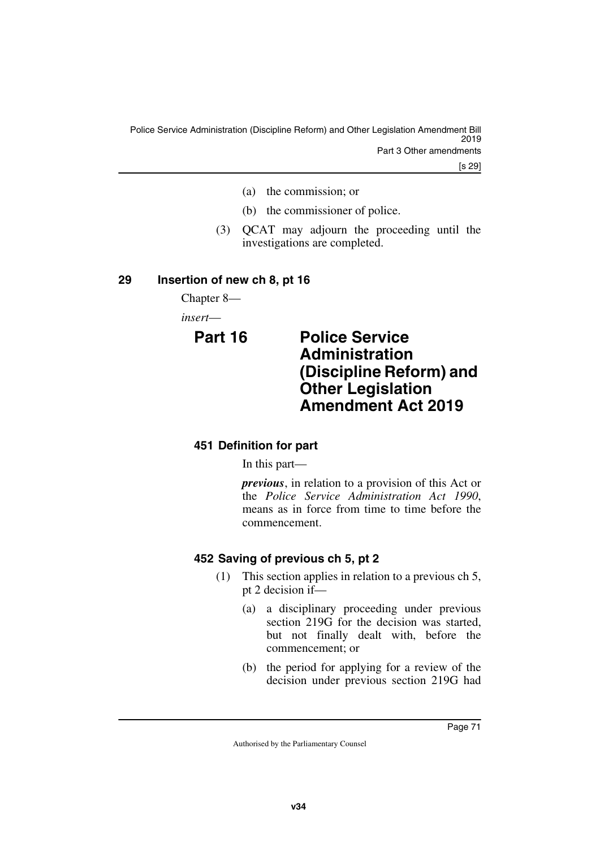[s 29]

- (a) the commission; or
- (b) the commissioner of police.
- (3) QCAT may adjourn the proceeding until the investigations are completed.

### **29 Insertion of new ch 8, pt 16**

Chapter 8—

*insert*—

# **Part 16 Police Service Administration (Discipline Reform) and Other Legislation Amendment Act 2019**

### **451 Definition for part**

In this part—

*previous*, in relation to a provision of this Act or the *Police Service Administration Act 1990*, means as in force from time to time before the commencement.

### **452 Saving of previous ch 5, pt 2**

- (1) This section applies in relation to a previous ch 5, pt 2 decision if—
	- (a) a disciplinary proceeding under previous section 219G for the decision was started, but not finally dealt with, before the commencement; or
	- (b) the period for applying for a review of the decision under previous section 219G had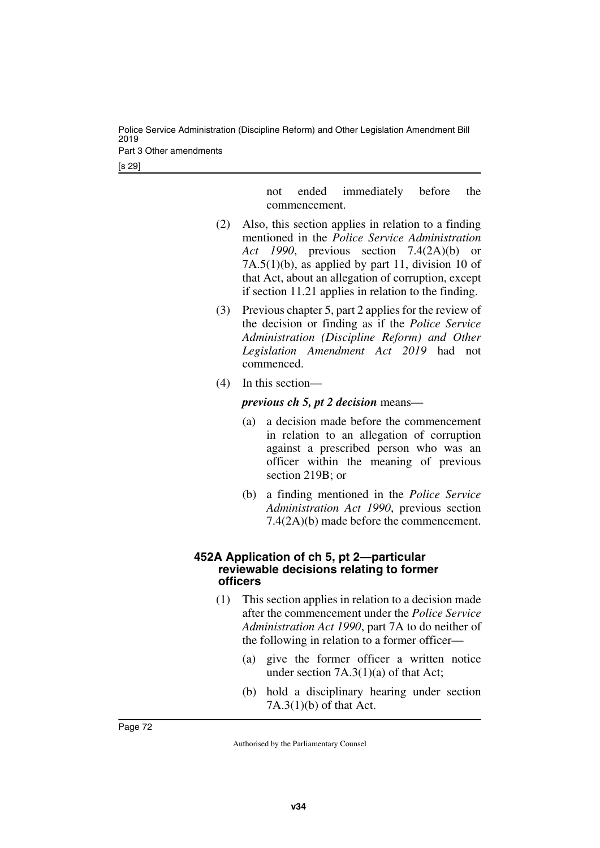Police Service Administration (Discipline Reform) and Other Legislation Amendment Bill 2019 Part 3 Other amendments

[s 29]

not ended immediately before the commencement.

- (2) Also, this section applies in relation to a finding mentioned in the *Police Service Administration Act 1990*, previous section 7.4(2A)(b) or 7A.5(1)(b), as applied by part 11, division 10 of that Act, about an allegation of corruption, except if section 11.21 applies in relation to the finding.
- (3) Previous chapter 5, part 2 applies for the review of the decision or finding as if the *Police Service Administration (Discipline Reform) and Other Legislation Amendment Act 2019* had not commenced.
- (4) In this section—

### *previous ch 5, pt 2 decision* means—

- (a) a decision made before the commencement in relation to an allegation of corruption against a prescribed person who was an officer within the meaning of previous section 219B; or
- (b) a finding mentioned in the *Police Service Administration Act 1990*, previous section 7.4(2A)(b) made before the commencement.

### **452A Application of ch 5, pt 2—particular reviewable decisions relating to former officers**

- (1) This section applies in relation to a decision made after the commencement under the *Police Service Administration Act 1990*, part 7A to do neither of the following in relation to a former officer—
	- (a) give the former officer a written notice under section  $7A.3(1)(a)$  of that Act;
	- (b) hold a disciplinary hearing under section 7A.3(1)(b) of that Act.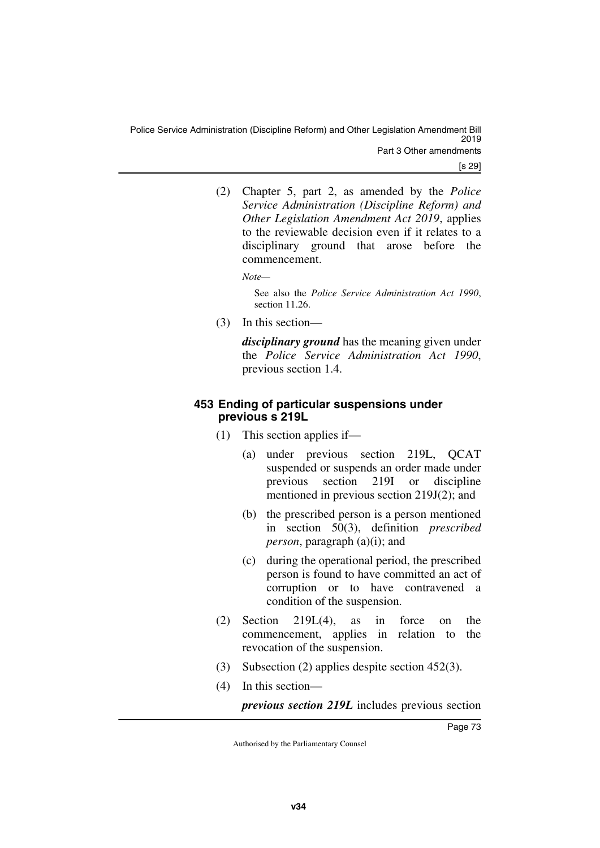(2) Chapter 5, part 2, as amended by the *Police Service Administration (Discipline Reform) and Other Legislation Amendment Act 2019*, applies to the reviewable decision even if it relates to a disciplinary ground that arose before the commencement.

*Note—*

See also the *Police Service Administration Act 1990*, section 11.26.

(3) In this section—

*disciplinary ground* has the meaning given under the *Police Service Administration Act 1990*, previous section 1.4.

### **453 Ending of particular suspensions under previous s 219L**

- (1) This section applies if—
	- (a) under previous section 219L, QCAT suspended or suspends an order made under previous section 219I or discipline mentioned in previous section 219J(2); and
	- (b) the prescribed person is a person mentioned in section 50(3), definition *prescribed person*, paragraph (a)(i); and
	- (c) during the operational period, the prescribed person is found to have committed an act of corruption or to have contravened a condition of the suspension.
- (2) Section 219L(4), as in force on the commencement, applies in relation to the revocation of the suspension.
- (3) Subsection (2) applies despite section 452(3).
- (4) In this section—

*previous section 219L* includes previous section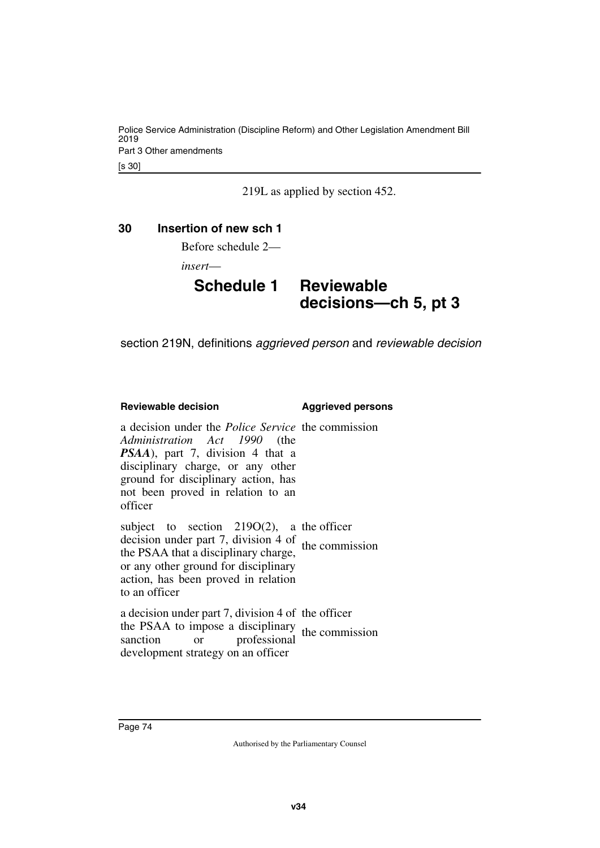219L as applied by section 452.

### **30 Insertion of new sch 1**

Before schedule 2—

*insert*—

# **Schedule 1 Reviewable decisions—ch 5, pt 3**

section 219N, definitions *aggrieved person* and *reviewable decision*

### **Reviewable decision by a substitution Aggrieved persons**

a decision under the *Police Service* the commission *Administration Act 1990* (the *PSAA*), part 7, division 4 that a disciplinary charge, or any other ground for disciplinary action, has not been proved in relation to an officer

subject to section 219O(2), a the officer decision under part 7, division 4 of the PSAA that a disciplinary charge, or any other ground for disciplinary action, has been proved in relation to an officer the commission

a decision under part 7, division 4 of the officer the PSAA to impose a disciplinary anction or professional the commission<br>sanction or professional development strategy on an officer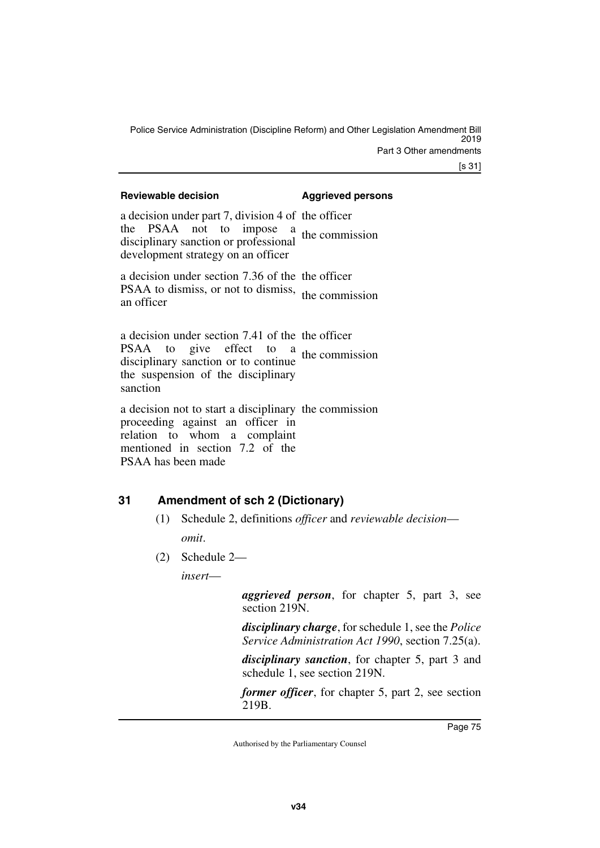[s 31]

| <b>Reviewable decision</b>                                                                                                                                                              | <b>Aggrieved persons</b> |
|-----------------------------------------------------------------------------------------------------------------------------------------------------------------------------------------|--------------------------|
| a decision under part 7, division 4 of the officer<br>the PSAA not to impose a the commission<br>disciplinary sanction or professional<br>development strategy on an officer            |                          |
| a decision under section 7.36 of the the officer<br>PSAA to dismiss, or not to dismiss, the commission<br>an officer                                                                    |                          |
| a decision under section 7.41 of the the officer<br>PSAA to give effect to $a$ the commission<br>disciplinary sanction or to continue<br>the suspension of the disciplinary<br>sanction |                          |
| a decision not to start a disciplinary the commission<br>proceeding against an officer in<br>relation to whom a complaint<br>mentioned in section 7.2 of the<br>PSAA has been made      |                          |

### **31 Amendment of sch 2 (Dictionary)**

- (1) Schedule 2, definitions *officer* and *reviewable decision omit*.
- (2) Schedule 2—

*insert*—

*aggrieved person*, for chapter 5, part 3, see section 219N.

*disciplinary charge*, for schedule 1, see the *Police Service Administration Act 1990*, section 7.25(a).

*disciplinary sanction*, for chapter 5, part 3 and schedule 1, see section 219N.

*former officer*, for chapter 5, part 2, see section 219B.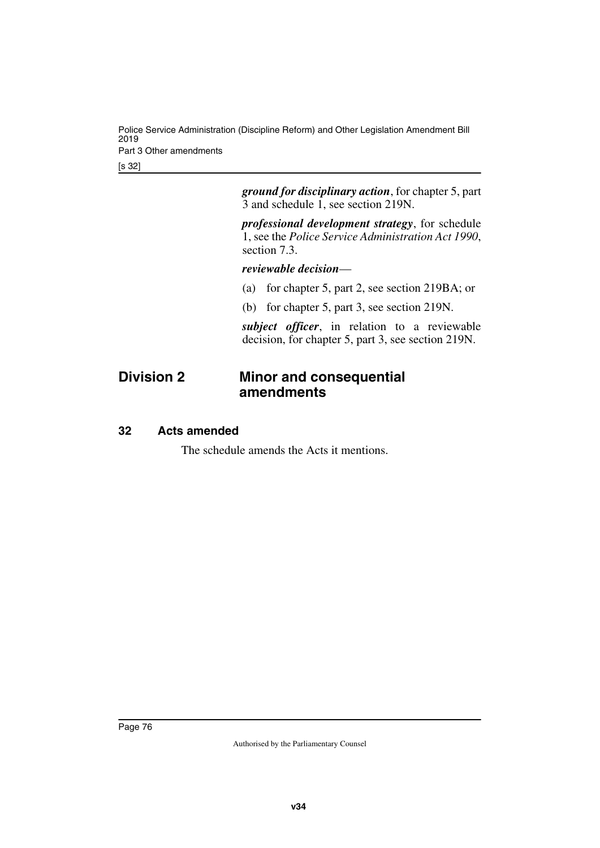Police Service Administration (Discipline Reform) and Other Legislation Amendment Bill 2019 Part 3 Other amendments

[s 32]

*ground for disciplinary action*, for chapter 5, part 3 and schedule 1, see section 219N.

*professional development strategy*, for schedule 1, see the *Police Service Administration Act 1990*, section 7.3.

### *reviewable decision*—

- (a) for chapter 5, part 2, see section 219BA; or
- (b) for chapter 5, part 3, see section 219N.

*subject officer*, in relation to a reviewable decision, for chapter 5, part 3, see section 219N.

# **Division 2 Minor and consequential amendments**

### **32 Acts amended**

The schedule amends the Acts it mentions.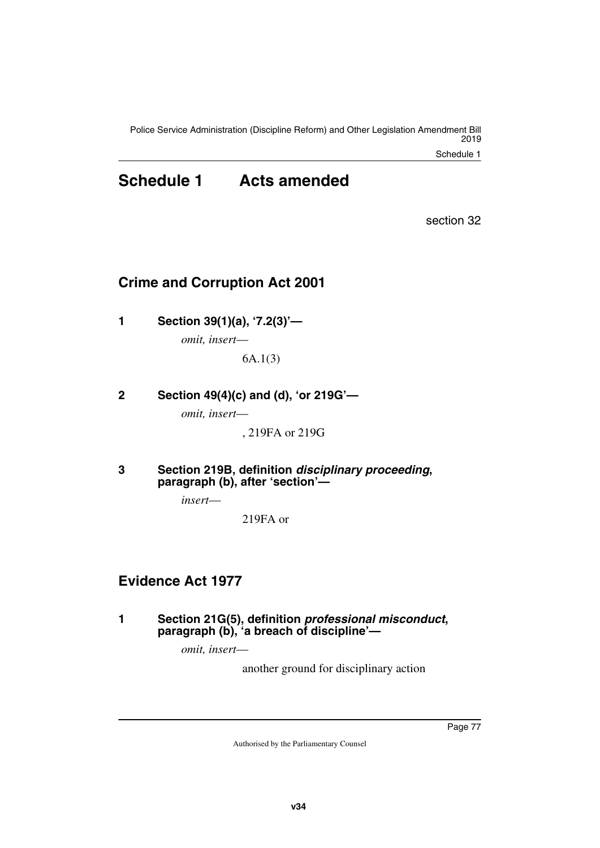Police Service Administration (Discipline Reform) and Other Legislation Amendment Bill 2019

Schedule 1

# **Schedule 1 Acts amended**

section 32

# **Crime and Corruption Act 2001**

**1 Section 39(1)(a), '7.2(3)'—**

*omit, insert*—

6A.1(3)

**2 Section 49(4)(c) and (d), 'or 219G'—**

*omit, insert*—

, 219FA or 219G

**3 Section 219B, definition** *disciplinary proceeding***, paragraph (b), after 'section'—**

*insert*—

219FA or

# **Evidence Act 1977**

**1 Section 21G(5), definition** *professional misconduct***, paragraph (b), 'a breach of discipline'—**

*omit, insert*—

another ground for disciplinary action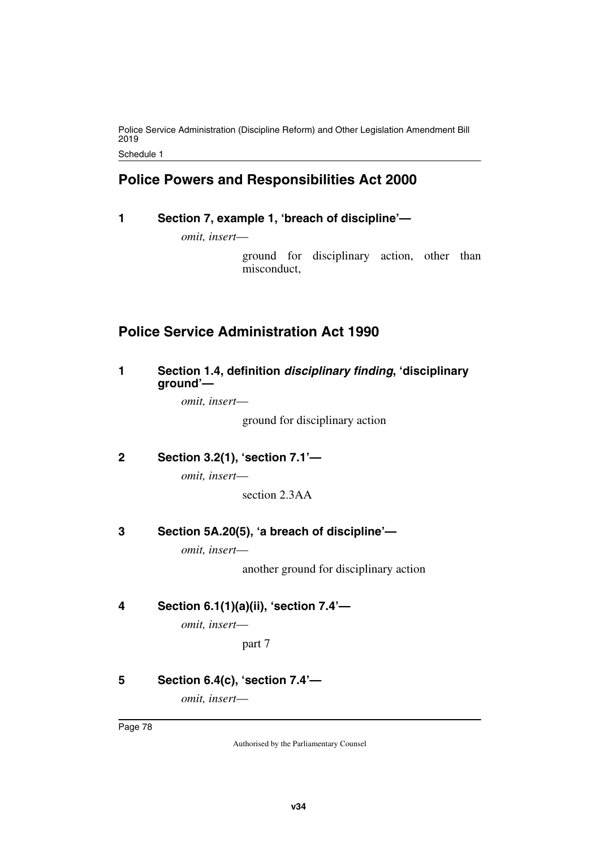Police Service Administration (Discipline Reform) and Other Legislation Amendment Bill 2019

Schedule 1

# **Police Powers and Responsibilities Act 2000**

### **1 Section 7, example 1, 'breach of discipline'—**

*omit, insert*—

ground for disciplinary action, other than misconduct,

# **Police Service Administration Act 1990**

### **1 Section 1.4, definition** *disciplinary finding***, 'disciplinary ground'—**

*omit, insert*—

ground for disciplinary action

**2 Section 3.2(1), 'section 7.1'—**

*omit, insert*—

section 2.3AA

### **3 Section 5A.20(5), 'a breach of discipline'—**

*omit, insert*—

another ground for disciplinary action

### **4 Section 6.1(1)(a)(ii), 'section 7.4'—**

*omit, insert*—

part 7

## **5 Section 6.4(c), 'section 7.4'—**

*omit, insert*—